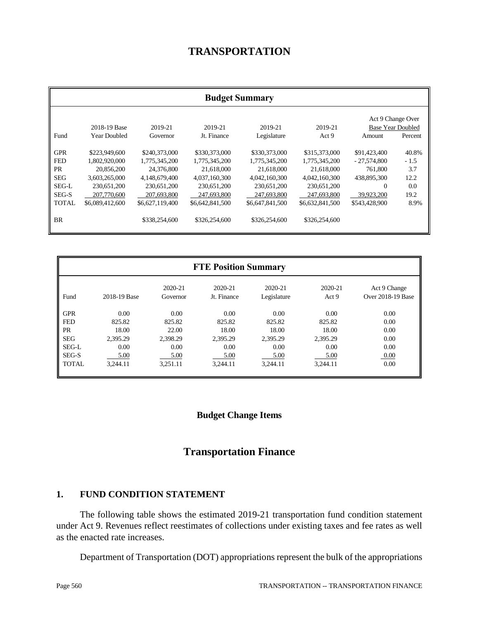# **TRANSPORTATION**

|              | <b>Budget Summary</b> |                 |                 |                 |                 |                   |                          |
|--------------|-----------------------|-----------------|-----------------|-----------------|-----------------|-------------------|--------------------------|
|              |                       |                 |                 |                 |                 | Act 9 Change Over |                          |
|              | 2018-19 Base          | 2019-21         | 2019-21         | 2019-21         | 2019-21         |                   | <b>Base Year Doubled</b> |
| Fund         | <b>Year Doubled</b>   | Governor        | Jt. Finance     | Legislature     | Act 9           | Amount            | Percent                  |
|              |                       |                 |                 |                 |                 |                   |                          |
| <b>GPR</b>   | \$223,949,600         | \$240,373,000   | \$330,373,000   | \$330,373,000   | \$315,373,000   | \$91,423,400      | 40.8%                    |
| <b>FED</b>   | 1,802,920,000         | 1,775,345,200   | 1,775,345,200   | 1,775,345,200   | 1,775,345,200   | $-27,574,800$     | $-1.5$                   |
| <b>PR</b>    | 20,856,200            | 24,376,800      | 21,618,000      | 21,618,000      | 21,618,000      | 761,800           | 3.7                      |
| <b>SEG</b>   | 3,603,265,000         | 4,148,679,400   | 4,037,160,300   | 4,042,160,300   | 4,042,160,300   | 438,895,300       | 12.2                     |
| SEG-L        | 230,651,200           | 230,651,200     | 230,651,200     | 230,651,200     | 230,651,200     | $\Omega$          | 0.0                      |
| SEG-S        | 207,770,600           | 207,693,800     | 247,693,800     | 247,693,800     | 247,693,800     | 39,923,200        | 19.2                     |
| <b>TOTAL</b> | \$6,089,412,600       | \$6,627,119,400 | \$6,642,841,500 | \$6,647,841,500 | \$6,632,841,500 | \$543,428,900     | 8.9%                     |
|              |                       |                 |                 |                 |                 |                   |                          |
| <b>BR</b>    |                       | \$338,254,600   | \$326,254,600   | \$326,254,600   | \$326,254,600   |                   |                          |
|              |                       |                 |                 |                 |                 |                   |                          |

| <b>FTE Position Summary</b> |              |                     |                        |                        |                  |                                   |
|-----------------------------|--------------|---------------------|------------------------|------------------------|------------------|-----------------------------------|
| Fund                        | 2018-19 Base | 2020-21<br>Governor | 2020-21<br>Jt. Finance | 2020-21<br>Legislature | 2020-21<br>Act 9 | Act 9 Change<br>Over 2018-19 Base |
| <b>GPR</b>                  | 0.00         | 0.00                | 0.00                   | 0.00                   | 0.00             | 0.00                              |
| <b>FED</b>                  | 825.82       | 825.82              | 825.82                 | 825.82                 | 825.82           | 0.00                              |
| PR                          | 18.00        | 22.00               | 18.00                  | 18.00                  | 18.00            | 0.00                              |
| <b>SEG</b>                  | 2,395.29     | 2,398.29            | 2,395.29               | 2,395.29               | 2,395.29         | 0.00                              |
| SEG-L                       | 0.00         | 0.00                | 0.00                   | 0.00                   | 0.00             | 0.00                              |
| SEG-S                       | 5.00         | 5.00                | 5.00                   | 5.00                   | 5.00             | 0.00                              |
| <b>TOTAL</b>                | 3.244.11     | 3.251.11            | 3.244.11               | 3,244.11               | 3.244.11         | 0.00                              |

# **Budget Change Items**

# **Transportation Finance**

### **1. FUND CONDITION STATEMENT**

The following table shows the estimated 2019-21 transportation fund condition statement under Act 9. Revenues reflect reestimates of collections under existing taxes and fee rates as well as the enacted rate increases.

Department of Transportation (DOT) appropriations represent the bulk of the appropriations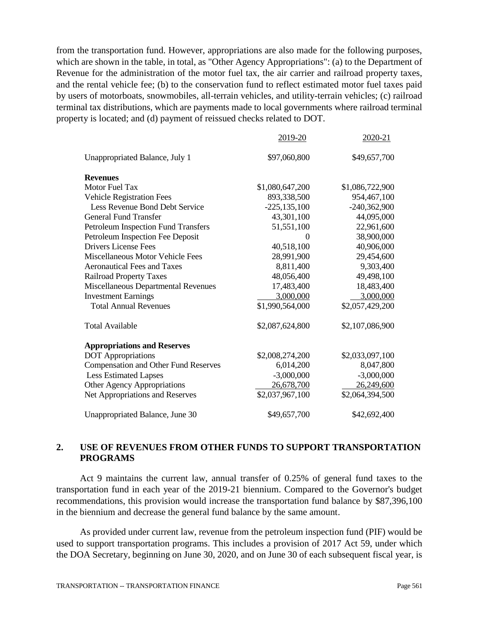from the transportation fund. However, appropriations are also made for the following purposes, which are shown in the table, in total, as "Other Agency Appropriations": (a) to the Department of Revenue for the administration of the motor fuel tax, the air carrier and railroad property taxes, and the rental vehicle fee; (b) to the conservation fund to reflect estimated motor fuel taxes paid by users of motorboats, snowmobiles, all-terrain vehicles, and utility-terrain vehicles; (c) railroad terminal tax distributions, which are payments made to local governments where railroad terminal property is located; and (d) payment of reissued checks related to DOT.

|                                             | 2019-20          | 2020-21         |
|---------------------------------------------|------------------|-----------------|
| Unappropriated Balance, July 1              | \$97,060,800     | \$49,657,700    |
| <b>Revenues</b>                             |                  |                 |
| Motor Fuel Tax                              | \$1,080,647,200  | \$1,086,722,900 |
| <b>Vehicle Registration Fees</b>            | 893,338,500      | 954,467,100     |
| Less Revenue Bond Debt Service              | $-225, 135, 100$ | $-240,362,900$  |
| <b>General Fund Transfer</b>                | 43,301,100       | 44,095,000      |
| <b>Petroleum Inspection Fund Transfers</b>  | 51,551,100       | 22,961,600      |
| Petroleum Inspection Fee Deposit            | 0                | 38,900,000      |
| <b>Drivers License Fees</b>                 | 40,518,100       | 40,906,000      |
| Miscellaneous Motor Vehicle Fees            | 28,991,900       | 29,454,600      |
| <b>Aeronautical Fees and Taxes</b>          | 8,811,400        | 9,303,400       |
| <b>Railroad Property Taxes</b>              | 48,056,400       | 49,498,100      |
| Miscellaneous Departmental Revenues         | 17,483,400       | 18,483,400      |
| <b>Investment Earnings</b>                  | 3,000,000        | 3,000,000       |
| <b>Total Annual Revenues</b>                | \$1,990,564,000  | \$2,057,429,200 |
| <b>Total Available</b>                      | \$2,087,624,800  | \$2,107,086,900 |
| <b>Appropriations and Reserves</b>          |                  |                 |
| <b>DOT</b> Appropriations                   | \$2,008,274,200  | \$2,033,097,100 |
| <b>Compensation and Other Fund Reserves</b> | 6,014,200        | 8,047,800       |
| <b>Less Estimated Lapses</b>                | $-3,000,000$     | $-3,000,000$    |
| Other Agency Appropriations                 | 26,678,700       | 26,249,600      |
| Net Appropriations and Reserves             | \$2,037,967,100  | \$2,064,394,500 |
| Unappropriated Balance, June 30             | \$49,657,700     | \$42,692,400    |

# **2. USE OF REVENUES FROM OTHER FUNDS TO SUPPORT TRANSPORTATION PROGRAMS**

Act 9 maintains the current law, annual transfer of 0.25% of general fund taxes to the transportation fund in each year of the 2019-21 biennium. Compared to the Governor's budget recommendations, this provision would increase the transportation fund balance by \$87,396,100 in the biennium and decrease the general fund balance by the same amount.

As provided under current law, revenue from the petroleum inspection fund (PIF) would be used to support transportation programs. This includes a provision of 2017 Act 59, under which the DOA Secretary, beginning on June 30, 2020, and on June 30 of each subsequent fiscal year, is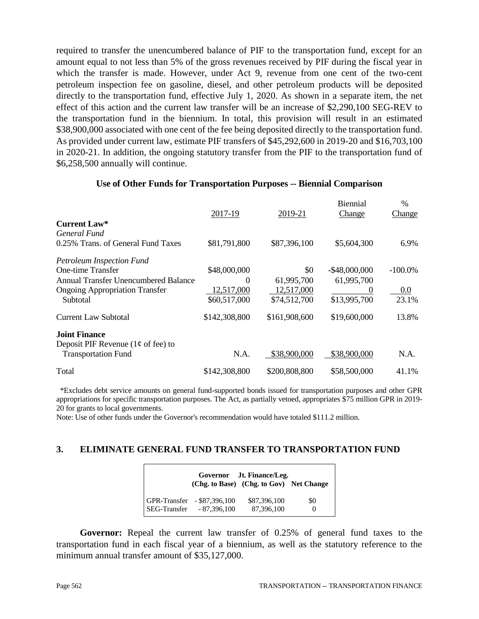required to transfer the unencumbered balance of PIF to the transportation fund, except for an amount equal to not less than 5% of the gross revenues received by PIF during the fiscal year in which the transfer is made. However, under Act 9, revenue from one cent of the two-cent petroleum inspection fee on gasoline, diesel, and other petroleum products will be deposited directly to the transportation fund, effective July 1, 2020. As shown in a separate item, the net effect of this action and the current law transfer will be an increase of \$2,290,100 SEG-REV to the transportation fund in the biennium. In total, this provision will result in an estimated \$38,900,000 associated with one cent of the fee being deposited directly to the transportation fund. As provided under current law, estimate PIF transfers of \$45,292,600 in 2019-20 and \$16,703,100 in 2020-21. In addition, the ongoing statutory transfer from the PIF to the transportation fund of \$6,258,500 annually will continue.

|                                       |               |               | <b>Biennial</b>  | $\frac{0}{0}$ |
|---------------------------------------|---------------|---------------|------------------|---------------|
|                                       | 2017-19       | 2019-21       | Change           | Change        |
| <b>Current Law*</b>                   |               |               |                  |               |
| General Fund                          |               |               |                  |               |
| 0.25% Trans. of General Fund Taxes    | \$81,791,800  | \$87,396,100  | \$5,604,300      | 6.9%          |
| <b>Petroleum Inspection Fund</b>      |               |               |                  |               |
| One-time Transfer                     | \$48,000,000  | \$0           | $-$ \$48,000,000 | $-100.0\%$    |
| Annual Transfer Unencumbered Balance  | $\theta$      | 61,995,700    | 61,995,700       |               |
| <b>Ongoing Appropriation Transfer</b> | 12,517,000    | 12,517,000    | $\theta$         | 0.0           |
| Subtotal                              | \$60,517,000  | \$74,512,700  | \$13,995,700     | 23.1%         |
| <b>Current Law Subtotal</b>           | \$142,308,800 | \$161,908,600 | \$19,600,000     | 13.8%         |
| <b>Joint Finance</b>                  |               |               |                  |               |
| Deposit PIF Revenue ( $1¢$ of fee) to |               |               |                  |               |
| <b>Transportation Fund</b>            | N.A.          | \$38,900,000  | \$38,900,000     | N.A.          |
| Total                                 | \$142,308,800 | \$200,808,800 | \$58,500,000     | 41.1%         |

#### **Use of Other Funds for Transportation Purposes -- Biennial Comparison**

 \*Excludes debt service amounts on general fund-supported bonds issued for transportation purposes and other GPR appropriations for specific transportation purposes. The Act, as partially vetoed, appropriates \$75 million GPR in 2019- 20 for grants to local governments.

Note: Use of other funds under the Governor's recommendation would have totaled \$111.2 million.

# **3. ELIMINATE GENERAL FUND TRANSFER TO TRANSPORTATION FUND**

|  |                                                          | Governor Jt. Finance/Leg.<br>(Chg. to Base) (Chg. to Gov) Net Change |                 |
|--|----------------------------------------------------------|----------------------------------------------------------------------|-----------------|
|  | GPR-Transfer - \$87,396,100<br>SEG-Transfer - 87,396,100 | \$87,396,100<br>87,396,100                                           | \$0<br>$\theta$ |

**Governor:** Repeal the current law transfer of 0.25% of general fund taxes to the transportation fund in each fiscal year of a biennium, as well as the statutory reference to the minimum annual transfer amount of \$35,127,000.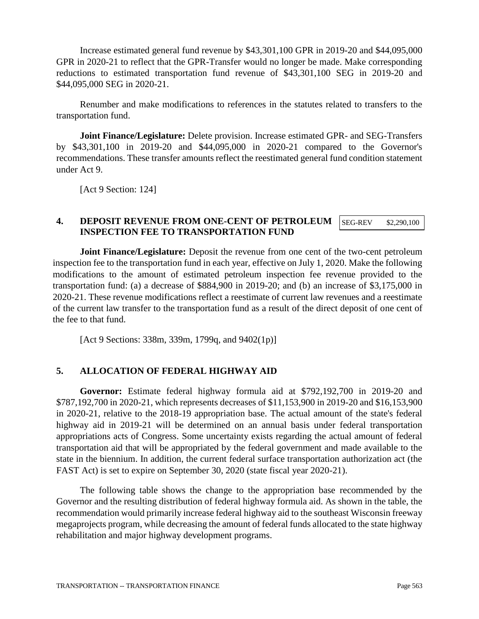Increase estimated general fund revenue by \$43,301,100 GPR in 2019-20 and \$44,095,000 GPR in 2020-21 to reflect that the GPR-Transfer would no longer be made. Make corresponding reductions to estimated transportation fund revenue of \$43,301,100 SEG in 2019-20 and \$44,095,000 SEG in 2020-21.

Renumber and make modifications to references in the statutes related to transfers to the transportation fund.

**Joint Finance/Legislature:** Delete provision. Increase estimated GPR- and SEG-Transfers by \$43,301,100 in 2019-20 and \$44,095,000 in 2020-21 compared to the Governor's recommendations. These transfer amounts reflect the reestimated general fund condition statement under Act 9.

[Act 9 Section: 124]

#### **4. DEPOSIT REVENUE FROM ONE-CENT OF PETROLEUM INSPECTION FEE TO TRANSPORTATION FUND** SEG-REV \$2,290,100

**Joint Finance/Legislature:** Deposit the revenue from one cent of the two-cent petroleum inspection fee to the transportation fund in each year, effective on July 1, 2020. Make the following modifications to the amount of estimated petroleum inspection fee revenue provided to the transportation fund: (a) a decrease of \$884,900 in 2019-20; and (b) an increase of \$3,175,000 in 2020-21. These revenue modifications reflect a reestimate of current law revenues and a reestimate of the current law transfer to the transportation fund as a result of the direct deposit of one cent of the fee to that fund.

[Act 9 Sections: 338m, 339m, 1799q, and 9402(1p)]

### **5. ALLOCATION OF FEDERAL HIGHWAY AID**

**Governor:** Estimate federal highway formula aid at \$792,192,700 in 2019-20 and \$787,192,700 in 2020-21, which represents decreases of \$11,153,900 in 2019-20 and \$16,153,900 in 2020-21, relative to the 2018-19 appropriation base. The actual amount of the state's federal highway aid in 2019-21 will be determined on an annual basis under federal transportation appropriations acts of Congress. Some uncertainty exists regarding the actual amount of federal transportation aid that will be appropriated by the federal government and made available to the state in the biennium. In addition, the current federal surface transportation authorization act (the FAST Act) is set to expire on September 30, 2020 (state fiscal year 2020-21).

The following table shows the change to the appropriation base recommended by the Governor and the resulting distribution of federal highway formula aid. As shown in the table, the recommendation would primarily increase federal highway aid to the southeast Wisconsin freeway megaprojects program, while decreasing the amount of federal funds allocated to the state highway rehabilitation and major highway development programs.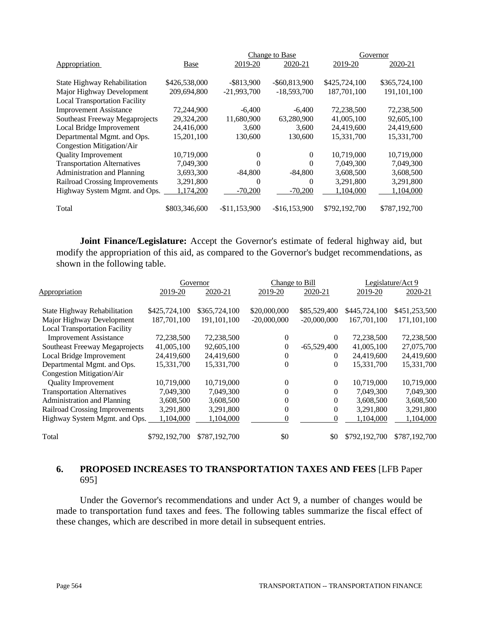|                                       |               |                | Change to Base   |               | Governor      |
|---------------------------------------|---------------|----------------|------------------|---------------|---------------|
| Appropriation                         | Base          | 2019-20        | 2020-21          | 2019-20       | 2020-21       |
|                                       |               |                |                  |               |               |
| State Highway Rehabilitation          | \$426,538,000 | $-$ \$813,900  | $-$ \$60,813,900 | \$425,724,100 | \$365,724,100 |
| Major Highway Development             | 209,694,800   | $-21,993,700$  | $-18,593,700$    | 187,701,100   | 191,101,100   |
| <b>Local Transportation Facility</b>  |               |                |                  |               |               |
| <b>Improvement Assistance</b>         | 72,244,900    | $-6,400$       | $-6,400$         | 72,238,500    | 72,238,500    |
| Southeast Freeway Megaprojects        | 29,324,200    | 11,680,900     | 63,280,900       | 41,005,100    | 92,605,100    |
| Local Bridge Improvement              | 24,416,000    | 3.600          | 3,600            | 24,419,600    | 24,419,600    |
| Departmental Mgmt. and Ops.           | 15,201,100    | 130,600        | 130,600          | 15,331,700    | 15,331,700    |
| Congestion Mitigation/Air             |               |                |                  |               |               |
| <b>Quality Improvement</b>            | 10,719,000    | 0              | 0                | 10,719,000    | 10,719,000    |
| <b>Transportation Alternatives</b>    | 7,049,300     | 0              | $\Omega$         | 7,049,300     | 7,049,300     |
| <b>Administration and Planning</b>    | 3,693,300     | $-84.800$      | $-84,800$        | 3,608,500     | 3,608,500     |
| <b>Railroad Crossing Improvements</b> | 3,291,800     | $\Omega$       | 0                | 3,291,800     | 3,291,800     |
| Highway System Mgmt. and Ops.         | 1,174,200     | $-70,200$      | $-70,200$        | 1,104,000     | 1,104,000     |
| Total                                 | \$803,346,600 | $-$11.153.900$ | $-$16,153,900$   | \$792,192,700 | \$787,192,700 |

**Joint Finance/Legislature:** Accept the Governor's estimate of federal highway aid, but modify the appropriation of this aid, as compared to the Governor's budget recommendations, as shown in the following table.

|                                      |               | Governor      | Change to Bill |                |               | Legislature/Act 9 |
|--------------------------------------|---------------|---------------|----------------|----------------|---------------|-------------------|
| <b>Appropriation</b>                 | 2019-20       | 2020-21       | 2019-20        | 2020-21        | 2019-20       | 2020-21           |
|                                      |               |               |                |                |               |                   |
| State Highway Rehabilitation         | \$425,724,100 | \$365,724,100 | \$20,000,000   | \$85,529,400   | \$445,724,100 | \$451,253,500     |
| Major Highway Development            | 187,701,100   | 191.101.100   | $-20,000,000$  | $-20,000,000$  | 167,701,100   | 171,101,100       |
| <b>Local Transportation Facility</b> |               |               |                |                |               |                   |
| <b>Improvement Assistance</b>        | 72,238,500    | 72,238,500    | $\mathbf{0}$   | $\Omega$       | 72,238,500    | 72,238,500        |
| Southeast Freeway Megaprojects       | 41,005,100    | 92,605,100    | $\mathbf{0}$   | $-65,529,400$  | 41,005,100    | 27,075,700        |
| Local Bridge Improvement             | 24,419,600    | 24,419,600    | $\mathbf{0}$   | $\theta$       | 24,419,600    | 24,419,600        |
| Departmental Mgmt. and Ops.          | 15,331,700    | 15,331,700    | $\theta$       | 0              | 15,331,700    | 15,331,700        |
| <b>Congestion Mitigation/Air</b>     |               |               |                |                |               |                   |
| <b>Quality Improvement</b>           | 10,719,000    | 10,719,000    | $\theta$       | $\overline{0}$ | 10,719,000    | 10,719,000        |
| <b>Transportation Alternatives</b>   | 7,049,300     | 7,049,300     | $\mathbf{0}$   | $\Omega$       | 7,049,300     | 7,049,300         |
| <b>Administration and Planning</b>   | 3,608,500     | 3,608,500     | 0              | $\Omega$       | 3,608,500     | 3,608,500         |
| Railroad Crossing Improvements       | 3,291,800     | 3,291,800     | $\theta$       | $\Omega$       | 3,291,800     | 3,291,800         |
| Highway System Mgmt. and Ops.        | 1,104,000     | 1,104,000     | 0              | $\Omega$       | 1,104,000     | 1,104,000         |
| Total                                | \$792,192,700 | \$787,192,700 | \$0            | \$0            | \$792,192,700 | \$787,192,700     |

# **6. PROPOSED INCREASES TO TRANSPORTATION TAXES AND FEES** [LFB Paper 695]

Under the Governor's recommendations and under Act 9, a number of changes would be made to transportation fund taxes and fees. The following tables summarize the fiscal effect of these changes, which are described in more detail in subsequent entries.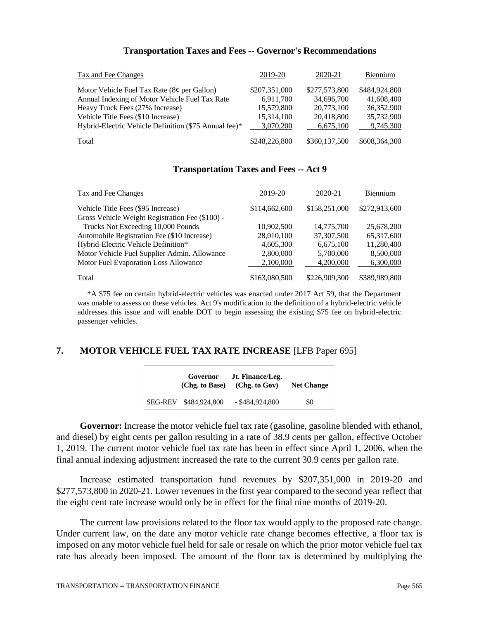#### **Transportation Taxes and Fees -- Governor's Recommendations**

| <b>Tax and Fee Changes</b>                            | 2019-20       | 2020-21       | Biennium      |
|-------------------------------------------------------|---------------|---------------|---------------|
| Motor Vehicle Fuel Tax Rate $(8¢$ per Gallon)         | \$207,351,000 | \$277,573,800 | \$484,924,800 |
| Annual Indexing of Motor Vehicle Fuel Tax Rate        | 6.911.700     | 34,696,700    | 41,608,400    |
| Heavy Truck Fees (27% Increase)                       | 15,579,800    | 20,773,100    | 36,352,900    |
| Vehicle Title Fees (\$10 Increase)                    | 15,314,100    | 20,418,800    | 35,732,900    |
| Hybrid-Electric Vehicle Definition (\$75 Annual fee)* | 3,070,200     | 6,675,100     | 9,745,300     |
| Total                                                 | \$248,226,800 | \$360,137,500 | \$608,364,300 |

#### **Transportation Taxes and Fees -- Act 9**

| Tax and Fee Changes                                                                   | 2019-20       | 2020-21       | Biennium      |
|---------------------------------------------------------------------------------------|---------------|---------------|---------------|
| Vehicle Title Fees (\$95 Increase)<br>Gross Vehicle Weight Registration Fee (\$100) - | \$114,662,600 | \$158,251,000 | \$272,913,600 |
| Trucks Not Exceeding 10,000 Pounds                                                    | 10,902,500    | 14,775,700    | 25,678,200    |
| Automobile Registration Fee (\$10 Increase)                                           | 28,010,100    | 37,307,500    | 65,317,600    |
| Hybrid-Electric Vehicle Definition*                                                   | 4,605,300     | 6,675,100     | 11,280,400    |
| Motor Vehicle Fuel Supplier Admin. Allowance                                          | 2,800,000     | 5,700,000     | 8,500,000     |
| Motor Fuel Evaporation Loss Allowance                                                 | 2.100.000     | 4.200,000     | 6,300,000     |
| Total                                                                                 | \$163,080,500 | \$226,909,300 | \$389,989,800 |

 \*A \$75 fee on certain hybrid-electric vehicles was enacted under 2017 Act 59, that the Department was unable to assess on these vehicles. Act 9's modification to the definition of a hybrid-electric vehicle addresses this issue and will enable DOT to begin assessing the existing \$75 fee on hybrid-electric passenger vehicles.

## **7. MOTOR VEHICLE FUEL TAX RATE INCREASE** [LFB Paper 695]

| Governor              | Jt. Finance/Leg.<br>$(Chg. to Base)$ $(Chg. to Gov)$ | <b>Net Change</b> |
|-----------------------|------------------------------------------------------|-------------------|
| SEG-REV \$484,924,800 | $-$ \$484,924,800                                    | \$0               |

Governor: Increase the motor vehicle fuel tax rate (gasoline, gasoline blended with ethanol, and diesel) by eight cents per gallon resulting in a rate of 38.9 cents per gallon, effective October 1, 2019. The current motor vehicle fuel tax rate has been in effect since April 1, 2006, when the final annual indexing adjustment increased the rate to the current 30.9 cents per gallon rate.

Increase estimated transportation fund revenues by \$207,351,000 in 2019-20 and \$277,573,800 in 2020-21. Lower revenues in the first year compared to the second year reflect that the eight cent rate increase would only be in effect for the final nine months of 2019-20.

The current law provisions related to the floor tax would apply to the proposed rate change. Under current law, on the date any motor vehicle rate change becomes effective, a floor tax is imposed on any motor vehicle fuel held for sale or resale on which the prior motor vehicle fuel tax rate has already been imposed. The amount of the floor tax is determined by multiplying the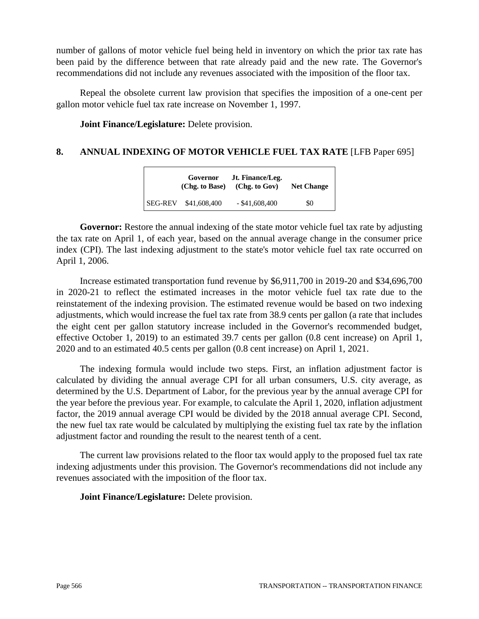number of gallons of motor vehicle fuel being held in inventory on which the prior tax rate has been paid by the difference between that rate already paid and the new rate. The Governor's recommendations did not include any revenues associated with the imposition of the floor tax.

Repeal the obsolete current law provision that specifies the imposition of a one-cent per gallon motor vehicle fuel tax rate increase on November 1, 1997.

**Joint Finance/Legislature:** Delete provision.

# **8. ANNUAL INDEXING OF MOTOR VEHICLE FUEL TAX RATE** [LFB Paper 695]

|  | Governor             | Jt. Finance/Leg.<br>$(Chg. to Base)$ $(Chg. to Gov)$ | <b>Net Change</b> |
|--|----------------------|------------------------------------------------------|-------------------|
|  | SEG-REV \$41,608,400 | $-$ \$41,608,400                                     | \$0               |

**Governor:** Restore the annual indexing of the state motor vehicle fuel tax rate by adjusting the tax rate on April 1, of each year, based on the annual average change in the consumer price index (CPI). The last indexing adjustment to the state's motor vehicle fuel tax rate occurred on April 1, 2006.

Increase estimated transportation fund revenue by \$6,911,700 in 2019-20 and \$34,696,700 in 2020-21 to reflect the estimated increases in the motor vehicle fuel tax rate due to the reinstatement of the indexing provision. The estimated revenue would be based on two indexing adjustments, which would increase the fuel tax rate from 38.9 cents per gallon (a rate that includes the eight cent per gallon statutory increase included in the Governor's recommended budget, effective October 1, 2019) to an estimated 39.7 cents per gallon (0.8 cent increase) on April 1, 2020 and to an estimated 40.5 cents per gallon (0.8 cent increase) on April 1, 2021.

The indexing formula would include two steps. First, an inflation adjustment factor is calculated by dividing the annual average CPI for all urban consumers, U.S. city average, as determined by the U.S. Department of Labor, for the previous year by the annual average CPI for the year before the previous year. For example, to calculate the April 1, 2020, inflation adjustment factor, the 2019 annual average CPI would be divided by the 2018 annual average CPI. Second, the new fuel tax rate would be calculated by multiplying the existing fuel tax rate by the inflation adjustment factor and rounding the result to the nearest tenth of a cent.

The current law provisions related to the floor tax would apply to the proposed fuel tax rate indexing adjustments under this provision. The Governor's recommendations did not include any revenues associated with the imposition of the floor tax.

**Joint Finance/Legislature:** Delete provision.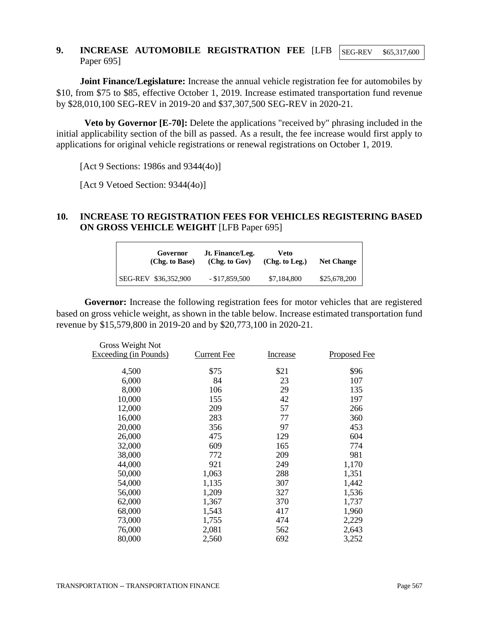#### **9. INCREASE AUTOMOBILE REGISTRATION FEE** [LFB Paper 695] SEG-REV \$65,317,600

**Joint Finance/Legislature:** Increase the annual vehicle registration fee for automobiles by \$10, from \$75 to \$85, effective October 1, 2019. Increase estimated transportation fund revenue by \$28,010,100 SEG-REV in 2019-20 and \$37,307,500 SEG-REV in 2020-21.

**Veto by Governor [E-70]:** Delete the applications "received by" phrasing included in the initial applicability section of the bill as passed. As a result, the fee increase would first apply to applications for original vehicle registrations or renewal registrations on October 1, 2019.

[Act 9 Sections: 1986s and 9344(4o)]

[Act 9 Vetoed Section: 9344(4o)]

# **10. INCREASE TO REGISTRATION FEES FOR VEHICLES REGISTERING BASED ON GROSS VEHICLE WEIGHT** [LFB Paper 695]

| Governor             | Jt. Finance/Leg. | Veto           | <b>Net Change</b> |
|----------------------|------------------|----------------|-------------------|
| (Chg. to Base)       | (Chg. to Gov)    | (Chg. to Leg.) |                   |
| SEG-REV \$36,352,900 | $-$ \$17,859,500 | \$7,184,800    | \$25,678,200      |

**Governor:** Increase the following registration fees for motor vehicles that are registered based on gross vehicle weight, as shown in the table below. Increase estimated transportation fund revenue by \$15,579,800 in 2019-20 and by \$20,773,100 in 2020-21.

| Gross Weight Not      |             |                 |                     |
|-----------------------|-------------|-----------------|---------------------|
| Exceeding (in Pounds) | Current Fee | <b>Increase</b> | <b>Proposed Fee</b> |
| 4,500                 | \$75        | \$21            | \$96                |
| 6,000                 | 84          | 23              | 107                 |
| 8,000                 | 106         | 29              | 135                 |
| 10,000                | 155         | 42              | 197                 |
| 12,000                | 209         | 57              | 266                 |
| 16,000                | 283         | 77              | 360                 |
| 20,000                | 356         | 97              | 453                 |
| 26,000                | 475         | 129             | 604                 |
| 32,000                | 609         | 165             | 774                 |
| 38,000                | 772         | 209             | 981                 |
| 44,000                | 921         | 249             | 1,170               |
| 50,000                | 1,063       | 288             | 1,351               |
| 54,000                | 1,135       | 307             | 1,442               |
| 56,000                | 1,209       | 327             | 1,536               |
| 62,000                | 1,367       | 370             | 1,737               |
| 68,000                | 1,543       | 417             | 1,960               |
| 73,000                | 1,755       | 474             | 2,229               |
| 76,000                | 2,081       | 562             | 2,643               |
| 80,000                | 2,560       | 692             | 3,252               |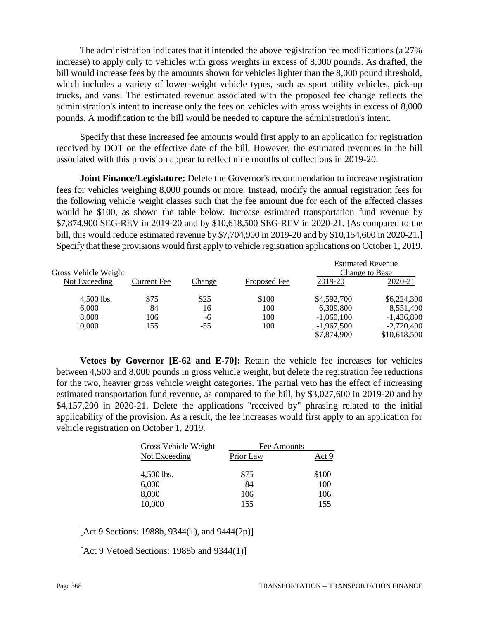The administration indicates that it intended the above registration fee modifications (a 27% increase) to apply only to vehicles with gross weights in excess of 8,000 pounds. As drafted, the bill would increase fees by the amounts shown for vehicles lighter than the 8,000 pound threshold, which includes a variety of lower-weight vehicle types, such as sport utility vehicles, pick-up trucks, and vans. The estimated revenue associated with the proposed fee change reflects the administration's intent to increase only the fees on vehicles with gross weights in excess of 8,000 pounds. A modification to the bill would be needed to capture the administration's intent.

Specify that these increased fee amounts would first apply to an application for registration received by DOT on the effective date of the bill. However, the estimated revenues in the bill associated with this provision appear to reflect nine months of collections in 2019-20.

**Joint Finance/Legislature:** Delete the Governor's recommendation to increase registration fees for vehicles weighing 8,000 pounds or more. Instead, modify the annual registration fees for the following vehicle weight classes such that the fee amount due for each of the affected classes would be \$100, as shown the table below. Increase estimated transportation fund revenue by \$7,874,900 SEG-REV in 2019-20 and by \$10,618,500 SEG-REV in 2020-21. [As compared to the bill, this would reduce estimated revenue by \$7,704,900 in 2019-20 and by \$10,154,600 in 2020-21.] Specify that these provisions would first apply to vehicle registration applications on October 1, 2019.

|                      |                    |        |              | <b>Estimated Revenue</b> |              |
|----------------------|--------------------|--------|--------------|--------------------------|--------------|
| Gross Vehicle Weight |                    |        |              | Change to Base           |              |
| Not Exceeding        | <b>Current Fee</b> | Change | Proposed Fee | 2019-20                  | 2020-21      |
| $4,500$ lbs.         | \$75               | \$25   | \$100        | \$4,592,700              | \$6,224,300  |
| 6,000                | 84                 | 16     | 100          | 6,309,800                | 8,551,400    |
| 8,000                | 106                | -6     | 100          | $-1,060,100$             | $-1,436,800$ |
| 10,000               | 155                | $-55$  | 100          | $-1,967,500$             | $-2,720,400$ |
|                      |                    |        |              | \$7,874,900              | \$10,618,500 |

**Vetoes by Governor [E-62 and E-70]:** Retain the vehicle fee increases for vehicles between 4,500 and 8,000 pounds in gross vehicle weight, but delete the registration fee reductions for the two, heavier gross vehicle weight categories. The partial veto has the effect of increasing estimated transportation fund revenue, as compared to the bill, by \$3,027,600 in 2019-20 and by \$4,157,200 in 2020-21. Delete the applications "received by" phrasing related to the initial applicability of the provision. As a result, the fee increases would first apply to an application for vehicle registration on October 1, 2019.

| Gross Vehicle Weight | Fee Amounts |       |  |
|----------------------|-------------|-------|--|
| Not Exceeding        | Prior Law   | Act 9 |  |
| 4,500 lbs.           | \$75        | \$100 |  |
| 6,000                | 84          | 100   |  |
| 8,000                | 106         | 106   |  |
| 10,000               | 155         | 155   |  |

[Act 9 Sections: 1988b, 9344(1), and 9444(2p)]

[Act 9 Vetoed Sections: 1988b and 9344(1)]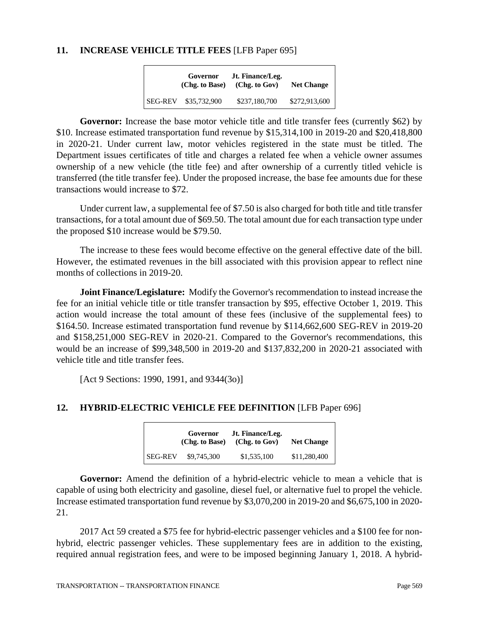### **11. INCREASE VEHICLE TITLE FEES** [LFB Paper 695]

|                | Governor<br>(Chg. to Base) | Jt. Finance/Leg.<br>(Chg. to Gov) | <b>Net Change</b> |
|----------------|----------------------------|-----------------------------------|-------------------|
| <b>SEG-REV</b> | \$35,732,900               | \$237,180,700                     | \$272,913,600     |

Governor: Increase the base motor vehicle title and title transfer fees (currently \$62) by \$10. Increase estimated transportation fund revenue by \$15,314,100 in 2019-20 and \$20,418,800 in 2020-21. Under current law, motor vehicles registered in the state must be titled. The Department issues certificates of title and charges a related fee when a vehicle owner assumes ownership of a new vehicle (the title fee) and after ownership of a currently titled vehicle is transferred (the title transfer fee). Under the proposed increase, the base fee amounts due for these transactions would increase to \$72.

Under current law, a supplemental fee of \$7.50 is also charged for both title and title transfer transactions, for a total amount due of \$69.50. The total amount due for each transaction type under the proposed \$10 increase would be \$79.50.

The increase to these fees would become effective on the general effective date of the bill. However, the estimated revenues in the bill associated with this provision appear to reflect nine months of collections in 2019-20.

**Joint Finance/Legislature:** Modify the Governor's recommendation to instead increase the fee for an initial vehicle title or title transfer transaction by \$95, effective October 1, 2019. This action would increase the total amount of these fees (inclusive of the supplemental fees) to \$164.50. Increase estimated transportation fund revenue by \$114,662,600 SEG-REV in 2019-20 and \$158,251,000 SEG-REV in 2020-21. Compared to the Governor's recommendations, this would be an increase of \$99,348,500 in 2019-20 and \$137,832,200 in 2020-21 associated with vehicle title and title transfer fees.

[Act 9 Sections: 1990, 1991, and 9344(3o)]

# **12. HYBRID-ELECTRIC VEHICLE FEE DEFINITION** [LFB Paper 696]

|                | Governor<br>(Chg. to Base) | Jt. Finance/Leg.<br>(Chg. to Gov) | <b>Net Change</b> |
|----------------|----------------------------|-----------------------------------|-------------------|
| <b>SEG-REV</b> | \$9,745,300                | \$1,535,100                       | \$11,280,400      |

**Governor:** Amend the definition of a hybrid-electric vehicle to mean a vehicle that is capable of using both electricity and gasoline, diesel fuel, or alternative fuel to propel the vehicle. Increase estimated transportation fund revenue by \$3,070,200 in 2019-20 and \$6,675,100 in 2020- 21.

2017 Act 59 created a \$75 fee for hybrid-electric passenger vehicles and a \$100 fee for nonhybrid, electric passenger vehicles. These supplementary fees are in addition to the existing, required annual registration fees, and were to be imposed beginning January 1, 2018. A hybrid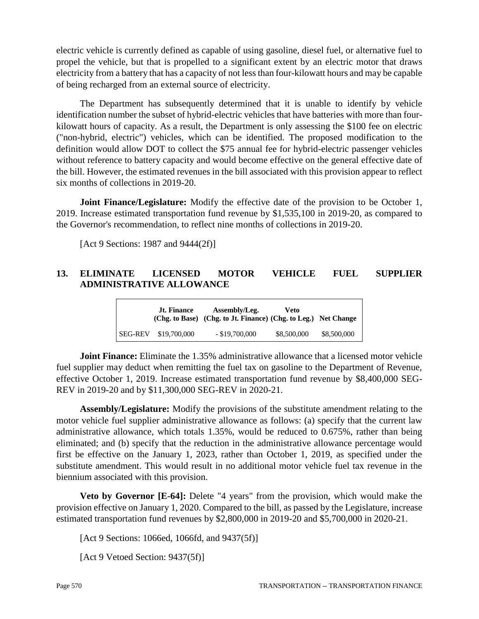electric vehicle is currently defined as capable of using gasoline, diesel fuel, or alternative fuel to propel the vehicle, but that is propelled to a significant extent by an electric motor that draws electricity from a battery that has a capacity of not less than four-kilowatt hours and may be capable of being recharged from an external source of electricity.

The Department has subsequently determined that it is unable to identify by vehicle identification number the subset of hybrid-electric vehicles that have batteries with more than fourkilowatt hours of capacity. As a result, the Department is only assessing the \$100 fee on electric ("non-hybrid, electric") vehicles, which can be identified. The proposed modification to the definition would allow DOT to collect the \$75 annual fee for hybrid-electric passenger vehicles without reference to battery capacity and would become effective on the general effective date of the bill. However, the estimated revenues in the bill associated with this provision appear to reflect six months of collections in 2019-20.

**Joint Finance/Legislature:** Modify the effective date of the provision to be October 1, 2019. Increase estimated transportation fund revenue by \$1,535,100 in 2019-20, as compared to the Governor's recommendation, to reflect nine months of collections in 2019-20.

[Act 9 Sections: 1987 and 9444(2f)]

# **13. ELIMINATE LICENSED MOTOR VEHICLE FUEL SUPPLIER ADMINISTRATIVE ALLOWANCE**

|                | <b>Jt. Finance</b> | Assembly/Leg.<br>(Chg. to Base) (Chg. to Jt. Finance) (Chg. to Leg.) Net Change | Veto        |             |
|----------------|--------------------|---------------------------------------------------------------------------------|-------------|-------------|
| <b>SEG-REV</b> | \$19,700,000       | $-$ \$19,700,000                                                                | \$8,500,000 | \$8,500,000 |

**Joint Finance:** Eliminate the 1.35% administrative allowance that a licensed motor vehicle fuel supplier may deduct when remitting the fuel tax on gasoline to the Department of Revenue, effective October 1, 2019. Increase estimated transportation fund revenue by \$8,400,000 SEG-REV in 2019-20 and by \$11,300,000 SEG-REV in 2020-21.

**Assembly/Legislature:** Modify the provisions of the substitute amendment relating to the motor vehicle fuel supplier administrative allowance as follows: (a) specify that the current law administrative allowance, which totals 1.35%, would be reduced to 0.675%, rather than being eliminated; and (b) specify that the reduction in the administrative allowance percentage would first be effective on the January 1, 2023, rather than October 1, 2019, as specified under the substitute amendment. This would result in no additional motor vehicle fuel tax revenue in the biennium associated with this provision.

**Veto by Governor [E-64]:** Delete "4 years" from the provision, which would make the provision effective on January 1, 2020. Compared to the bill, as passed by the Legislature, increase estimated transportation fund revenues by \$2,800,000 in 2019-20 and \$5,700,000 in 2020-21.

[Act 9 Sections: 1066ed, 1066fd, and 9437(5f)]

[Act 9 Vetoed Section: 9437(5f)]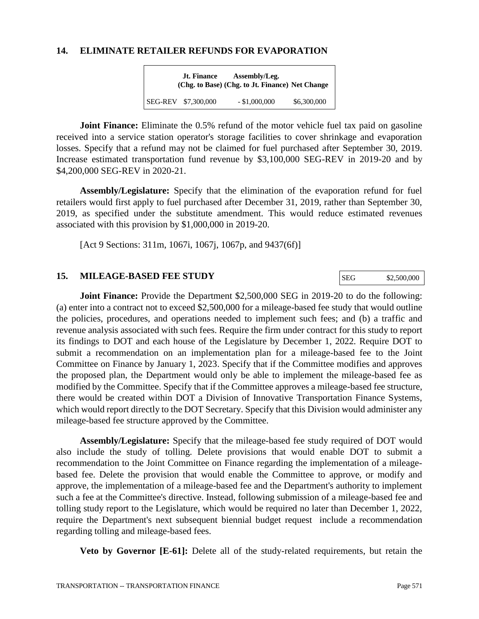#### **14. ELIMINATE RETAILER REFUNDS FOR EVAPORATION**

| <b>Jt. Finance</b>  | Assembly/Leg.<br>(Chg. to Base) (Chg. to Jt. Finance) Net Change |             |
|---------------------|------------------------------------------------------------------|-------------|
| SEG-REV \$7,300,000 | $-$ \$1,000,000                                                  | \$6,300,000 |

**Joint Finance:** Eliminate the 0.5% refund of the motor vehicle fuel tax paid on gasoline received into a service station operator's storage facilities to cover shrinkage and evaporation losses. Specify that a refund may not be claimed for fuel purchased after September 30, 2019. Increase estimated transportation fund revenue by \$3,100,000 SEG-REV in 2019-20 and by \$4,200,000 SEG-REV in 2020-21.

**Assembly/Legislature:** Specify that the elimination of the evaporation refund for fuel retailers would first apply to fuel purchased after December 31, 2019, rather than September 30, 2019, as specified under the substitute amendment. This would reduce estimated revenues associated with this provision by \$1,000,000 in 2019-20.

[Act 9 Sections: 311m, 1067i, 1067j, 1067p, and 9437(6f)]

### **15. MILEAGE-BASED FEE STUDY**

**Joint Finance:** Provide the Department \$2,500,000 SEG in 2019-20 to do the following: (a) enter into a contract not to exceed \$2,500,000 for a mileage-based fee study that would outline the policies, procedures, and operations needed to implement such fees; and (b) a traffic and revenue analysis associated with such fees. Require the firm under contract for this study to report its findings to DOT and each house of the Legislature by December 1, 2022. Require DOT to submit a recommendation on an implementation plan for a mileage-based fee to the Joint Committee on Finance by January 1, 2023. Specify that if the Committee modifies and approves the proposed plan, the Department would only be able to implement the mileage-based fee as modified by the Committee. Specify that if the Committee approves a mileage-based fee structure, there would be created within DOT a Division of Innovative Transportation Finance Systems, which would report directly to the DOT Secretary. Specify that this Division would administer any mileage-based fee structure approved by the Committee.

**Assembly/Legislature:** Specify that the mileage-based fee study required of DOT would also include the study of tolling. Delete provisions that would enable DOT to submit a recommendation to the Joint Committee on Finance regarding the implementation of a mileagebased fee. Delete the provision that would enable the Committee to approve, or modify and approve, the implementation of a mileage-based fee and the Department's authority to implement such a fee at the Committee's directive. Instead, following submission of a mileage-based fee and tolling study report to the Legislature, which would be required no later than December 1, 2022, require the Department's next subsequent biennial budget request include a recommendation regarding tolling and mileage-based fees.

**Veto by Governor [E-61]:** Delete all of the study-related requirements, but retain the

SEG \$2,500,000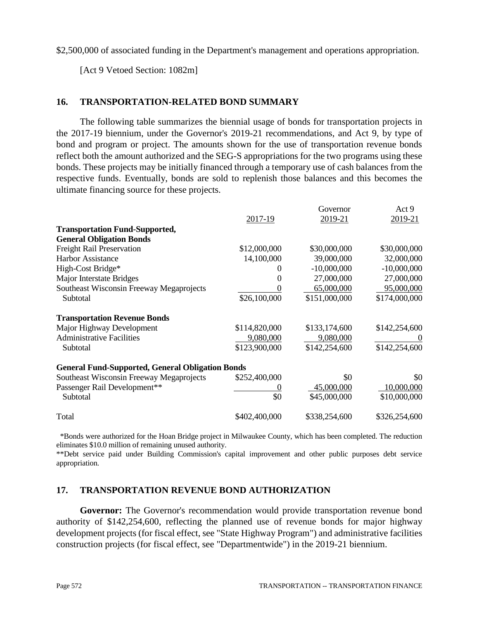\$2,500,000 of associated funding in the Department's management and operations appropriation.

[Act 9 Vetoed Section: 1082m]

# **16. TRANSPORTATION-RELATED BOND SUMMARY**

The following table summarizes the biennial usage of bonds for transportation projects in the 2017-19 biennium, under the Governor's 2019-21 recommendations, and Act 9, by type of bond and program or project. The amounts shown for the use of transportation revenue bonds reflect both the amount authorized and the SEG-S appropriations for the two programs using these bonds. These projects may be initially financed through a temporary use of cash balances from the respective funds. Eventually, bonds are sold to replenish those balances and this becomes the ultimate financing source for these projects.

|                                                         |               | Governor                   | Act 9                      |
|---------------------------------------------------------|---------------|----------------------------|----------------------------|
|                                                         | 2017-19       | 2019-21                    | 2019-21                    |
| <b>Transportation Fund-Supported,</b>                   |               |                            |                            |
| <b>General Obligation Bonds</b>                         |               |                            |                            |
| <b>Freight Rail Preservation</b>                        | \$12,000,000  | \$30,000,000               | \$30,000,000               |
| <b>Harbor Assistance</b>                                | 14,100,000    | 39,000,000                 | 32,000,000                 |
| High-Cost Bridge*                                       |               | $-10,000,000$              | $-10,000,000$              |
| Major Interstate Bridges                                | 0             | 27,000,000                 | 27,000,000                 |
| Southeast Wisconsin Freeway Megaprojects                |               | 65,000,000                 | 95,000,000                 |
| Subtotal                                                | \$26,100,000  | \$151,000,000              | \$174,000,000              |
| <b>Transportation Revenue Bonds</b>                     |               |                            |                            |
| Major Highway Development                               | \$114,820,000 | \$133,174,600              | \$142,254,600              |
| <b>Administrative Facilities</b>                        | 9,080,000     | 9,080,000                  |                            |
| Subtotal                                                | \$123,900,000 | \$142,254,600              | \$142,254,600              |
| <b>General Fund-Supported, General Obligation Bonds</b> |               |                            |                            |
| Southeast Wisconsin Freeway Megaprojects                | \$252,400,000 | \$0                        | \$0                        |
| Passenger Rail Development**<br>Subtotal                | \$0           | 45,000,000<br>\$45,000,000 | 10,000,000<br>\$10,000,000 |
| Total                                                   | \$402,400,000 | \$338,254,600              | \$326,254,600              |

 \*Bonds were authorized for the Hoan Bridge project in Milwaukee County, which has been completed. The reduction eliminates \$10.0 million of remaining unused authority.

\*\*Debt service paid under Building Commission's capital improvement and other public purposes debt service appropriation.

# **17. TRANSPORTATION REVENUE BOND AUTHORIZATION**

**Governor:** The Governor's recommendation would provide transportation revenue bond authority of \$142,254,600, reflecting the planned use of revenue bonds for major highway development projects (for fiscal effect, see "State Highway Program") and administrative facilities construction projects (for fiscal effect, see "Departmentwide") in the 2019-21 biennium.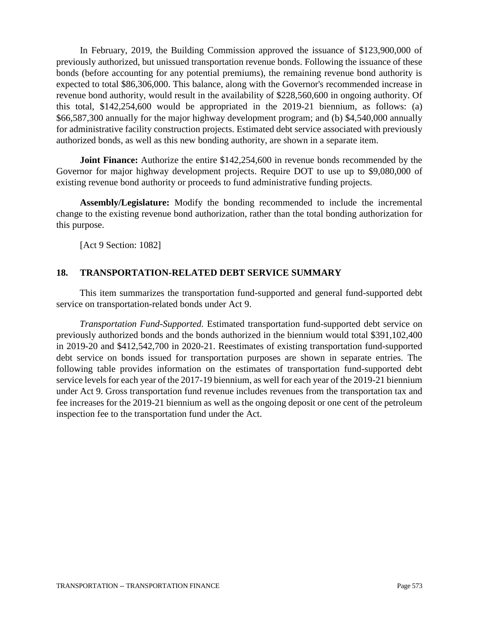In February, 2019, the Building Commission approved the issuance of \$123,900,000 of previously authorized, but unissued transportation revenue bonds. Following the issuance of these bonds (before accounting for any potential premiums), the remaining revenue bond authority is expected to total \$86,306,000. This balance, along with the Governor's recommended increase in revenue bond authority, would result in the availability of \$228,560,600 in ongoing authority. Of this total, \$142,254,600 would be appropriated in the 2019-21 biennium, as follows: (a) \$66,587,300 annually for the major highway development program; and (b) \$4,540,000 annually for administrative facility construction projects. Estimated debt service associated with previously authorized bonds, as well as this new bonding authority, are shown in a separate item.

**Joint Finance:** Authorize the entire \$142,254,600 in revenue bonds recommended by the Governor for major highway development projects. Require DOT to use up to \$9,080,000 of existing revenue bond authority or proceeds to fund administrative funding projects.

**Assembly/Legislature:** Modify the bonding recommended to include the incremental change to the existing revenue bond authorization, rather than the total bonding authorization for this purpose.

[Act 9 Section: 1082]

# **18. TRANSPORTATION-RELATED DEBT SERVICE SUMMARY**

This item summarizes the transportation fund-supported and general fund-supported debt service on transportation-related bonds under Act 9.

*Transportation Fund-Supported.* Estimated transportation fund-supported debt service on previously authorized bonds and the bonds authorized in the biennium would total \$391,102,400 in 2019-20 and \$412,542,700 in 2020-21. Reestimates of existing transportation fund-supported debt service on bonds issued for transportation purposes are shown in separate entries. The following table provides information on the estimates of transportation fund-supported debt service levels for each year of the 2017-19 biennium, as well for each year of the 2019-21 biennium under Act 9. Gross transportation fund revenue includes revenues from the transportation tax and fee increases for the 2019-21 biennium as well as the ongoing deposit or one cent of the petroleum inspection fee to the transportation fund under the Act.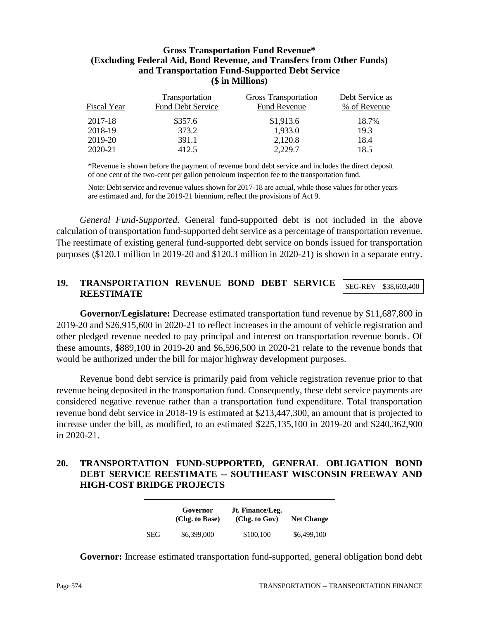### **Gross Transportation Fund Revenue\* (Excluding Federal Aid, Bond Revenue, and Transfers from Other Funds) and Transportation Fund-Supported Debt Service (\$ in Millions)**

| Fiscal Year | Transportation<br><b>Fund Debt Service</b> | Gross Transportation<br><b>Fund Revenue</b> | Debt Service as<br>% of Revenue |
|-------------|--------------------------------------------|---------------------------------------------|---------------------------------|
| 2017-18     | \$357.6                                    | \$1,913.6                                   | 18.7%                           |
| 2018-19     | 373.2                                      | 1,933.0                                     | 19.3                            |
| 2019-20     | 391.1                                      | 2,120.8                                     | 18.4                            |
| 2020-21     | 412.5                                      | 2,229.7                                     | 18.5                            |

\*Revenue is shown before the payment of revenue bond debt service and includes the direct deposit of one cent of the two-cent per gallon petroleum inspection fee to the transportation fund.

Note: Debt service and revenue values shown for 2017-18 are actual, while those values for other years are estimated and, for the 2019-21 biennium, reflect the provisions of Act 9.

*General Fund-Supported.* General fund-supported debt is not included in the above calculation of transportation fund-supported debt service as a percentage of transportation revenue. The reestimate of existing general fund-supported debt service on bonds issued for transportation purposes (\$120.1 million in 2019-20 and \$120.3 million in 2020-21) is shown in a separate entry.

#### **19. TRANSPORTATION REVENUE BOND DEBT SERVICE REESTIMATE** SEG-REV \$38,603,400

**Governor/Legislature:** Decrease estimated transportation fund revenue by \$11,687,800 in 2019-20 and \$26,915,600 in 2020-21 to reflect increases in the amount of vehicle registration and other pledged revenue needed to pay principal and interest on transportation revenue bonds. Of these amounts, \$889,100 in 2019-20 and \$6,596,500 in 2020-21 relate to the revenue bonds that would be authorized under the bill for major highway development purposes.

Revenue bond debt service is primarily paid from vehicle registration revenue prior to that revenue being deposited in the transportation fund. Consequently, these debt service payments are considered negative revenue rather than a transportation fund expenditure. Total transportation revenue bond debt service in 2018-19 is estimated at \$213,447,300, an amount that is projected to increase under the bill, as modified, to an estimated \$225,135,100 in 2019-20 and \$240,362,900 in 2020-21.

## **20. TRANSPORTATION FUND-SUPPORTED, GENERAL OBLIGATION BOND DEBT SERVICE REESTIMATE -- SOUTHEAST WISCONSIN FREEWAY AND HIGH-COST BRIDGE PROJECTS**

|            | Governor<br>(Chg. to Base) | Jt. Finance/Leg.<br>(Chg. to Gov) | <b>Net Change</b> |
|------------|----------------------------|-----------------------------------|-------------------|
| <b>SEG</b> | \$6,399,000                | \$100,100                         | \$6,499,100       |

**Governor:** Increase estimated transportation fund-supported, general obligation bond debt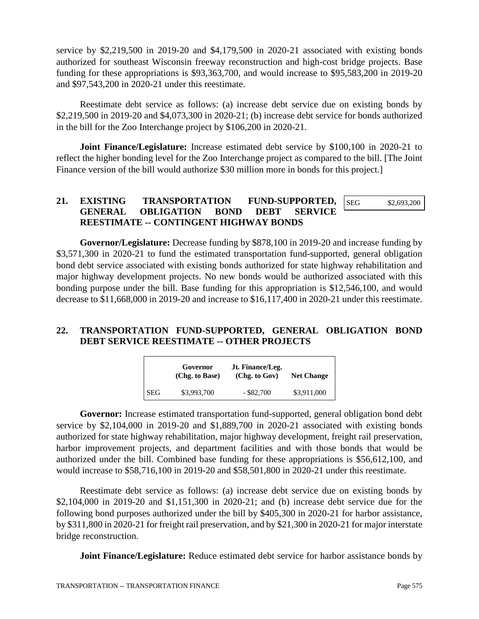service by \$2,219,500 in 2019-20 and \$4,179,500 in 2020-21 associated with existing bonds authorized for southeast Wisconsin freeway reconstruction and high-cost bridge projects. Base funding for these appropriations is \$93,363,700, and would increase to \$95,583,200 in 2019-20 and \$97,543,200 in 2020-21 under this reestimate.

Reestimate debt service as follows: (a) increase debt service due on existing bonds by \$2,219,500 in 2019-20 and \$4,073,300 in 2020-21; (b) increase debt service for bonds authorized in the bill for the Zoo Interchange project by \$106,200 in 2020-21.

**Joint Finance/Legislature:** Increase estimated debt service by \$100,100 in 2020-21 to reflect the higher bonding level for the Zoo Interchange project as compared to the bill. [The Joint Finance version of the bill would authorize \$30 million more in bonds for this project.

#### **21. EXISTING TRANSPORTATION FUND-SUPPORTED, GENERAL OBLIGATION BOND DEBT SERVICE REESTIMATE -- CONTINGENT HIGHWAY BONDS**  SEG \$2,693,200

**Governor/Legislature:** Decrease funding by \$878,100 in 2019-20 and increase funding by \$3,571,300 in 2020-21 to fund the estimated transportation fund-supported, general obligation bond debt service associated with existing bonds authorized for state highway rehabilitation and major highway development projects. No new bonds would be authorized associated with this bonding purpose under the bill. Base funding for this appropriation is \$12,546,100, and would decrease to \$11,668,000 in 2019-20 and increase to \$16,117,400 in 2020-21 under this reestimate.

# **22. TRANSPORTATION FUND-SUPPORTED, GENERAL OBLIGATION BOND DEBT SERVICE REESTIMATE -- OTHER PROJECTS**

|            | Governor<br>(Chg. to Base) | Jt. Finance/Leg.<br>(Chg. to Gov) | <b>Net Change</b> |
|------------|----------------------------|-----------------------------------|-------------------|
| <b>SEG</b> | \$3,993,700                | $-$ \$82,700                      | \$3,911,000       |

**Governor:** Increase estimated transportation fund-supported, general obligation bond debt service by \$2,104,000 in 2019-20 and \$1,889,700 in 2020-21 associated with existing bonds authorized for state highway rehabilitation, major highway development, freight rail preservation, harbor improvement projects, and department facilities and with those bonds that would be authorized under the bill. Combined base funding for these appropriations is \$56,612,100, and would increase to \$58,716,100 in 2019-20 and \$58,501,800 in 2020-21 under this reestimate.

Reestimate debt service as follows: (a) increase debt service due on existing bonds by \$2,104,000 in 2019-20 and \$1,151,300 in 2020-21; and (b) increase debt service due for the following bond purposes authorized under the bill by \$405,300 in 2020-21 for harbor assistance, by \$311,800 in 2020-21 for freight rail preservation, and by \$21,300 in 2020-21 for major interstate bridge reconstruction.

**Joint Finance/Legislature:** Reduce estimated debt service for harbor assistance bonds by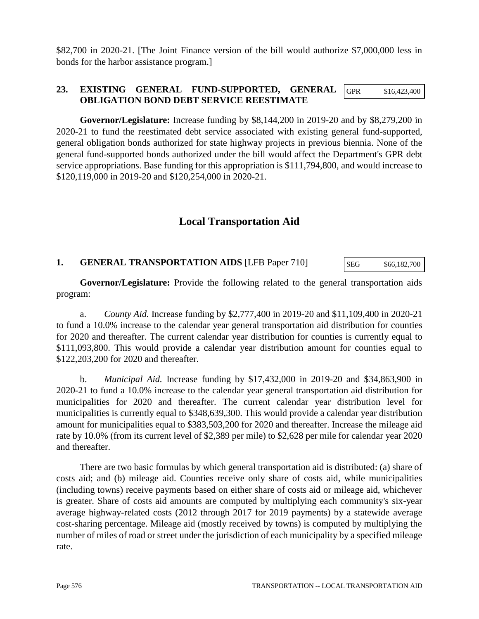\$82,700 in 2020-21. [The Joint Finance version of the bill would authorize \$7,000,000 less in bonds for the harbor assistance program.]

#### **23. EXISTING GENERAL FUND-SUPPORTED, GENERAL OBLIGATION BOND DEBT SERVICE REESTIMATE** GPR \$16,423,400

**Governor/Legislature:** Increase funding by \$8,144,200 in 2019-20 and by \$8,279,200 in 2020-21 to fund the reestimated debt service associated with existing general fund-supported, general obligation bonds authorized for state highway projects in previous biennia. None of the general fund-supported bonds authorized under the bill would affect the Department's GPR debt service appropriations. Base funding for this appropriation is \$111,794,800, and would increase to \$120,119,000 in 2019-20 and \$120,254,000 in 2020-21.

# **Local Transportation Aid**

#### **1. GENERAL TRANSPORTATION AIDS** [LFB Paper 710] SEG \$66,182,700

**Governor/Legislature:** Provide the following related to the general transportation aids program:

a. *County Aid.* Increase funding by \$2,777,400 in 2019-20 and \$11,109,400 in 2020-21 to fund a 10.0% increase to the calendar year general transportation aid distribution for counties for 2020 and thereafter. The current calendar year distribution for counties is currently equal to \$111,093,800. This would provide a calendar year distribution amount for counties equal to \$122,203,200 for 2020 and thereafter.

b. *Municipal Aid.* Increase funding by \$17,432,000 in 2019-20 and \$34,863,900 in 2020-21 to fund a 10.0% increase to the calendar year general transportation aid distribution for municipalities for 2020 and thereafter. The current calendar year distribution level for municipalities is currently equal to \$348,639,300. This would provide a calendar year distribution amount for municipalities equal to \$383,503,200 for 2020 and thereafter. Increase the mileage aid rate by 10.0% (from its current level of \$2,389 per mile) to \$2,628 per mile for calendar year 2020 and thereafter.

There are two basic formulas by which general transportation aid is distributed: (a) share of costs aid; and (b) mileage aid. Counties receive only share of costs aid, while municipalities (including towns) receive payments based on either share of costs aid or mileage aid, whichever is greater. Share of costs aid amounts are computed by multiplying each community's six-year average highway-related costs (2012 through 2017 for 2019 payments) by a statewide average cost-sharing percentage. Mileage aid (mostly received by towns) is computed by multiplying the number of miles of road or street under the jurisdiction of each municipality by a specified mileage rate.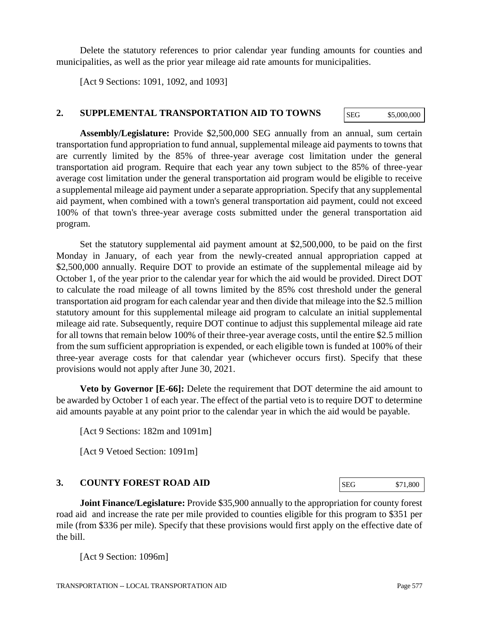Delete the statutory references to prior calendar year funding amounts for counties and municipalities, as well as the prior year mileage aid rate amounts for municipalities.

[Act 9 Sections: 1091, 1092, and 1093]

## **2. SUPPLEMENTAL TRANSPORTATION AID TO TOWNS**

**Assembly/Legislature:** Provide \$2,500,000 SEG annually from an annual, sum certain transportation fund appropriation to fund annual, supplemental mileage aid payments to towns that are currently limited by the 85% of three-year average cost limitation under the general transportation aid program. Require that each year any town subject to the 85% of three-year average cost limitation under the general transportation aid program would be eligible to receive a supplemental mileage aid payment under a separate appropriation. Specify that any supplemental aid payment, when combined with a town's general transportation aid payment, could not exceed 100% of that town's three-year average costs submitted under the general transportation aid program.

Set the statutory supplemental aid payment amount at \$2,500,000, to be paid on the first Monday in January, of each year from the newly-created annual appropriation capped at \$2,500,000 annually. Require DOT to provide an estimate of the supplemental mileage aid by October 1, of the year prior to the calendar year for which the aid would be provided. Direct DOT to calculate the road mileage of all towns limited by the 85% cost threshold under the general transportation aid program for each calendar year and then divide that mileage into the \$2.5 million statutory amount for this supplemental mileage aid program to calculate an initial supplemental mileage aid rate. Subsequently, require DOT continue to adjust this supplemental mileage aid rate for all towns that remain below 100% of their three-year average costs, until the entire \$2.5 million from the sum sufficient appropriation is expended, or each eligible town is funded at 100% of their three-year average costs for that calendar year (whichever occurs first). Specify that these provisions would not apply after June 30, 2021.

**Veto by Governor [E-66]:** Delete the requirement that DOT determine the aid amount to be awarded by October 1 of each year. The effect of the partial veto is to require DOT to determine aid amounts payable at any point prior to the calendar year in which the aid would be payable.

[Act 9 Sections: 182m and 1091m]

[Act 9 Vetoed Section: 1091m]

# **3. COUNTY FOREST ROAD AID**

**Joint Finance/Legislature:** Provide \$35,900 annually to the appropriation for county forest road aid and increase the rate per mile provided to counties eligible for this program to \$351 per mile (from \$336 per mile). Specify that these provisions would first apply on the effective date of the bill.

[Act 9 Section: 1096m]

SEG \$71,800

SEG \$5,000,000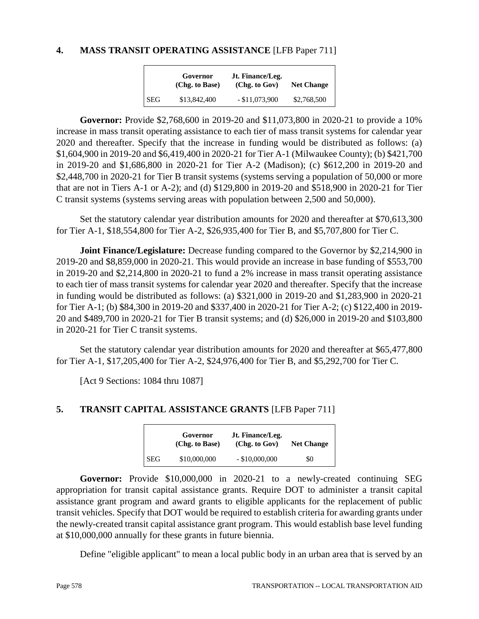# **4. MASS TRANSIT OPERATING ASSISTANCE** [LFB Paper 711]

|            | Governor<br>(Chg. to Base) | Jt. Finance/Leg.<br>(Chg. to Gov) | <b>Net Change</b> |
|------------|----------------------------|-----------------------------------|-------------------|
| <b>SEG</b> | \$13,842,400               | $-$ \$11,073,900                  | \$2,768,500       |

**Governor:** Provide \$2,768,600 in 2019-20 and \$11,073,800 in 2020-21 to provide a 10% increase in mass transit operating assistance to each tier of mass transit systems for calendar year 2020 and thereafter. Specify that the increase in funding would be distributed as follows: (a) \$1,604,900 in 2019-20 and \$6,419,400 in 2020-21 for Tier A-1 (Milwaukee County); (b) \$421,700 in 2019-20 and \$1,686,800 in 2020-21 for Tier A-2 (Madison); (c) \$612,200 in 2019-20 and \$2,448,700 in 2020-21 for Tier B transit systems (systems serving a population of 50,000 or more that are not in Tiers A-1 or A-2); and (d) \$129,800 in 2019-20 and \$518,900 in 2020-21 for Tier C transit systems (systems serving areas with population between 2,500 and 50,000).

Set the statutory calendar year distribution amounts for 2020 and thereafter at \$70,613,300 for Tier A-1, \$18,554,800 for Tier A-2, \$26,935,400 for Tier B, and \$5,707,800 for Tier C.

**Joint Finance/Legislature:** Decrease funding compared to the Governor by \$2,214,900 in 2019-20 and \$8,859,000 in 2020-21. This would provide an increase in base funding of \$553,700 in 2019-20 and \$2,214,800 in 2020-21 to fund a 2% increase in mass transit operating assistance to each tier of mass transit systems for calendar year 2020 and thereafter. Specify that the increase in funding would be distributed as follows: (a) \$321,000 in 2019-20 and \$1,283,900 in 2020-21 for Tier A-1; (b) \$84,300 in 2019-20 and \$337,400 in 2020-21 for Tier A-2; (c) \$122,400 in 2019- 20 and \$489,700 in 2020-21 for Tier B transit systems; and (d) \$26,000 in 2019-20 and \$103,800 in 2020-21 for Tier C transit systems.

Set the statutory calendar year distribution amounts for 2020 and thereafter at \$65,477,800 for Tier A-1, \$17,205,400 for Tier A-2, \$24,976,400 for Tier B, and \$5,292,700 for Tier C.

[Act 9 Sections: 1084 thru 1087]

# **5. TRANSIT CAPITAL ASSISTANCE GRANTS** [LFB Paper 711]

|            | Governor<br>(Chg. to Base) | Jt. Finance/Leg.<br>(Chg. to Gov) | <b>Net Change</b> |
|------------|----------------------------|-----------------------------------|-------------------|
| <b>SEG</b> | \$10,000,000               | $-$ \$10,000,000                  | \$0               |

**Governor:** Provide \$10,000,000 in 2020-21 to a newly-created continuing SEG appropriation for transit capital assistance grants. Require DOT to administer a transit capital assistance grant program and award grants to eligible applicants for the replacement of public transit vehicles. Specify that DOT would be required to establish criteria for awarding grants under the newly-created transit capital assistance grant program. This would establish base level funding at \$10,000,000 annually for these grants in future biennia.

Define "eligible applicant" to mean a local public body in an urban area that is served by an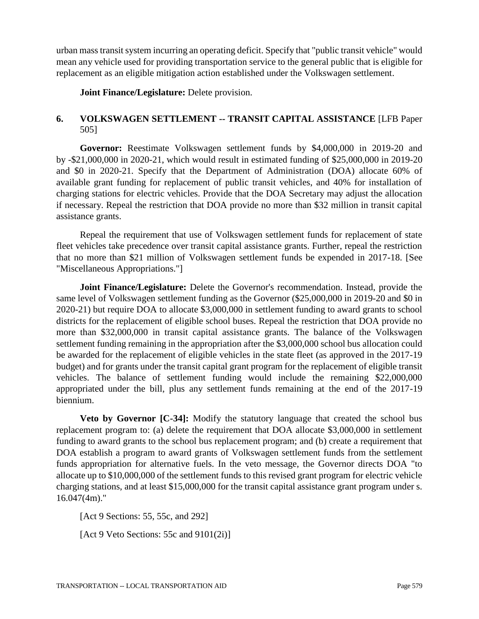urban mass transit system incurring an operating deficit. Specify that "public transit vehicle" would mean any vehicle used for providing transportation service to the general public that is eligible for replacement as an eligible mitigation action established under the Volkswagen settlement.

**Joint Finance/Legislature:** Delete provision.

# **6. VOLKSWAGEN SETTLEMENT -- TRANSIT CAPITAL ASSISTANCE** [LFB Paper 505]

**Governor:** Reestimate Volkswagen settlement funds by \$4,000,000 in 2019-20 and by -\$21,000,000 in 2020-21, which would result in estimated funding of \$25,000,000 in 2019-20 and \$0 in 2020-21. Specify that the Department of Administration (DOA) allocate 60% of available grant funding for replacement of public transit vehicles, and 40% for installation of charging stations for electric vehicles. Provide that the DOA Secretary may adjust the allocation if necessary. Repeal the restriction that DOA provide no more than \$32 million in transit capital assistance grants.

Repeal the requirement that use of Volkswagen settlement funds for replacement of state fleet vehicles take precedence over transit capital assistance grants. Further, repeal the restriction that no more than \$21 million of Volkswagen settlement funds be expended in 2017-18. [See "Miscellaneous Appropriations."]

**Joint Finance/Legislature:** Delete the Governor's recommendation. Instead, provide the same level of Volkswagen settlement funding as the Governor (\$25,000,000 in 2019-20 and \$0 in 2020-21) but require DOA to allocate \$3,000,000 in settlement funding to award grants to school districts for the replacement of eligible school buses. Repeal the restriction that DOA provide no more than \$32,000,000 in transit capital assistance grants. The balance of the Volkswagen settlement funding remaining in the appropriation after the \$3,000,000 school bus allocation could be awarded for the replacement of eligible vehicles in the state fleet (as approved in the 2017-19 budget) and for grants under the transit capital grant program for the replacement of eligible transit vehicles. The balance of settlement funding would include the remaining \$22,000,000 appropriated under the bill, plus any settlement funds remaining at the end of the 2017-19 biennium.

**Veto by Governor [C-34]:** Modify the statutory language that created the school bus replacement program to: (a) delete the requirement that DOA allocate \$3,000,000 in settlement funding to award grants to the school bus replacement program; and (b) create a requirement that DOA establish a program to award grants of Volkswagen settlement funds from the settlement funds appropriation for alternative fuels. In the veto message, the Governor directs DOA "to allocate up to \$10,000,000 of the settlement funds to this revised grant program for electric vehicle charging stations, and at least \$15,000,000 for the transit capital assistance grant program under s. 16.047(4m)."

[Act 9 Sections: 55, 55c, and 292]

[Act 9 Veto Sections: 55c and 9101(2i)]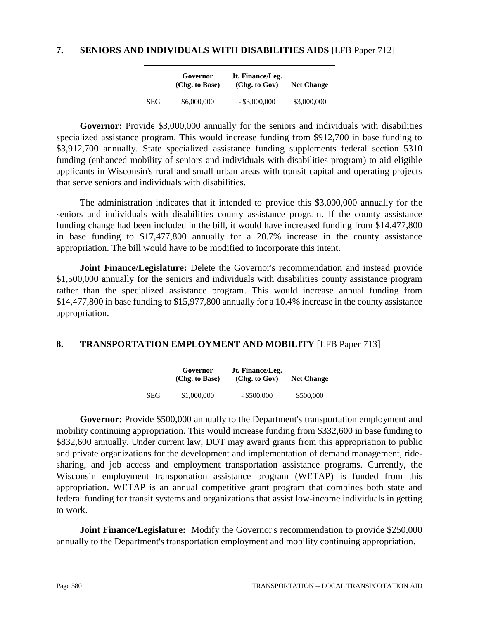### **7. SENIORS AND INDIVIDUALS WITH DISABILITIES AIDS** [LFB Paper 712]

|            | Governor<br>(Chg. to Base) | Jt. Finance/Leg.<br>(Chg. to Gov) | <b>Net Change</b> |
|------------|----------------------------|-----------------------------------|-------------------|
| <b>SEG</b> | \$6,000,000                | $-$ \$3,000,000                   | \$3,000,000       |

**Governor:** Provide \$3,000,000 annually for the seniors and individuals with disabilities specialized assistance program. This would increase funding from \$912,700 in base funding to \$3,912,700 annually. State specialized assistance funding supplements federal section 5310 funding (enhanced mobility of seniors and individuals with disabilities program) to aid eligible applicants in Wisconsin's rural and small urban areas with transit capital and operating projects that serve seniors and individuals with disabilities.

The administration indicates that it intended to provide this \$3,000,000 annually for the seniors and individuals with disabilities county assistance program. If the county assistance funding change had been included in the bill, it would have increased funding from \$14,477,800 in base funding to \$17,477,800 annually for a 20.7% increase in the county assistance appropriation. The bill would have to be modified to incorporate this intent.

**Joint Finance/Legislature:** Delete the Governor's recommendation and instead provide \$1,500,000 annually for the seniors and individuals with disabilities county assistance program rather than the specialized assistance program. This would increase annual funding from \$14,477,800 in base funding to \$15,977,800 annually for a 10.4% increase in the county assistance appropriation.

# **8. TRANSPORTATION EMPLOYMENT AND MOBILITY** [LFB Paper 713]

|            | Governor<br>(Chg. to Base) | Jt. Finance/Leg.<br>(Chg. to Gov) | <b>Net Change</b> |
|------------|----------------------------|-----------------------------------|-------------------|
| <b>SEG</b> | \$1,000,000                | $-$ \$500,000                     | \$500,000         |

**Governor:** Provide \$500,000 annually to the Department's transportation employment and mobility continuing appropriation. This would increase funding from \$332,600 in base funding to \$832,600 annually. Under current law, DOT may award grants from this appropriation to public and private organizations for the development and implementation of demand management, ridesharing, and job access and employment transportation assistance programs. Currently, the Wisconsin employment transportation assistance program (WETAP) is funded from this appropriation. WETAP is an annual competitive grant program that combines both state and federal funding for transit systems and organizations that assist low-income individuals in getting to work.

**Joint Finance/Legislature:** Modify the Governor's recommendation to provide \$250,000 annually to the Department's transportation employment and mobility continuing appropriation.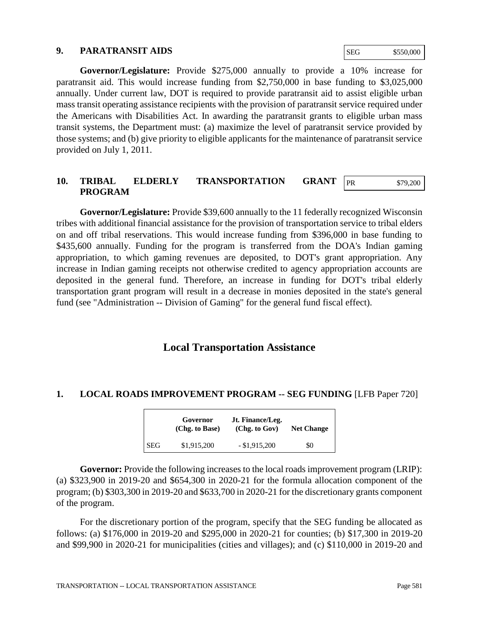#### **9. PARATRANSIT AIDS**

SEG \$550,000

**Governor/Legislature:** Provide \$275,000 annually to provide a 10% increase for paratransit aid. This would increase funding from \$2,750,000 in base funding to \$3,025,000 annually. Under current law, DOT is required to provide paratransit aid to assist eligible urban mass transit operating assistance recipients with the provision of paratransit service required under the Americans with Disabilities Act. In awarding the paratransit grants to eligible urban mass transit systems, the Department must: (a) maximize the level of paratransit service provided by those systems; and (b) give priority to eligible applicants for the maintenance of paratransit service provided on July 1, 2011.

#### **10. TRIBAL ELDERLY TRANSPORTATION GRANT PROGRAM** PR \$79,200

**Governor/Legislature:** Provide \$39,600 annually to the 11 federally recognized Wisconsin tribes with additional financial assistance for the provision of transportation service to tribal elders on and off tribal reservations. This would increase funding from \$396,000 in base funding to \$435,600 annually. Funding for the program is transferred from the DOA's Indian gaming appropriation, to which gaming revenues are deposited, to DOT's grant appropriation. Any increase in Indian gaming receipts not otherwise credited to agency appropriation accounts are deposited in the general fund. Therefore, an increase in funding for DOT's tribal elderly transportation grant program will result in a decrease in monies deposited in the state's general fund (see "Administration -- Division of Gaming" for the general fund fiscal effect).

# **Local Transportation Assistance**

# **1. LOCAL ROADS IMPROVEMENT PROGRAM -- SEG FUNDING** [LFB Paper 720]

|            | Governor<br>(Chg. to Base) | Jt. Finance/Leg.<br>(Chg. to Gov) | <b>Net Change</b> |
|------------|----------------------------|-----------------------------------|-------------------|
| <b>SEG</b> | \$1,915,200                | $-$ \$1,915,200                   | \$0               |

**Governor:** Provide the following increases to the local roads improvement program (LRIP): (a) \$323,900 in 2019-20 and \$654,300 in 2020-21 for the formula allocation component of the program; (b) \$303,300 in 2019-20 and \$633,700 in 2020-21 for the discretionary grants component of the program.

For the discretionary portion of the program, specify that the SEG funding be allocated as follows: (a) \$176,000 in 2019-20 and \$295,000 in 2020-21 for counties; (b) \$17,300 in 2019-20 and \$99,900 in 2020-21 for municipalities (cities and villages); and (c) \$110,000 in 2019-20 and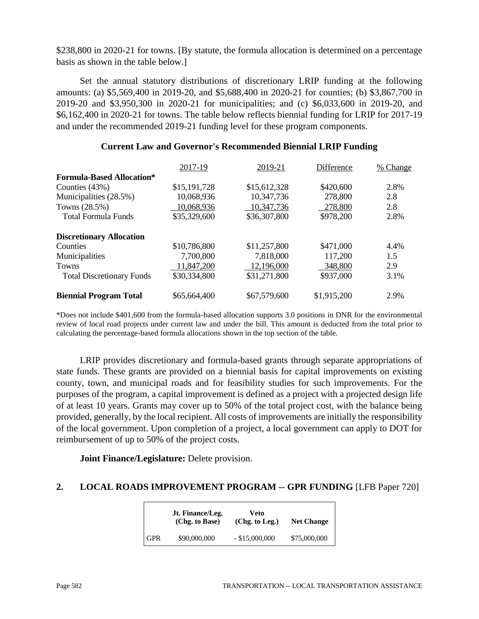\$238,800 in 2020-21 for towns. [By statute, the formula allocation is determined on a percentage basis as shown in the table below.]

Set the annual statutory distributions of discretionary LRIP funding at the following amounts: (a) \$5,569,400 in 2019-20, and \$5,688,400 in 2020-21 for counties; (b) \$3,867,700 in 2019-20 and \$3,950,300 in 2020-21 for municipalities; and (c) \$6,033,600 in 2019-20, and \$6,162,400 in 2020-21 for towns. The table below reflects biennial funding for LRIP for 2017-19 and under the recommended 2019-21 funding level for these program components.

|                                  | 2017-19      | 2019-21      | Difference  | % Change |
|----------------------------------|--------------|--------------|-------------|----------|
| <b>Formula-Based Allocation*</b> |              |              |             |          |
| Counties $(43%)$                 | \$15,191,728 | \$15,612,328 | \$420,600   | 2.8%     |
| Municipalities (28.5%)           | 10,068,936   | 10,347,736   | 278,800     | 2.8      |
| Towns (28.5%)                    | 10,068,936   | 10,347,736   | 278,800     | 2.8      |
| <b>Total Formula Funds</b>       | \$35,329,600 | \$36,307,800 | \$978,200   | 2.8%     |
| <b>Discretionary Allocation</b>  |              |              |             |          |
| Counties                         | \$10,786,800 | \$11,257,800 | \$471,000   | 4.4%     |
| Municipalities                   | 7,700,800    | 7,818,000    | 117,200     | 1.5      |
| <b>Towns</b>                     | 11,847,200   | 12,196,000   | 348,800     | 2.9      |
| <b>Total Discretionary Funds</b> | \$30,334,800 | \$31,271,800 | \$937,000   | 3.1%     |
| <b>Biennial Program Total</b>    | \$65,664,400 | \$67,579,600 | \$1,915,200 | 2.9%     |

#### **Current Law and Governor's Recommended Biennial LRIP Funding**

\*Does not include \$401,600 from the formula-based allocation supports 3.0 positions in DNR for the environmental review of local road projects under current law and under the bill. This amount is deducted from the total prior to calculating the percentage-based formula allocations shown in the top section of the table.

LRIP provides discretionary and formula-based grants through separate appropriations of state funds. These grants are provided on a biennial basis for capital improvements on existing county, town, and municipal roads and for feasibility studies for such improvements. For the purposes of the program, a capital improvement is defined as a project with a projected design life of at least 10 years. Grants may cover up to 50% of the total project cost, with the balance being provided, generally, by the local recipient. All costs of improvements are initially the responsibility of the local government. Upon completion of a project, a local government can apply to DOT for reimbursement of up to 50% of the project costs.

**Joint Finance/Legislature:** Delete provision.

# **2. LOCAL ROADS IMPROVEMENT PROGRAM -- GPR FUNDING** [LFB Paper 720]

|            | Jt. Finance/Leg.<br>(Chg. to Base) | Veto<br>(Chg. to Leg.) | <b>Net Change</b> |
|------------|------------------------------------|------------------------|-------------------|
| <b>GPR</b> | \$90,000,000                       | $-$ \$15,000,000       | \$75,000,000      |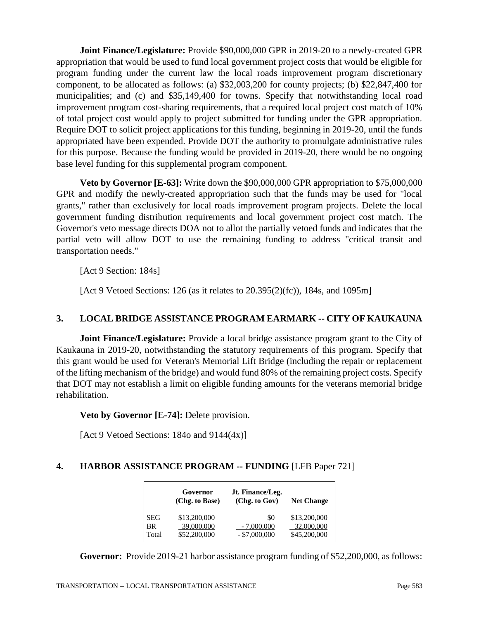**Joint Finance/Legislature:** Provide \$90,000,000 GPR in 2019-20 to a newly-created GPR appropriation that would be used to fund local government project costs that would be eligible for program funding under the current law the local roads improvement program discretionary component, to be allocated as follows: (a) \$32,003,200 for county projects; (b) \$22,847,400 for municipalities; and (c) and \$35,149,400 for towns. Specify that notwithstanding local road improvement program cost-sharing requirements, that a required local project cost match of 10% of total project cost would apply to project submitted for funding under the GPR appropriation. Require DOT to solicit project applications for this funding, beginning in 2019-20, until the funds appropriated have been expended. Provide DOT the authority to promulgate administrative rules for this purpose. Because the funding would be provided in 2019-20, there would be no ongoing base level funding for this supplemental program component.

**Veto by Governor [E-63]:** Write down the \$90,000,000 GPR appropriation to \$75,000,000 GPR and modify the newly-created appropriation such that the funds may be used for "local grants," rather than exclusively for local roads improvement program projects. Delete the local government funding distribution requirements and local government project cost match. The Governor's veto message directs DOA not to allot the partially vetoed funds and indicates that the partial veto will allow DOT to use the remaining funding to address "critical transit and transportation needs."

[Act 9 Section: 184s]

[Act 9 Vetoed Sections: 126 (as it relates to 20.395(2)(fc)), 184s, and 1095m]

# **3. LOCAL BRIDGE ASSISTANCE PROGRAM EARMARK -- CITY OF KAUKAUNA**

**Joint Finance/Legislature:** Provide a local bridge assistance program grant to the City of Kaukauna in 2019-20, notwithstanding the statutory requirements of this program. Specify that this grant would be used for Veteran's Memorial Lift Bridge (including the repair or replacement of the lifting mechanism of the bridge) and would fund 80% of the remaining project costs. Specify that DOT may not establish a limit on eligible funding amounts for the veterans memorial bridge rehabilitation.

**Veto by Governor [E-74]:** Delete provision.

[Act 9 Vetoed Sections: 184 $o$  and 9144 $(4x)$ ]

# **4. HARBOR ASSISTANCE PROGRAM -- FUNDING** [LFB Paper 721]

|            | Governor<br>(Chg. to Base) | Jt. Finance/Leg.<br>(Chg. to Gov) | <b>Net Change</b> |
|------------|----------------------------|-----------------------------------|-------------------|
| <b>SEG</b> | \$13,200,000               | \$0                               | \$13,200,000      |
| <b>BR</b>  | 39,000,000                 | $-7,000,000$                      | 32,000,000        |
| Total      | \$52,200,000               | $-$ \$7,000,000                   | \$45,200,000      |

**Governor:** Provide 2019-21 harbor assistance program funding of \$52,200,000, as follows: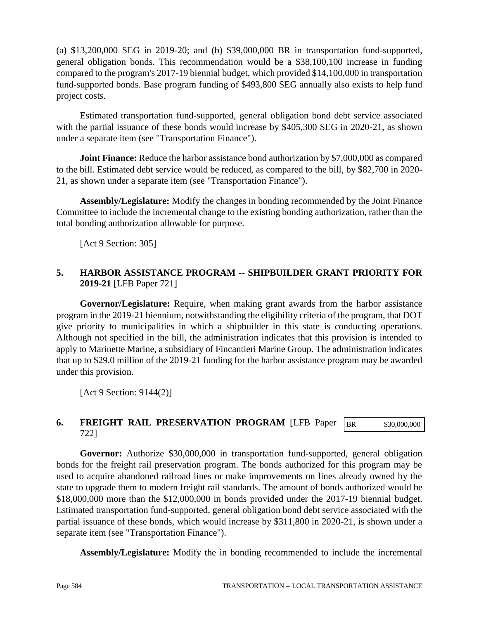(a) \$13,200,000 SEG in 2019-20; and (b) \$39,000,000 BR in transportation fund-supported, general obligation bonds. This recommendation would be a \$38,100,100 increase in funding compared to the program's 2017-19 biennial budget, which provided \$14,100,000 in transportation fund-supported bonds. Base program funding of \$493,800 SEG annually also exists to help fund project costs.

Estimated transportation fund-supported, general obligation bond debt service associated with the partial issuance of these bonds would increase by \$405,300 SEG in 2020-21, as shown under a separate item (see "Transportation Finance").

**Joint Finance:** Reduce the harbor assistance bond authorization by \$7,000,000 as compared to the bill. Estimated debt service would be reduced, as compared to the bill, by \$82,700 in 2020- 21, as shown under a separate item (see "Transportation Finance").

**Assembly/Legislature:** Modify the changes in bonding recommended by the Joint Finance Committee to include the incremental change to the existing bonding authorization, rather than the total bonding authorization allowable for purpose.

[Act 9 Section: 305]

# **5. HARBOR ASSISTANCE PROGRAM -- SHIPBUILDER GRANT PRIORITY FOR 2019-21** [LFB Paper 721]

**Governor/Legislature:** Require, when making grant awards from the harbor assistance program in the 2019-21 biennium, notwithstanding the eligibility criteria of the program, that DOT give priority to municipalities in which a shipbuilder in this state is conducting operations. Although not specified in the bill, the administration indicates that this provision is intended to apply to Marinette Marine, a subsidiary of Fincantieri Marine Group. The administration indicates that up to \$29.0 million of the 2019-21 funding for the harbor assistance program may be awarded under this provision.

[Act 9 Section: 9144(2)]

#### **6. FREIGHT RAIL PRESERVATION PROGRAM** [LFB Paper 722] BR \$30,000,000

**Governor:** Authorize \$30,000,000 in transportation fund-supported, general obligation bonds for the freight rail preservation program. The bonds authorized for this program may be used to acquire abandoned railroad lines or make improvements on lines already owned by the state to upgrade them to modern freight rail standards. The amount of bonds authorized would be \$18,000,000 more than the \$12,000,000 in bonds provided under the 2017-19 biennial budget. Estimated transportation fund-supported, general obligation bond debt service associated with the partial issuance of these bonds, which would increase by \$311,800 in 2020-21, is shown under a separate item (see "Transportation Finance").

**Assembly/Legislature:** Modify the in bonding recommended to include the incremental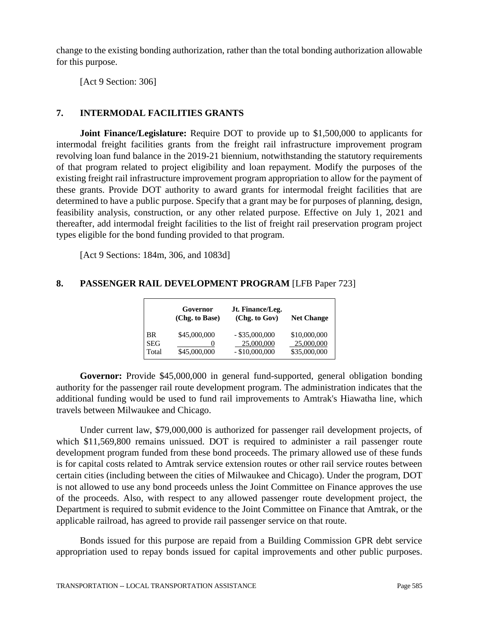change to the existing bonding authorization, rather than the total bonding authorization allowable for this purpose.

[Act 9 Section: 306]

# **7. INTERMODAL FACILITIES GRANTS**

**Joint Finance/Legislature:** Require DOT to provide up to \$1,500,000 to applicants for intermodal freight facilities grants from the freight rail infrastructure improvement program revolving loan fund balance in the 2019-21 biennium, notwithstanding the statutory requirements of that program related to project eligibility and loan repayment. Modify the purposes of the existing freight rail infrastructure improvement program appropriation to allow for the payment of these grants. Provide DOT authority to award grants for intermodal freight facilities that are determined to have a public purpose. Specify that a grant may be for purposes of planning, design, feasibility analysis, construction, or any other related purpose. Effective on July 1, 2021 and thereafter, add intermodal freight facilities to the list of freight rail preservation program project types eligible for the bond funding provided to that program.

[Act 9 Sections: 184m, 306, and 1083d]

# **8. PASSENGER RAIL DEVELOPMENT PROGRAM** [LFB Paper 723]

|                     | Governor<br>(Chg. to Base) | Jt. Finance/Leg.<br>(Chg. to Gov) | <b>Net Change</b>          |
|---------------------|----------------------------|-----------------------------------|----------------------------|
| <b>BR</b>           | \$45,000,000               | $-$ \$35,000,000                  | \$10,000,000               |
| <b>SEG</b><br>Total | \$45,000,000               | 25,000,000<br>$-$ \$10,000,000    | 25,000,000<br>\$35,000,000 |

**Governor:** Provide \$45,000,000 in general fund-supported, general obligation bonding authority for the passenger rail route development program. The administration indicates that the additional funding would be used to fund rail improvements to Amtrak's Hiawatha line, which travels between Milwaukee and Chicago.

Under current law, \$79,000,000 is authorized for passenger rail development projects, of which \$11,569,800 remains unissued. DOT is required to administer a rail passenger route development program funded from these bond proceeds. The primary allowed use of these funds is for capital costs related to Amtrak service extension routes or other rail service routes between certain cities (including between the cities of Milwaukee and Chicago). Under the program, DOT is not allowed to use any bond proceeds unless the Joint Committee on Finance approves the use of the proceeds. Also, with respect to any allowed passenger route development project, the Department is required to submit evidence to the Joint Committee on Finance that Amtrak, or the applicable railroad, has agreed to provide rail passenger service on that route.

Bonds issued for this purpose are repaid from a Building Commission GPR debt service appropriation used to repay bonds issued for capital improvements and other public purposes.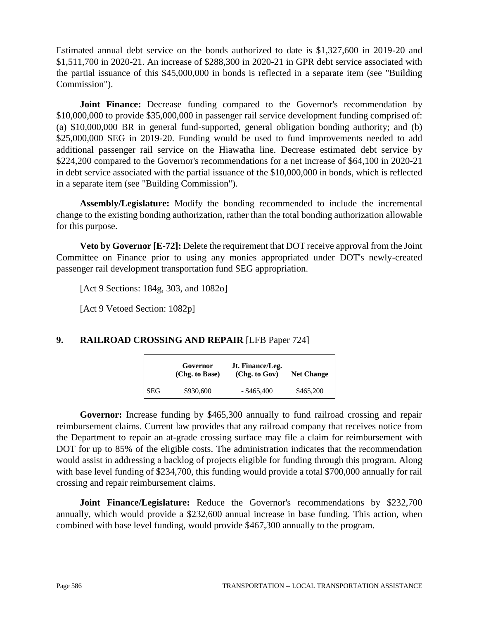Estimated annual debt service on the bonds authorized to date is \$1,327,600 in 2019-20 and \$1,511,700 in 2020-21. An increase of \$288,300 in 2020-21 in GPR debt service associated with the partial issuance of this \$45,000,000 in bonds is reflected in a separate item (see "Building Commission").

**Joint Finance:** Decrease funding compared to the Governor's recommendation by \$10,000,000 to provide \$35,000,000 in passenger rail service development funding comprised of: (a) \$10,000,000 BR in general fund-supported, general obligation bonding authority; and (b) \$25,000,000 SEG in 2019-20. Funding would be used to fund improvements needed to add additional passenger rail service on the Hiawatha line. Decrease estimated debt service by \$224,200 compared to the Governor's recommendations for a net increase of \$64,100 in 2020-21 in debt service associated with the partial issuance of the \$10,000,000 in bonds, which is reflected in a separate item (see "Building Commission").

**Assembly/Legislature:** Modify the bonding recommended to include the incremental change to the existing bonding authorization, rather than the total bonding authorization allowable for this purpose.

**Veto by Governor [E-72]:** Delete the requirement that DOT receive approval from the Joint Committee on Finance prior to using any monies appropriated under DOT's newly-created passenger rail development transportation fund SEG appropriation.

[Act 9 Sections: 184g, 303, and 1082o]

[Act 9 Vetoed Section: 1082p]

# **9. RAILROAD CROSSING AND REPAIR** [LFB Paper 724]

|            | Governor<br>(Chg. to Base) | Jt. Finance/Leg.<br>(Chg. to Gov) | <b>Net Change</b> |
|------------|----------------------------|-----------------------------------|-------------------|
| <b>SEG</b> | \$930,600                  | $-$ \$465,400                     | \$465,200         |

**Governor:** Increase funding by \$465,300 annually to fund railroad crossing and repair reimbursement claims. Current law provides that any railroad company that receives notice from the Department to repair an at-grade crossing surface may file a claim for reimbursement with DOT for up to 85% of the eligible costs. The administration indicates that the recommendation would assist in addressing a backlog of projects eligible for funding through this program. Along with base level funding of \$234,700, this funding would provide a total \$700,000 annually for rail crossing and repair reimbursement claims.

**Joint Finance/Legislature:** Reduce the Governor's recommendations by \$232,700 annually, which would provide a \$232,600 annual increase in base funding. This action, when combined with base level funding, would provide \$467,300 annually to the program.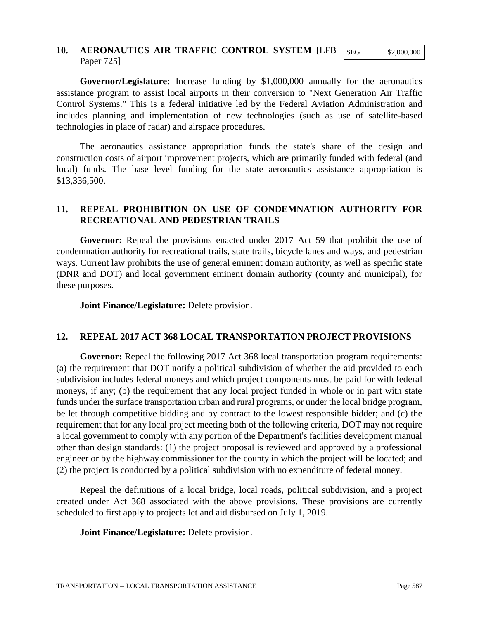## **10. AERONAUTICS AIR TRAFFIC CONTROL SYSTEM** [LFB Paper 725]

SEG \$2,000,000

**Governor/Legislature:** Increase funding by \$1,000,000 annually for the aeronautics assistance program to assist local airports in their conversion to "Next Generation Air Traffic Control Systems." This is a federal initiative led by the Federal Aviation Administration and includes planning and implementation of new technologies (such as use of satellite-based technologies in place of radar) and airspace procedures.

The aeronautics assistance appropriation funds the state's share of the design and construction costs of airport improvement projects, which are primarily funded with federal (and local) funds. The base level funding for the state aeronautics assistance appropriation is \$13,336,500.

# **11. REPEAL PROHIBITION ON USE OF CONDEMNATION AUTHORITY FOR RECREATIONAL AND PEDESTRIAN TRAILS**

**Governor:** Repeal the provisions enacted under 2017 Act 59 that prohibit the use of condemnation authority for recreational trails, state trails, bicycle lanes and ways, and pedestrian ways. Current law prohibits the use of general eminent domain authority, as well as specific state (DNR and DOT) and local government eminent domain authority (county and municipal), for these purposes.

**Joint Finance/Legislature:** Delete provision.

### **12. REPEAL 2017 ACT 368 LOCAL TRANSPORTATION PROJECT PROVISIONS**

**Governor:** Repeal the following 2017 Act 368 local transportation program requirements: (a) the requirement that DOT notify a political subdivision of whether the aid provided to each subdivision includes federal moneys and which project components must be paid for with federal moneys, if any; (b) the requirement that any local project funded in whole or in part with state funds under the surface transportation urban and rural programs, or under the local bridge program, be let through competitive bidding and by contract to the lowest responsible bidder; and (c) the requirement that for any local project meeting both of the following criteria, DOT may not require a local government to comply with any portion of the Department's facilities development manual other than design standards: (1) the project proposal is reviewed and approved by a professional engineer or by the highway commissioner for the county in which the project will be located; and (2) the project is conducted by a political subdivision with no expenditure of federal money.

Repeal the definitions of a local bridge, local roads, political subdivision, and a project created under Act 368 associated with the above provisions. These provisions are currently scheduled to first apply to projects let and aid disbursed on July 1, 2019.

**Joint Finance/Legislature:** Delete provision.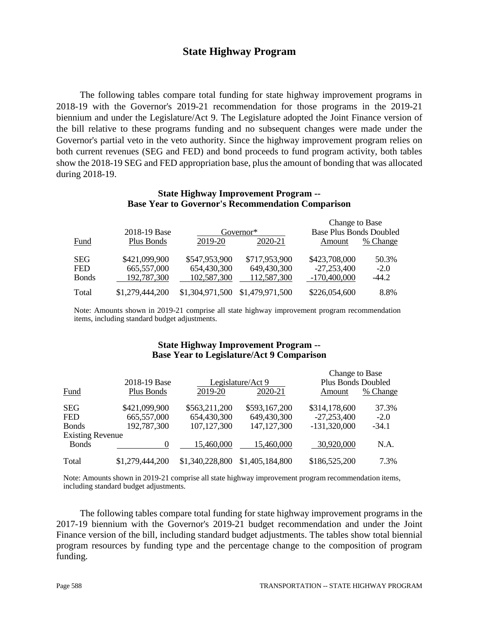# **State Highway Program**

The following tables compare total funding for state highway improvement programs in 2018-19 with the Governor's 2019-21 recommendation for those programs in the 2019-21 biennium and under the Legislature/Act 9. The Legislature adopted the Joint Finance version of the bill relative to these programs funding and no subsequent changes were made under the Governor's partial veto in the veto authority. Since the highway improvement program relies on both current revenues (SEG and FED) and bond proceeds to fund program activity, both tables show the 2018-19 SEG and FED appropriation base, plus the amount of bonding that was allocated during 2018-19.

#### **State Highway Improvement Program -- Base Year to Governor's Recommendation Comparison**

|              |                 |                 |                 | Change to Base                 |          |
|--------------|-----------------|-----------------|-----------------|--------------------------------|----------|
|              | 2018-19 Base    |                 | Governor*       | <b>Base Plus Bonds Doubled</b> |          |
| <b>Fund</b>  | Plus Bonds      | 2019-20         | 2020-21         | Amount                         | % Change |
| <b>SEG</b>   | \$421,099,900   | \$547,953,900   | \$717,953,900   | \$423,708,000                  | 50.3%    |
| <b>FED</b>   | 665,557,000     | 654,430,300     | 649,430,300     | $-27,253,400$                  | $-2.0$   |
| <b>Bonds</b> | 192,787,300     | 102,587,300     | 112,587,300     | $-170,400,000$                 | $-44.2$  |
| Total        | \$1,279,444,200 | \$1,304,971,500 | \$1,479,971,500 | \$226,054,600                  | 8.8%     |

Note: Amounts shown in 2019-21 comprise all state highway improvement program recommendation items, including standard budget adjustments.

#### **State Highway Improvement Program -- Base Year to Legislature/Act 9 Comparison**

|                         |                   |                 |                   | Change to Base            |          |
|-------------------------|-------------------|-----------------|-------------------|---------------------------|----------|
|                         | 2018-19 Base      |                 | Legislature/Act 9 | <b>Plus Bonds Doubled</b> |          |
| <b>Fund</b>             | Plus Bonds        | 2019-20         | 2020-21           | Amount                    | % Change |
| <b>SEG</b>              | \$421,099,900     | \$563,211,200   | \$593,167,200     | \$314,178,600             | 37.3%    |
| <b>FED</b>              | 665,557,000       | 654,430,300     | 649,430,300       | $-27,253,400$             | $-2.0$   |
| <b>Bonds</b>            | 192,787,300       | 107, 127, 300   | 147, 127, 300     | $-131,320,000$            | $-34.1$  |
| <b>Existing Revenue</b> |                   |                 |                   |                           |          |
| <b>Bonds</b>            | $\mathbf{\Omega}$ | 15,460,000      | 15,460,000        | 30,920,000                | N.A.     |
| Total                   | \$1,279,444,200   | \$1,340,228,800 | \$1,405,184,800   | \$186,525,200             | 7.3%     |

Note: Amounts shown in 2019-21 comprise all state highway improvement program recommendation items, including standard budget adjustments.

The following tables compare total funding for state highway improvement programs in the 2017-19 biennium with the Governor's 2019-21 budget recommendation and under the Joint Finance version of the bill, including standard budget adjustments. The tables show total biennial program resources by funding type and the percentage change to the composition of program funding.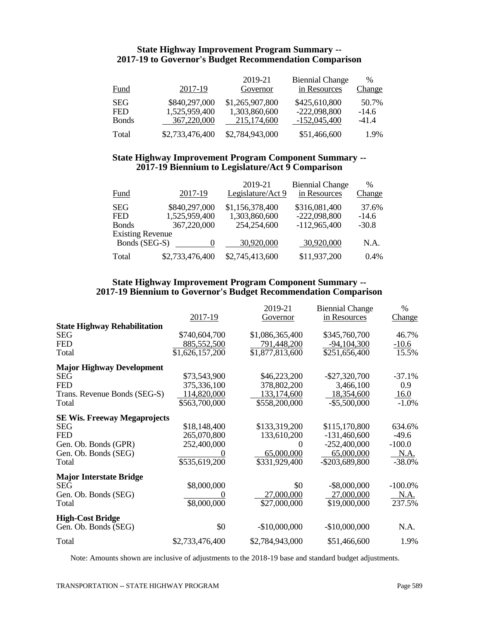### **State Highway Improvement Program Summary -- 2017-19 to Governor's Budget Recommendation Comparison**

| <b>Fund</b>                              | 2017-19                                       | 2019-21<br>Governor                             | <b>Biennial Change</b><br>in Resources            | $\%$<br><b>Change</b>       |
|------------------------------------------|-----------------------------------------------|-------------------------------------------------|---------------------------------------------------|-----------------------------|
| <b>SEG</b><br><b>FED</b><br><b>Bonds</b> | \$840,297,000<br>1,525,959,400<br>367,220,000 | \$1,265,907,800<br>1,303,860,600<br>215,174,600 | \$425,610,800<br>$-222,098,800$<br>$-152,045,400$ | 50.7%<br>$-14.6$<br>$-41.4$ |
| Total                                    | \$2,733,476,400                               | \$2,784,943,000                                 | \$51,466,600                                      | 1.9%                        |

#### **State Highway Improvement Program Component Summary -- 2017-19 Biennium to Legislature/Act 9 Comparison**

| Fund                    | 2017-19         | 2019-21<br>Legislature/Act 9 | <b>Biennial Change</b><br>in Resources | $\%$<br><b>Change</b> |
|-------------------------|-----------------|------------------------------|----------------------------------------|-----------------------|
| <b>SEG</b>              | \$840,297,000   | \$1,156,378,400              | \$316,081,400                          | 37.6%                 |
| <b>FED</b>              | 1,525,959,400   | 1,303,860,600                | $-222,098,800$                         | $-14.6$               |
| <b>Bonds</b>            | 367,220,000     | 254,254,600                  | $-112,965,400$                         | $-30.8$               |
| <b>Existing Revenue</b> |                 |                              |                                        |                       |
| Bonds (SEG-S)           |                 | 30,920,000                   | 30,920,000                             | N.A.                  |
| Total                   | \$2,733,476,400 | \$2,745,413,600              | \$11,937,200                           | $0.4\%$               |

#### **State Highway Improvement Program Component Summary -- 2017-19 Biennium to Governor's Budget Recommendation Comparison**

|                                                                                                                          | 2017-19                                                     | 2019-21<br>Governor                                              | <b>Biennial Change</b><br>in Resources                                               | $\%$<br>Change                                         |
|--------------------------------------------------------------------------------------------------------------------------|-------------------------------------------------------------|------------------------------------------------------------------|--------------------------------------------------------------------------------------|--------------------------------------------------------|
| <b>State Highway Rehabilitation</b><br><b>SEG</b><br><b>FED</b><br>Total                                                 | \$740,604,700<br>885,552,500<br>\$1,626,157,200             | \$1,086,365,400<br>791,448,200<br>\$1,877,813,600                | \$345,760,700<br>$-94,104,300$<br>\$251,656,400                                      | 46.7%<br>$-10.6$<br>15.5%                              |
| <b>Major Highway Development</b><br><b>SEG</b><br><b>FED</b><br>Trans. Revenue Bonds (SEG-S)<br>Total                    | \$73,543,900<br>375,336,100<br>114,820,000<br>\$563,700,000 | \$46,223,200<br>378,802,200<br>133, 174, 600<br>\$558,200,000    | $-$ \$27,320,700<br>3,466,100<br>18,354,600<br>$-$ \$5,500,000                       | $-37.1%$<br>0.9<br>16.0<br>$-1.0%$                     |
| <b>SE Wis. Freeway Megaprojects</b><br><b>SEG</b><br><b>FED</b><br>Gen. Ob. Bonds (GPR)<br>Gen. Ob. Bonds (SEG)<br>Total | \$18,148,400<br>265,070,800<br>252,400,000<br>\$535,619,200 | \$133,319,200<br>133,610,200<br>0<br>65,000,000<br>\$331,929,400 | \$115,170,800<br>$-131,460,600$<br>$-252,400,000$<br>65,000,000<br>$-$ \$203,689,800 | 634.6%<br>-49.6<br>$-100.0$<br><u>N.A.</u><br>$-38.0%$ |
| <b>Major Interstate Bridge</b><br><b>SEG</b><br>Gen. Ob. Bonds (SEG)<br>Total                                            | \$8,000,000<br>\$8,000,000                                  | \$0<br>27,000,000<br>\$27,000,000                                | $-$ \$8,000,000<br>27,000,000<br>\$19,000,000                                        | $-100.0%$<br><u>N.A.</u><br>237.5%                     |
| <b>High-Cost Bridge</b><br>Gen. Ob. Bonds (SEG)                                                                          | \$0                                                         | $-$10,000,000$                                                   | $-$10,000,000$                                                                       | N.A.                                                   |
| Total                                                                                                                    | \$2,733,476,400                                             | \$2,784,943,000                                                  | \$51,466,600                                                                         | 1.9%                                                   |

Note: Amounts shown are inclusive of adjustments to the 2018-19 base and standard budget adjustments.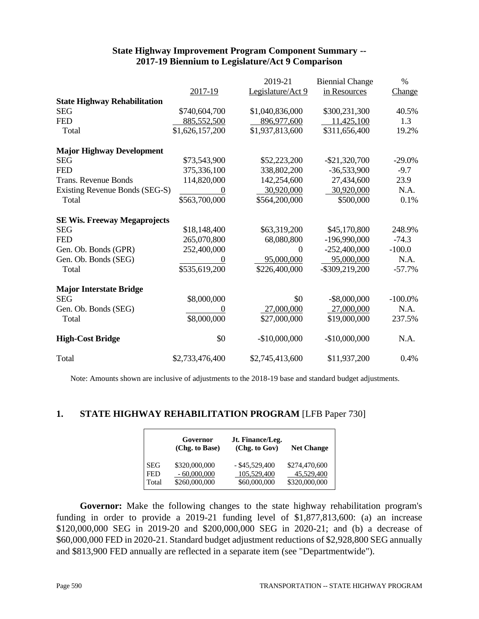#### **State Highway Improvement Program Component Summary -- 2017-19 Biennium to Legislature/Act 9 Comparison**

|                                     |                 | 2019-21           | <b>Biennial Change</b> | $\%$          |
|-------------------------------------|-----------------|-------------------|------------------------|---------------|
|                                     | 2017-19         | Legislature/Act 9 | in Resources           | <b>Change</b> |
| <b>State Highway Rehabilitation</b> |                 |                   |                        |               |
| <b>SEG</b>                          | \$740,604,700   | \$1,040,836,000   | \$300,231,300          | 40.5%         |
| <b>FED</b>                          | 885,552,500     | 896,977,600       | 11,425,100             | 1.3           |
| Total                               | \$1,626,157,200 | \$1,937,813,600   | \$311,656,400          | 19.2%         |
| <b>Major Highway Development</b>    |                 |                   |                        |               |
| <b>SEG</b>                          | \$73,543,900    | \$52,223,200      | $-$ \$21,320,700       | $-29.0%$      |
| <b>FED</b>                          | 375,336,100     | 338,802,200       | $-36,533,900$          | $-9.7$        |
| <b>Trans. Revenue Bonds</b>         | 114,820,000     | 142,254,600       | 27,434,600             | 23.9          |
| Existing Revenue Bonds (SEG-S)      |                 | 30,920,000        | 30,920,000             | N.A.          |
| Total                               | \$563,700,000   | \$564,200,000     | \$500,000              | 0.1%          |
| <b>SE Wis. Freeway Megaprojects</b> |                 |                   |                        |               |
| <b>SEG</b>                          | \$18,148,400    | \$63,319,200      | \$45,170,800           | 248.9%        |
| <b>FED</b>                          | 265,070,800     | 68,080,800        | $-196,990,000$         | $-74.3$       |
| Gen. Ob. Bonds (GPR)                | 252,400,000     | $\theta$          | $-252,400,000$         | $-100.0$      |
| Gen. Ob. Bonds (SEG)                |                 | 95,000,000        | 95,000,000             | N.A.          |
| Total                               | \$535,619,200   | \$226,400,000     | $-$ \$309,219,200      | $-57.7%$      |
| <b>Major Interstate Bridge</b>      |                 |                   |                        |               |
| <b>SEG</b>                          | \$8,000,000     | \$0               | $-$ \$8,000,000        | $-100.0\%$    |
| Gen. Ob. Bonds (SEG)                |                 | 27,000,000        | 27,000,000             | N.A.          |
| Total                               | \$8,000,000     | \$27,000,000      | \$19,000,000           | 237.5%        |
| <b>High-Cost Bridge</b>             | \$0             | $-$10,000,000$    | $-$10,000,000$         | N.A.          |
| Total                               | \$2,733,476,400 | \$2,745,413,600   | \$11,937,200           | 0.4%          |

Note: Amounts shown are inclusive of adjustments to the 2018-19 base and standard budget adjustments.

### **1. STATE HIGHWAY REHABILITATION PROGRAM** [LFB Paper 730]

|                   | Governor<br>(Chg. to Base)     | Jt. Finance/Leg.<br>(Chg. to Gov) | <b>Net Change</b>           |
|-------------------|--------------------------------|-----------------------------------|-----------------------------|
| <b>SEG</b><br>FED | \$320,000,000<br>$-60,000,000$ | $-$ \$45,529,400<br>105,529,400   | \$274,470,600<br>45,529,400 |
| Total             | \$260,000,000                  | \$60,000,000                      | \$320,000,000               |

**Governor:** Make the following changes to the state highway rehabilitation program's funding in order to provide a 2019-21 funding level of \$1,877,813,600: (a) an increase \$120,000,000 SEG in 2019-20 and \$200,000,000 SEG in 2020-21; and (b) a decrease of \$60,000,000 FED in 2020-21. Standard budget adjustment reductions of \$2,928,800 SEG annually and \$813,900 FED annually are reflected in a separate item (see "Departmentwide").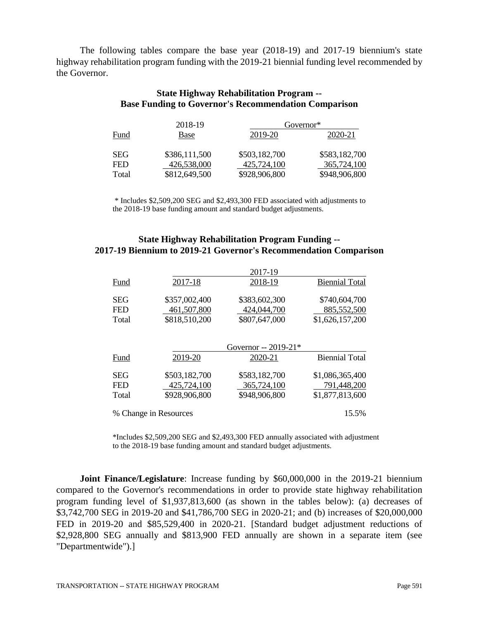The following tables compare the base year (2018-19) and 2017-19 biennium's state highway rehabilitation program funding with the 2019-21 biennial funding level recommended by the Governor.

#### **State Highway Rehabilitation Program -- Base Funding to Governor's Recommendation Comparison**

| 2018-19    |               | Governor*     |               |  |
|------------|---------------|---------------|---------------|--|
| Fund       | Base          | 2019-20       | 2020-21       |  |
| <b>SEG</b> | \$386,111,500 | \$503,182,700 | \$583,182,700 |  |
| <b>FED</b> | 426,538,000   | 425,724,100   | 365,724,100   |  |
| Total      | \$812,649,500 | \$928,906,800 | \$948,906,800 |  |

\* Includes \$2,509,200 SEG and \$2,493,300 FED associated with adjustments to the 2018-19 base funding amount and standard budget adjustments.

## **State Highway Rehabilitation Program Funding -- 2017-19 Biennium to 2019-21 Governor's Recommendation Comparison**

|            |                       | 2017-19              |                       |
|------------|-----------------------|----------------------|-----------------------|
| Fund       | 2017-18               | 2018-19              | <b>Biennial Total</b> |
| <b>SEG</b> | \$357,002,400         | \$383,602,300        | \$740,604,700         |
| <b>FED</b> | 461,507,800           | 424,044,700          | 885,552,500           |
| Total      | \$818,510,200         | \$807,647,000        | \$1,626,157,200       |
|            |                       | Governor -- 2019-21* |                       |
| Fund       | 2019-20               | 2020-21              | <b>Biennial Total</b> |
| <b>SEG</b> | \$503,182,700         | \$583,182,700        | \$1,086,365,400       |
| <b>FED</b> | 425,724,100           | 365,724,100          | 791,448,200           |
| Total      | \$928,906,800         | \$948,906,800        | \$1,877,813,600       |
|            | % Change in Resources |                      | 15.5%                 |

\*Includes \$2,509,200 SEG and \$2,493,300 FED annually associated with adjustment to the 2018-19 base funding amount and standard budget adjustments.

**Joint Finance/Legislature**: Increase funding by \$60,000,000 in the 2019-21 biennium compared to the Governor's recommendations in order to provide state highway rehabilitation program funding level of \$1,937,813,600 (as shown in the tables below): (a) decreases of \$3,742,700 SEG in 2019-20 and \$41,786,700 SEG in 2020-21; and (b) increases of \$20,000,000 FED in 2019-20 and \$85,529,400 in 2020-21. [Standard budget adjustment reductions of \$2,928,800 SEG annually and \$813,900 FED annually are shown in a separate item (see "Departmentwide").]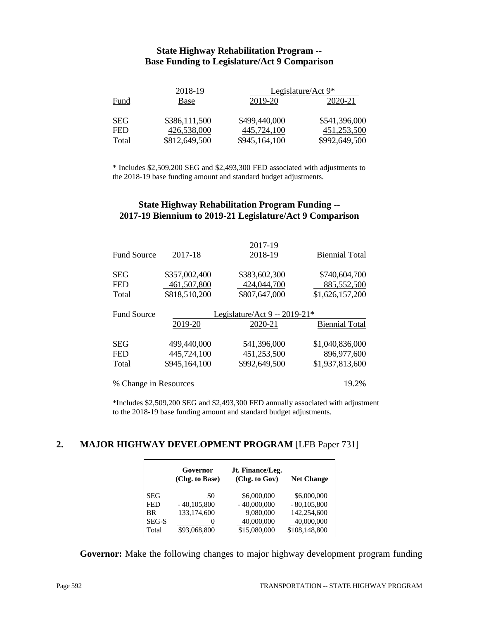#### **State Highway Rehabilitation Program -- Base Funding to Legislature/Act 9 Comparison**

|            | 2018-19       | Legislature/Act $9*$ |               |
|------------|---------------|----------------------|---------------|
| Fund       | Base          | 2019-20              | 2020-21       |
| <b>SEG</b> | \$386,111,500 | \$499,440,000        | \$541,396,000 |
| <b>FED</b> | 426,538,000   | 445,724,100          | 451,253,500   |
| Total      | \$812,649,500 | \$945,164,100        | \$992,649,500 |

\* Includes \$2,509,200 SEG and \$2,493,300 FED associated with adjustments to the 2018-19 base funding amount and standard budget adjustments.

#### **State Highway Rehabilitation Program Funding -- 2017-19 Biennium to 2019-21 Legislature/Act 9 Comparison**

|                       |               | 2017-19                       |                       |
|-----------------------|---------------|-------------------------------|-----------------------|
| <b>Fund Source</b>    | 2017-18       | 2018-19                       | <b>Biennial Total</b> |
| <b>SEG</b>            | \$357,002,400 | \$383,602,300                 | \$740,604,700         |
| <b>FED</b>            | 461,507,800   | 424,044,700                   | 885,552,500           |
| Total                 | \$818,510,200 | \$807,647,000                 | \$1,626,157,200       |
| <b>Fund Source</b>    |               | Legislature/Act 9 -- 2019-21* |                       |
|                       | 2019-20       | 2020-21                       | <b>Biennial Total</b> |
| <b>SEG</b>            | 499,440,000   | 541,396,000                   | \$1,040,836,000       |
| <b>FED</b>            | 445,724,100   | 451,253,500                   | 896,977,600           |
| Total                 | \$945,164,100 | \$992,649,500                 | \$1,937,813,600       |
| % Change in Resources |               |                               | 19.2%                 |

\*Includes \$2,509,200 SEG and \$2,493,300 FED annually associated with adjustment to the 2018-19 base funding amount and standard budget adjustments.

## **2. MAJOR HIGHWAY DEVELOPMENT PROGRAM** [LFB Paper 731]

|              | Governor<br>(Chg. to Base) | Jt. Finance/Leg.<br>(Chg. to Gov) | <b>Net Change</b> |
|--------------|----------------------------|-----------------------------------|-------------------|
| <b>SEG</b>   | \$0                        | \$6,000,000                       | \$6,000,000       |
| <b>FED</b>   | $-40,105,800$              | $-40,000,000$                     | $-80,105,800$     |
| <b>BR</b>    | 133,174,600                | 9,080,000                         | 142,254,600       |
| <b>SEG-S</b> |                            | 40,000,000                        | 40,000,000        |
| Total        | \$93,068,800               | \$15,080,000                      | \$108,148,800     |

**Governor:** Make the following changes to major highway development program funding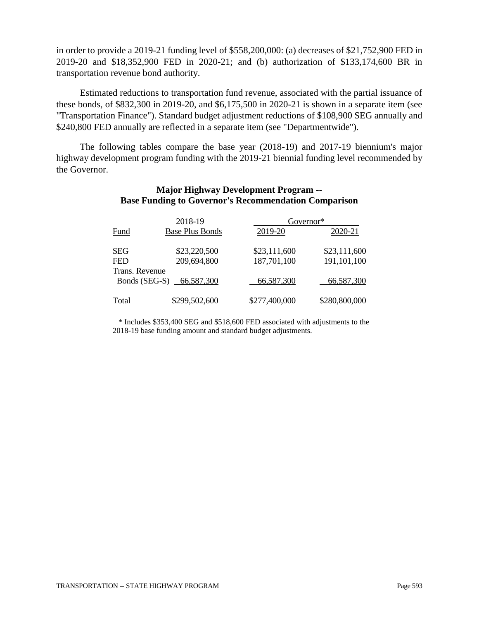in order to provide a 2019-21 funding level of \$558,200,000: (a) decreases of \$21,752,900 FED in 2019-20 and \$18,352,900 FED in 2020-21; and (b) authorization of \$133,174,600 BR in transportation revenue bond authority.

Estimated reductions to transportation fund revenue, associated with the partial issuance of these bonds, of \$832,300 in 2019-20, and \$6,175,500 in 2020-21 is shown in a separate item (see "Transportation Finance"). Standard budget adjustment reductions of \$108,900 SEG annually and \$240,800 FED annually are reflected in a separate item (see "Departmentwide").

The following tables compare the base year (2018-19) and 2017-19 biennium's major highway development program funding with the 2019-21 biennial funding level recommended by the Governor.

#### **Major Highway Development Program -- Base Funding to Governor's Recommendation Comparison**

|                                 | 2018-19                | Governor*     |               |  |
|---------------------------------|------------------------|---------------|---------------|--|
| Fund                            | <b>Base Plus Bonds</b> | 2019-20       | 2020-21       |  |
| <b>SEG</b>                      | \$23,220,500           | \$23,111,600  | \$23,111,600  |  |
| <b>FED</b>                      | 209,694,800            | 187,701,100   | 191,101,100   |  |
| Trans. Revenue<br>Bonds (SEG-S) | 66,587,300             | 66,587,300    | 66,587,300    |  |
| Total                           | \$299,502,600          | \$277,400,000 | \$280,800,000 |  |

 \* Includes \$353,400 SEG and \$518,600 FED associated with adjustments to the 2018-19 base funding amount and standard budget adjustments.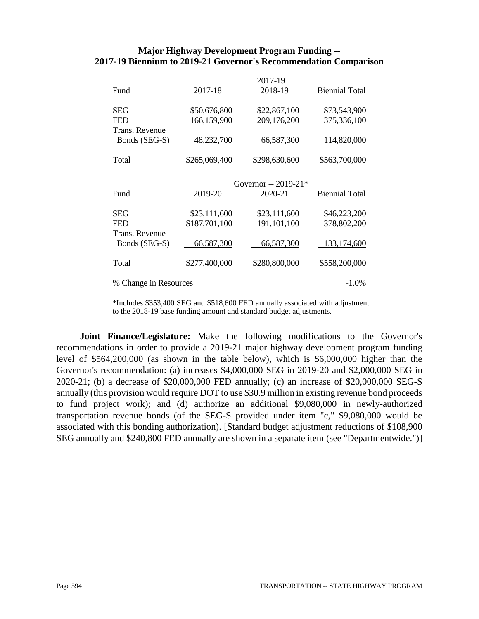#### **Major Highway Development Program Funding -- 2017-19 Biennium to 2019-21 Governor's Recommendation Comparison**

|                       |               | 2017-19              |                       |
|-----------------------|---------------|----------------------|-----------------------|
| Fund                  | 2017-18       | 2018-19              | <b>Biennial Total</b> |
| SEG                   | \$50,676,800  | \$22,867,100         | \$73,543,900          |
| <b>FED</b>            | 166,159,900   | 209,176,200          | 375,336,100           |
| Trans. Revenue        |               |                      |                       |
| Bonds (SEG-S)         | 48,232,700    | 66,587,300           | 114,820,000           |
| Total                 | \$265,069,400 | \$298,630,600        | \$563,700,000         |
|                       |               | Governor $-2019-21*$ |                       |
| Fund                  | 2019-20       | 2020-21              | <b>Biennial Total</b> |
| <b>SEG</b>            | \$23,111,600  | \$23,111,600         | \$46,223,200          |
| <b>FED</b>            | \$187,701,100 | 191,101,100          | 378,802,200           |
| Trans. Revenue        |               |                      |                       |
| Bonds (SEG-S)         | 66,587,300    | 66,587,300           | 133, 174, 600         |
| Total                 | \$277,400,000 | \$280,800,000        | \$558,200,000         |
| % Change in Resources |               |                      | $-1.0\%$              |

\*Includes \$353,400 SEG and \$518,600 FED annually associated with adjustment to the 2018-19 base funding amount and standard budget adjustments.

**Joint Finance/Legislature:** Make the following modifications to the Governor's recommendations in order to provide a 2019-21 major highway development program funding level of \$564,200,000 (as shown in the table below), which is \$6,000,000 higher than the Governor's recommendation: (a) increases \$4,000,000 SEG in 2019-20 and \$2,000,000 SEG in 2020-21; (b) a decrease of \$20,000,000 FED annually; (c) an increase of \$20,000,000 SEG-S annually (this provision would require DOT to use \$30.9 million in existing revenue bond proceeds to fund project work); and (d) authorize an additional \$9,080,000 in newly-authorized transportation revenue bonds (of the SEG-S provided under item "c," \$9,080,000 would be associated with this bonding authorization). [Standard budget adjustment reductions of \$108,900 SEG annually and \$240,800 FED annually are shown in a separate item (see "Departmentwide.")]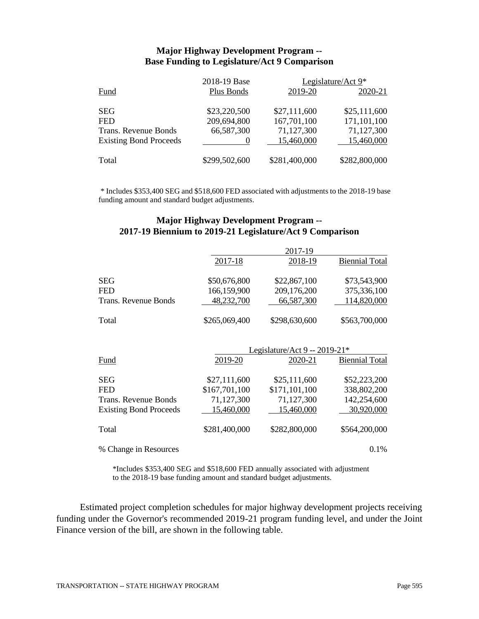#### **Major Highway Development Program -- Base Funding to Legislature/Act 9 Comparison**

|                               | 2018-19 Base  | Legislature/Act 9* |               |
|-------------------------------|---------------|--------------------|---------------|
| Fund                          | Plus Bonds    | 2019-20            | 2020-21       |
| <b>SEG</b>                    | \$23,220,500  | \$27,111,600       | \$25,111,600  |
| <b>FED</b>                    | 209,694,800   | 167,701,100        | 171,101,100   |
| Trans. Revenue Bonds          | 66,587,300    | 71,127,300         | 71,127,300    |
| <b>Existing Bond Proceeds</b> |               | 15,460,000         | 15,460,000    |
| Total                         | \$299,502,600 | \$281,400,000      | \$282,800,000 |

\* Includes \$353,400 SEG and \$518,600 FED associated with adjustments to the 2018-19 base funding amount and standard budget adjustments.

#### **Major Highway Development Program -- 2017-19 Biennium to 2019-21 Legislature/Act 9 Comparison**

|                               |               | 2017-19                       |                       |
|-------------------------------|---------------|-------------------------------|-----------------------|
|                               | 2017-18       | 2018-19                       | <b>Biennial Total</b> |
|                               |               |                               |                       |
| <b>SEG</b>                    | \$50,676,800  | \$22,867,100                  | \$73,543,900          |
| <b>FED</b>                    | 166,159,900   | 209,176,200                   | 375,336,100           |
| Trans. Revenue Bonds          | 48,232,700    | 66,587,300                    | 114,820,000           |
|                               |               |                               |                       |
| Total                         | \$265,069,400 | \$298,630,600                 | \$563,700,000         |
|                               |               |                               |                       |
|                               |               |                               |                       |
|                               |               | Legislature/Act 9 -- 2019-21* |                       |
| Fund                          | 2019-20       | 2020-21                       | <b>Biennial Total</b> |
|                               |               |                               |                       |
| SEG                           | \$27,111,600  | \$25,111,600                  | \$52,223,200          |
| <b>FED</b>                    | \$167,701,100 | \$171,101,100                 | 338,802,200           |
| Trans. Revenue Bonds          | 71,127,300    | 71,127,300                    | 142,254,600           |
| <b>Existing Bond Proceeds</b> | 15,460,000    | 15,460,000                    | 30,920,000            |
|                               |               |                               |                       |
| Total                         | \$281,400,000 | \$282,800,000                 | \$564,200,000         |
|                               |               |                               |                       |
| % Change in Resources         |               |                               | 0.1%                  |

\*Includes \$353,400 SEG and \$518,600 FED annually associated with adjustment to the 2018-19 base funding amount and standard budget adjustments.

Estimated project completion schedules for major highway development projects receiving funding under the Governor's recommended 2019-21 program funding level, and under the Joint Finance version of the bill, are shown in the following table.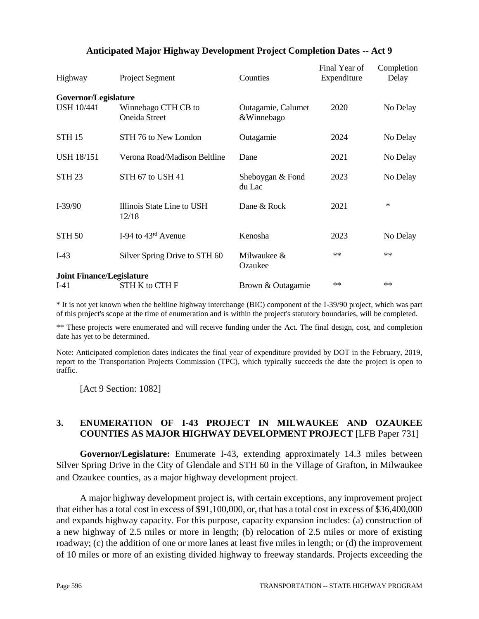| <b>Highway</b>                            | <b>Project Segment</b>               | Counties                         | Final Year of<br><b>Expenditure</b> | Completion<br>Delay |
|-------------------------------------------|--------------------------------------|----------------------------------|-------------------------------------|---------------------|
| Governor/Legislature<br><b>USH 10/441</b> | Winnebago CTH CB to<br>Oneida Street | Outagamie, Calumet<br>&Winnebago | 2020                                | No Delay            |
| <b>STH 15</b>                             | STH 76 to New London                 | Outagamie                        | 2024                                | No Delay            |
| <b>USH 18/151</b>                         | Verona Road/Madison Beltline         | Dane                             | 2021                                | No Delay            |
| <b>STH 23</b>                             | STH 67 to USH 41                     | Sheboygan & Fond<br>du Lac       | 2023                                | No Delay            |
| $I-39/90$                                 | Illinois State Line to USH<br>12/18  | Dane & Rock                      | 2021                                | $\ast$              |
| <b>STH 50</b>                             | I-94 to $43rd$ Avenue                | Kenosha                          | 2023                                | No Delay            |
| $I-43$                                    | Silver Spring Drive to STH 60        | Milwaukee &<br>Ozaukee           | $**$                                | $**$                |
| <b>Joint Finance/Legislature</b>          |                                      |                                  |                                     |                     |
| $I-41$                                    | STH K to CTH F                       | Brown & Outagamie                | **                                  | $**$                |

# **Anticipated Major Highway Development Project Completion Dates -- Act 9**

\* It is not yet known when the beltline highway interchange (BIC) component of the I-39/90 project, which was part of this project's scope at the time of enumeration and is within the project's statutory boundaries, will be completed.

\*\* These projects were enumerated and will receive funding under the Act. The final design, cost, and completion date has yet to be determined.

Note: Anticipated completion dates indicates the final year of expenditure provided by DOT in the February, 2019, report to the Transportation Projects Commission (TPC), which typically succeeds the date the project is open to traffic.

[Act 9 Section: 1082]

## **3. ENUMERATION OF I-43 PROJECT IN MILWAUKEE AND OZAUKEE COUNTIES AS MAJOR HIGHWAY DEVELOPMENT PROJECT** [LFB Paper 731]

**Governor/Legislature:** Enumerate I-43, extending approximately 14.3 miles between Silver Spring Drive in the City of Glendale and STH 60 in the Village of Grafton, in Milwaukee and Ozaukee counties, as a major highway development project.

A major highway development project is, with certain exceptions, any improvement project that either has a total cost in excess of \$91,100,000, or, that has a total cost in excess of \$36,400,000 and expands highway capacity. For this purpose, capacity expansion includes: (a) construction of a new highway of 2.5 miles or more in length; (b) relocation of 2.5 miles or more of existing roadway; (c) the addition of one or more lanes at least five miles in length; or (d) the improvement of 10 miles or more of an existing divided highway to freeway standards. Projects exceeding the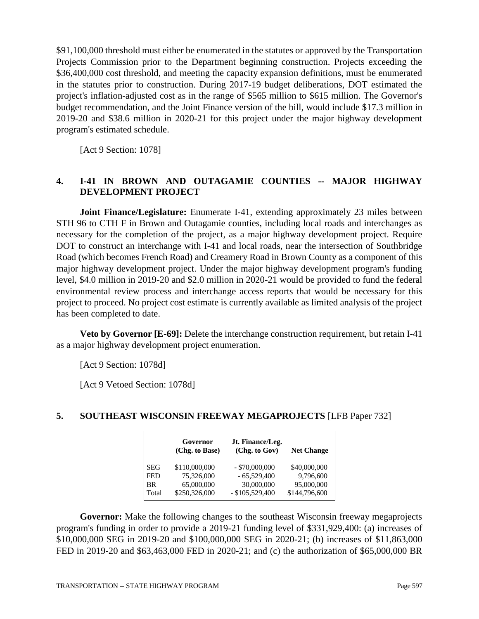\$91,100,000 threshold must either be enumerated in the statutes or approved by the Transportation Projects Commission prior to the Department beginning construction. Projects exceeding the \$36,400,000 cost threshold, and meeting the capacity expansion definitions, must be enumerated in the statutes prior to construction. During 2017-19 budget deliberations, DOT estimated the project's inflation-adjusted cost as in the range of \$565 million to \$615 million. The Governor's budget recommendation, and the Joint Finance version of the bill, would include \$17.3 million in 2019-20 and \$38.6 million in 2020-21 for this project under the major highway development program's estimated schedule.

[Act 9 Section: 1078]

# **4. I-41 IN BROWN AND OUTAGAMIE COUNTIES -- MAJOR HIGHWAY DEVELOPMENT PROJECT**

**Joint Finance/Legislature:** Enumerate I-41, extending approximately 23 miles between STH 96 to CTH F in Brown and Outagamie counties, including local roads and interchanges as necessary for the completion of the project, as a major highway development project. Require DOT to construct an interchange with I-41 and local roads, near the intersection of Southbridge Road (which becomes French Road) and Creamery Road in Brown County as a component of this major highway development project. Under the major highway development program's funding level, \$4.0 million in 2019-20 and \$2.0 million in 2020-21 would be provided to fund the federal environmental review process and interchange access reports that would be necessary for this project to proceed. No project cost estimate is currently available as limited analysis of the project has been completed to date.

**Veto by Governor [E-69]:** Delete the interchange construction requirement, but retain I-41 as a major highway development project enumeration.

[Act 9 Section: 1078d]

[Act 9 Vetoed Section: 1078d]

# **5. SOUTHEAST WISCONSIN FREEWAY MEGAPROJECTS** [LFB Paper 732]

|            | Governor<br>(Chg. to Base) | Jt. Finance/Leg.<br>(Chg. to Gov) | <b>Net Change</b> |
|------------|----------------------------|-----------------------------------|-------------------|
| <b>SEG</b> | \$110,000,000              | $-$ \$70,000,000                  | \$40,000,000      |
| <b>FED</b> | 75,326,000                 | $-65,529,400$                     | 9,796,600         |
| BR         | 65,000,000                 | 30,000,000                        | 95,000,000        |
| Total      | \$250,326,000              | $-$ \$105,529,400                 | \$144,796,600     |

**Governor:** Make the following changes to the southeast Wisconsin freeway megaprojects program's funding in order to provide a 2019-21 funding level of \$331,929,400: (a) increases of \$10,000,000 SEG in 2019-20 and \$100,000,000 SEG in 2020-21; (b) increases of \$11,863,000 FED in 2019-20 and \$63,463,000 FED in 2020-21; and (c) the authorization of \$65,000,000 BR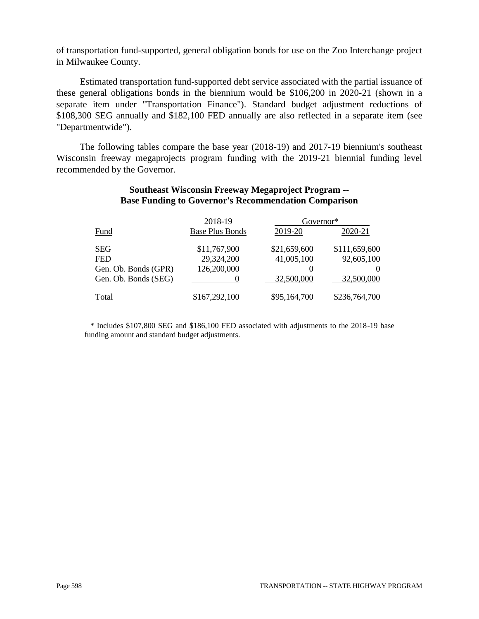of transportation fund-supported, general obligation bonds for use on the Zoo Interchange project in Milwaukee County.

Estimated transportation fund-supported debt service associated with the partial issuance of these general obligations bonds in the biennium would be \$106,200 in 2020-21 (shown in a separate item under "Transportation Finance"). Standard budget adjustment reductions of \$108,300 SEG annually and \$182,100 FED annually are also reflected in a separate item (see "Departmentwide").

The following tables compare the base year (2018-19) and 2017-19 biennium's southeast Wisconsin freeway megaprojects program funding with the 2019-21 biennial funding level recommended by the Governor.

#### **Southeast Wisconsin Freeway Megaproject Program -- Base Funding to Governor's Recommendation Comparison**

|                      | 2018-19                | Governor*    |               |
|----------------------|------------------------|--------------|---------------|
| Fund                 | <b>Base Plus Bonds</b> | 2019-20      | 2020-21       |
| <b>SEG</b>           | \$11,767,900           | \$21,659,600 | \$111,659,600 |
| <b>FED</b>           | 29,324,200             | 41,005,100   | 92,605,100    |
| Gen. Ob. Bonds (GPR) | 126,200,000            |              |               |
| Gen. Ob. Bonds (SEG) |                        | 32,500,000   | 32,500,000    |
| Total                | \$167,292,100          | \$95,164,700 | \$236,764,700 |

 \* Includes \$107,800 SEG and \$186,100 FED associated with adjustments to the 2018-19 base funding amount and standard budget adjustments.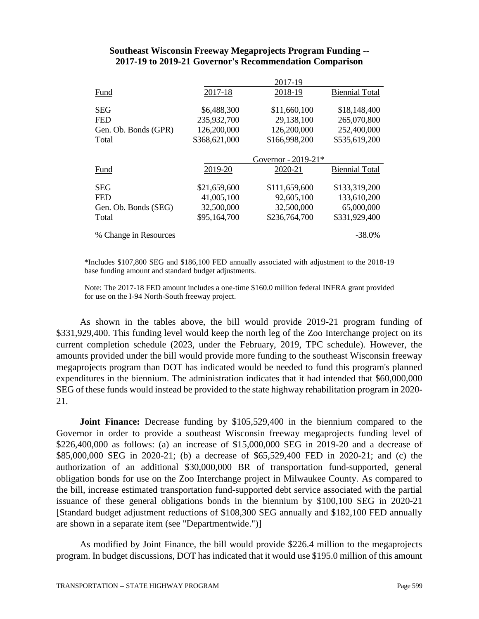#### **Southeast Wisconsin Freeway Megaprojects Program Funding -- 2017-19 to 2019-21 Governor's Recommendation Comparison**

|                       |               | 2017-19               |                       |
|-----------------------|---------------|-----------------------|-----------------------|
| Fund                  | 2017-18       | 2018-19               | <b>Biennial Total</b> |
|                       |               |                       |                       |
| <b>SEG</b>            | \$6,488,300   | \$11,660,100          | \$18,148,400          |
| <b>FED</b>            | 235,932,700   | 29,138,100            | 265,070,800           |
| Gen. Ob. Bonds (GPR)  | 126,200,000   | 126,200,000           | 252,400,000           |
| Total                 | \$368,621,000 | \$166,998,200         | \$535,619,200         |
|                       |               |                       |                       |
|                       |               | Governor - $2019-21*$ |                       |
| Fund                  | 2019-20       | 2020-21               | <b>Biennial Total</b> |
|                       |               |                       |                       |
| <b>SEG</b>            | \$21,659,600  | \$111,659,600         | \$133,319,200         |
| <b>FED</b>            | 41,005,100    | 92,605,100            | 133,610,200           |
| Gen. Ob. Bonds (SEG)  | 32,500,000    | 32,500,000            | 65,000,000            |
| Total                 | \$95,164,700  | \$236,764,700         | \$331,929,400         |
|                       |               |                       |                       |
| % Change in Resources |               |                       | $-38.0%$              |

\*Includes \$107,800 SEG and \$186,100 FED annually associated with adjustment to the 2018-19 base funding amount and standard budget adjustments.

Note: The 2017-18 FED amount includes a one-time \$160.0 million federal INFRA grant provided for use on the I-94 North-South freeway project.

As shown in the tables above, the bill would provide 2019-21 program funding of \$331,929,400. This funding level would keep the north leg of the Zoo Interchange project on its current completion schedule (2023, under the February, 2019, TPC schedule). However, the amounts provided under the bill would provide more funding to the southeast Wisconsin freeway megaprojects program than DOT has indicated would be needed to fund this program's planned expenditures in the biennium. The administration indicates that it had intended that \$60,000,000 SEG of these funds would instead be provided to the state highway rehabilitation program in 2020- 21.

**Joint Finance:** Decrease funding by \$105,529,400 in the biennium compared to the Governor in order to provide a southeast Wisconsin freeway megaprojects funding level of \$226,400,000 as follows: (a) an increase of \$15,000,000 SEG in 2019-20 and a decrease of \$85,000,000 SEG in 2020-21; (b) a decrease of \$65,529,400 FED in 2020-21; and (c) the authorization of an additional \$30,000,000 BR of transportation fund-supported, general obligation bonds for use on the Zoo Interchange project in Milwaukee County. As compared to the bill, increase estimated transportation fund-supported debt service associated with the partial issuance of these general obligations bonds in the biennium by \$100,100 SEG in 2020-21 [Standard budget adjustment reductions of \$108,300 SEG annually and \$182,100 FED annually are shown in a separate item (see "Departmentwide.")]

As modified by Joint Finance, the bill would provide \$226.4 million to the megaprojects program. In budget discussions, DOT has indicated that it would use \$195.0 million of this amount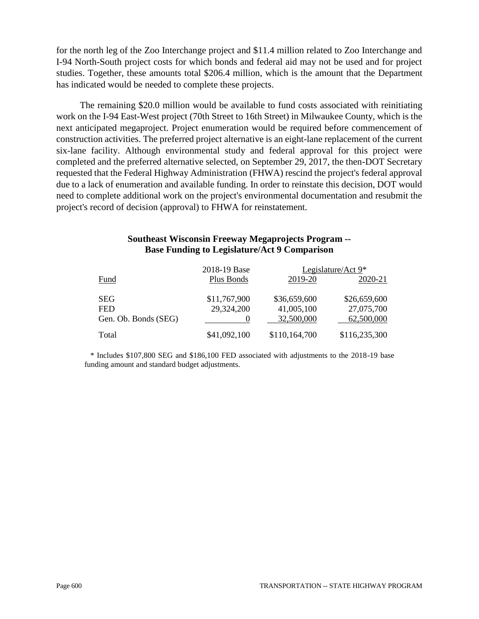for the north leg of the Zoo Interchange project and \$11.4 million related to Zoo Interchange and I-94 North-South project costs for which bonds and federal aid may not be used and for project studies. Together, these amounts total \$206.4 million, which is the amount that the Department has indicated would be needed to complete these projects.

The remaining \$20.0 million would be available to fund costs associated with reinitiating work on the I-94 East-West project (70th Street to 16th Street) in Milwaukee County, which is the next anticipated megaproject. Project enumeration would be required before commencement of construction activities. The preferred project alternative is an eight-lane replacement of the current six-lane facility. Although environmental study and federal approval for this project were completed and the preferred alternative selected, on September 29, 2017, the then-DOT Secretary requested that the Federal Highway Administration (FHWA) rescind the project's federal approval due to a lack of enumeration and available funding. In order to reinstate this decision, DOT would need to complete additional work on the project's environmental documentation and resubmit the project's record of decision (approval) to FHWA for reinstatement.

## **Southeast Wisconsin Freeway Megaprojects Program -- Base Funding to Legislature/Act 9 Comparison**

|                      | 2018-19 Base |               | Legislature/Act $9*$ |
|----------------------|--------------|---------------|----------------------|
| Fund                 | Plus Bonds   | 2019-20       | 2020-21              |
|                      |              |               |                      |
| <b>SEG</b>           | \$11,767,900 | \$36,659,600  | \$26,659,600         |
| <b>FED</b>           | 29,324,200   | 41,005,100    | 27,075,700           |
| Gen. Ob. Bonds (SEG) |              | 32,500,000    | 62,500,000           |
| Total                | \$41,092,100 | \$110,164,700 | \$116,235,300        |

 \* Includes \$107,800 SEG and \$186,100 FED associated with adjustments to the 2018-19 base funding amount and standard budget adjustments.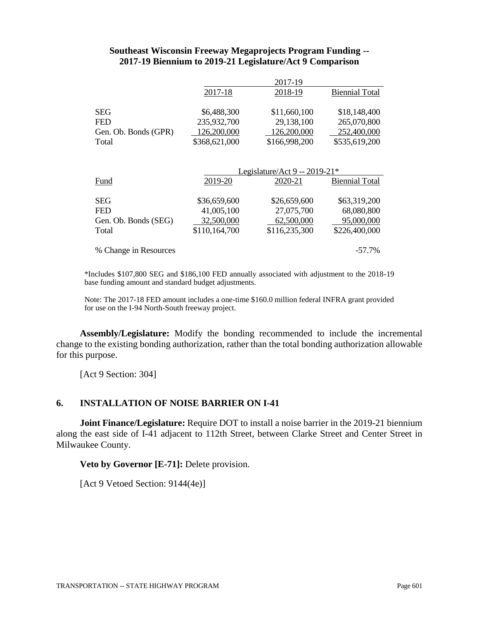#### **Southeast Wisconsin Freeway Megaprojects Program Funding -- 2017-19 Biennium to 2019-21 Legislature/Act 9 Comparison**

|                      | 2017-19       |               |                       |
|----------------------|---------------|---------------|-----------------------|
|                      | 2017-18       | 2018-19       | <b>Biennial Total</b> |
| <b>SEG</b>           | \$6,488,300   | \$11,660,100  | \$18,148,400          |
| <b>FED</b>           | 235,932,700   | 29,138,100    | 265,070,800           |
| Gen. Ob. Bonds (GPR) | 126,200,000   | 126,200,000   | 252,400,000           |
| Total                | \$368,621,000 | \$166,998,200 | \$535,619,200         |

|                       | Legislature/Act 9 -- 2019-21* |               |                       |  |
|-----------------------|-------------------------------|---------------|-----------------------|--|
| <b>Fund</b>           | 2019-20                       | 2020-21       | <b>Biennial Total</b> |  |
|                       |                               |               |                       |  |
| <b>SEG</b>            | \$36,659,600                  | \$26,659,600  | \$63,319,200          |  |
| <b>FED</b>            | 41,005,100                    | 27,075,700    | 68,080,800            |  |
| Gen. Ob. Bonds (SEG)  | 32,500,000                    | 62,500,000    | 95,000,000            |  |
| Total                 | \$110,164,700                 | \$116,235,300 | \$226,400,000         |  |
|                       |                               |               |                       |  |
| % Change in Resources |                               |               | $-57.7\%$             |  |

\*Includes \$107,800 SEG and \$186,100 FED annually associated with adjustment to the 2018-19 base funding amount and standard budget adjustments.

Note: The 2017-18 FED amount includes a one-time \$160.0 million federal INFRA grant provided for use on the I-94 North-South freeway project.

**Assembly/Legislature:** Modify the bonding recommended to include the incremental change to the existing bonding authorization, rather than the total bonding authorization allowable for this purpose.

[Act 9 Section: 304]

### **6. INSTALLATION OF NOISE BARRIER ON I-41**

**Joint Finance/Legislature:** Require DOT to install a noise barrier in the 2019-21 biennium along the east side of I-41 adjacent to 112th Street, between Clarke Street and Center Street in Milwaukee County.

**Veto by Governor [E-71]:** Delete provision.

[Act 9 Vetoed Section: 9144(4e)]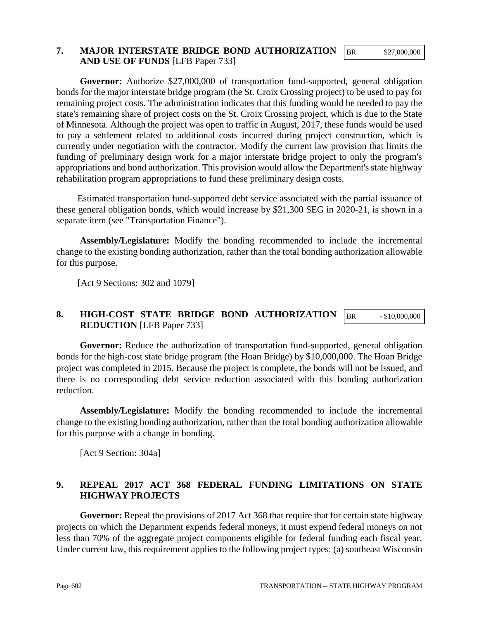#### BR \$27,000,000

### **7. MAJOR INTERSTATE BRIDGE BOND AUTHORIZATION AND USE OF FUNDS** [LFB Paper 733]

**Governor:** Authorize \$27,000,000 of transportation fund-supported, general obligation bonds for the major interstate bridge program (the St. Croix Crossing project) to be used to pay for remaining project costs. The administration indicates that this funding would be needed to pay the state's remaining share of project costs on the St. Croix Crossing project, which is due to the State of Minnesota. Although the project was open to traffic in August, 2017, these funds would be used to pay a settlement related to additional costs incurred during project construction, which is currently under negotiation with the contractor. Modify the current law provision that limits the funding of preliminary design work for a major interstate bridge project to only the program's appropriations and bond authorization. This provision would allow the Department's state highway rehabilitation program appropriations to fund these preliminary design costs.

Estimated transportation fund-supported debt service associated with the partial issuance of these general obligation bonds, which would increase by \$21,300 SEG in 2020-21, is shown in a separate item (see "Transportation Finance").

**Assembly/Legislature:** Modify the bonding recommended to include the incremental change to the existing bonding authorization, rather than the total bonding authorization allowable for this purpose.

[Act 9 Sections: 302 and 1079]

#### **8. HIGH-COST STATE BRIDGE BOND AUTHORIZATION REDUCTION** [LFB Paper 733] BR - \$10,000,000

Governor: Reduce the authorization of transportation fund-supported, general obligation bonds for the high-cost state bridge program (the Hoan Bridge) by \$10,000,000. The Hoan Bridge project was completed in 2015. Because the project is complete, the bonds will not be issued, and there is no corresponding debt service reduction associated with this bonding authorization reduction.

**Assembly/Legislature:** Modify the bonding recommended to include the incremental change to the existing bonding authorization, rather than the total bonding authorization allowable for this purpose with a change in bonding.

[Act 9 Section: 304a]

# **9. REPEAL 2017 ACT 368 FEDERAL FUNDING LIMITATIONS ON STATE HIGHWAY PROJECTS**

**Governor:** Repeal the provisions of 2017 Act 368 that require that for certain state highway projects on which the Department expends federal moneys, it must expend federal moneys on not less than 70% of the aggregate project components eligible for federal funding each fiscal year. Under current law, this requirement applies to the following project types: (a) southeast Wisconsin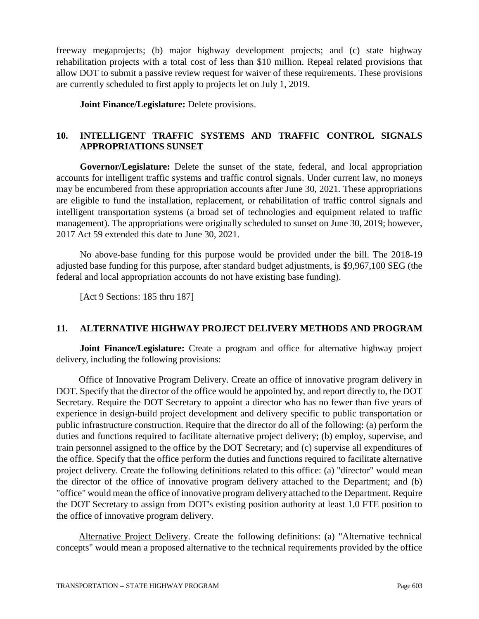freeway megaprojects; (b) major highway development projects; and (c) state highway rehabilitation projects with a total cost of less than \$10 million. Repeal related provisions that allow DOT to submit a passive review request for waiver of these requirements. These provisions are currently scheduled to first apply to projects let on July 1, 2019.

**Joint Finance/Legislature:** Delete provisions.

# **10. INTELLIGENT TRAFFIC SYSTEMS AND TRAFFIC CONTROL SIGNALS APPROPRIATIONS SUNSET**

**Governor/Legislature:** Delete the sunset of the state, federal, and local appropriation accounts for intelligent traffic systems and traffic control signals. Under current law, no moneys may be encumbered from these appropriation accounts after June 30, 2021. These appropriations are eligible to fund the installation, replacement, or rehabilitation of traffic control signals and intelligent transportation systems (a broad set of technologies and equipment related to traffic management). The appropriations were originally scheduled to sunset on June 30, 2019; however, 2017 Act 59 extended this date to June 30, 2021.

No above-base funding for this purpose would be provided under the bill. The 2018-19 adjusted base funding for this purpose, after standard budget adjustments, is \$9,967,100 SEG (the federal and local appropriation accounts do not have existing base funding).

[Act 9 Sections: 185 thru 187]

# **11. ALTERNATIVE HIGHWAY PROJECT DELIVERY METHODS AND PROGRAM**

**Joint Finance/Legislature:** Create a program and office for alternative highway project delivery, including the following provisions:

Office of Innovative Program Delivery. Create an office of innovative program delivery in DOT. Specify that the director of the office would be appointed by, and report directly to, the DOT Secretary. Require the DOT Secretary to appoint a director who has no fewer than five years of experience in design-build project development and delivery specific to public transportation or public infrastructure construction. Require that the director do all of the following: (a) perform the duties and functions required to facilitate alternative project delivery; (b) employ, supervise, and train personnel assigned to the office by the DOT Secretary; and (c) supervise all expenditures of the office. Specify that the office perform the duties and functions required to facilitate alternative project delivery. Create the following definitions related to this office: (a) "director" would mean the director of the office of innovative program delivery attached to the Department; and (b) "office" would mean the office of innovative program delivery attached to the Department. Require the DOT Secretary to assign from DOT's existing position authority at least 1.0 FTE position to the office of innovative program delivery.

Alternative Project Delivery. Create the following definitions: (a) "Alternative technical concepts" would mean a proposed alternative to the technical requirements provided by the office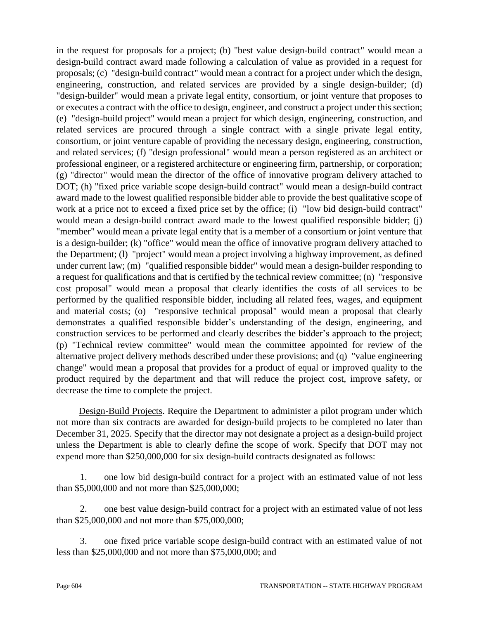in the request for proposals for a project; (b) "best value design-build contract" would mean a design-build contract award made following a calculation of value as provided in a request for proposals; (c) "design-build contract" would mean a contract for a project under which the design, engineering, construction, and related services are provided by a single design-builder; (d) "design-builder" would mean a private legal entity, consortium, or joint venture that proposes to or executes a contract with the office to design, engineer, and construct a project under this section; (e) "design-build project" would mean a project for which design, engineering, construction, and related services are procured through a single contract with a single private legal entity, consortium, or joint venture capable of providing the necessary design, engineering, construction, and related services; (f) "design professional" would mean a person registered as an architect or professional engineer, or a registered architecture or engineering firm, partnership, or corporation; (g) "director" would mean the director of the office of innovative program delivery attached to DOT; (h) "fixed price variable scope design-build contract" would mean a design-build contract award made to the lowest qualified responsible bidder able to provide the best qualitative scope of work at a price not to exceed a fixed price set by the office; (i) "low bid design-build contract" would mean a design-build contract award made to the lowest qualified responsible bidder; (j) "member" would mean a private legal entity that is a member of a consortium or joint venture that is a design-builder; (k) "office" would mean the office of innovative program delivery attached to the Department; (l) "project" would mean a project involving a highway improvement, as defined under current law; (m) "qualified responsible bidder" would mean a design-builder responding to a request for qualifications and that is certified by the technical review committee; (n) "responsive cost proposal" would mean a proposal that clearly identifies the costs of all services to be performed by the qualified responsible bidder, including all related fees, wages, and equipment and material costs; (o) "responsive technical proposal" would mean a proposal that clearly demonstrates a qualified responsible bidder's understanding of the design, engineering, and construction services to be performed and clearly describes the bidder's approach to the project; (p) "Technical review committee" would mean the committee appointed for review of the alternative project delivery methods described under these provisions; and (q) "value engineering change" would mean a proposal that provides for a product of equal or improved quality to the product required by the department and that will reduce the project cost, improve safety, or decrease the time to complete the project.

Design-Build Projects. Require the Department to administer a pilot program under which not more than six contracts are awarded for design-build projects to be completed no later than December 31, 2025. Specify that the director may not designate a project as a design-build project unless the Department is able to clearly define the scope of work. Specify that DOT may not expend more than \$250,000,000 for six design-build contracts designated as follows:

1. one low bid design-build contract for a project with an estimated value of not less than \$5,000,000 and not more than \$25,000,000;

2. one best value design-build contract for a project with an estimated value of not less than \$25,000,000 and not more than \$75,000,000;

3. one fixed price variable scope design-build contract with an estimated value of not less than \$25,000,000 and not more than \$75,000,000; and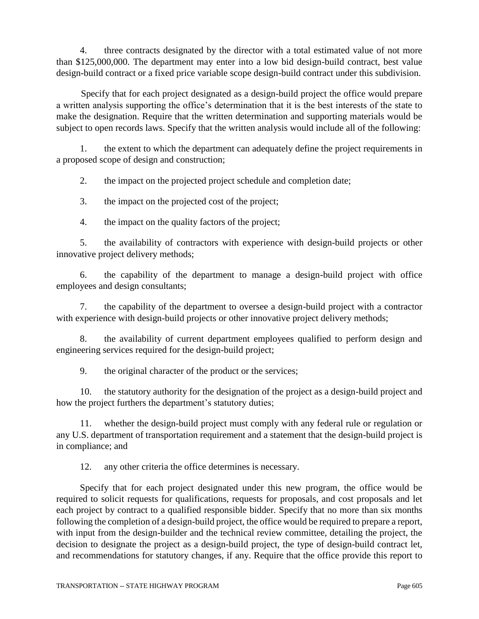4. three contracts designated by the director with a total estimated value of not more than \$125,000,000. The department may enter into a low bid design-build contract, best value design-build contract or a fixed price variable scope design-build contract under this subdivision.

Specify that for each project designated as a design-build project the office would prepare a written analysis supporting the office's determination that it is the best interests of the state to make the designation. Require that the written determination and supporting materials would be subject to open records laws. Specify that the written analysis would include all of the following:

1. the extent to which the department can adequately define the project requirements in a proposed scope of design and construction;

2. the impact on the projected project schedule and completion date;

3. the impact on the projected cost of the project;

4. the impact on the quality factors of the project;

5. the availability of contractors with experience with design-build projects or other innovative project delivery methods;

6. the capability of the department to manage a design-build project with office employees and design consultants;

7. the capability of the department to oversee a design-build project with a contractor with experience with design-build projects or other innovative project delivery methods;

8. the availability of current department employees qualified to perform design and engineering services required for the design-build project;

9. the original character of the product or the services;

10. the statutory authority for the designation of the project as a design-build project and how the project furthers the department's statutory duties;

11. whether the design-build project must comply with any federal rule or regulation or any U.S. department of transportation requirement and a statement that the design-build project is in compliance; and

12. any other criteria the office determines is necessary.

Specify that for each project designated under this new program, the office would be required to solicit requests for qualifications, requests for proposals, and cost proposals and let each project by contract to a qualified responsible bidder. Specify that no more than six months following the completion of a design-build project, the office would be required to prepare a report, with input from the design-builder and the technical review committee, detailing the project, the decision to designate the project as a design-build project, the type of design-build contract let, and recommendations for statutory changes, if any. Require that the office provide this report to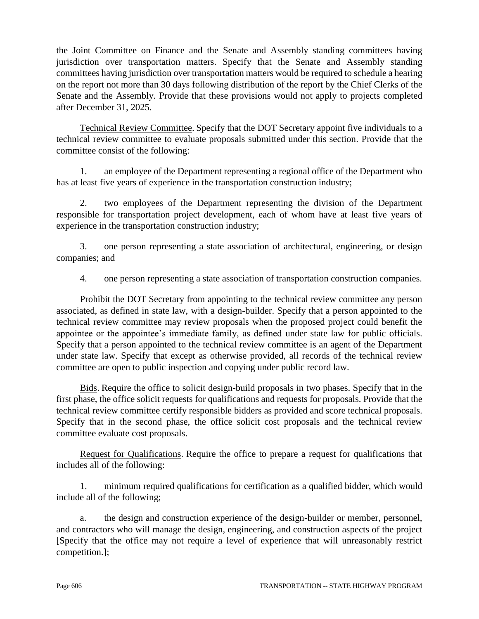the Joint Committee on Finance and the Senate and Assembly standing committees having jurisdiction over transportation matters. Specify that the Senate and Assembly standing committees having jurisdiction over transportation matters would be required to schedule a hearing on the report not more than 30 days following distribution of the report by the Chief Clerks of the Senate and the Assembly. Provide that these provisions would not apply to projects completed after December 31, 2025.

Technical Review Committee. Specify that the DOT Secretary appoint five individuals to a technical review committee to evaluate proposals submitted under this section. Provide that the committee consist of the following:

1. an employee of the Department representing a regional office of the Department who has at least five years of experience in the transportation construction industry;

2. two employees of the Department representing the division of the Department responsible for transportation project development, each of whom have at least five years of experience in the transportation construction industry;

3. one person representing a state association of architectural, engineering, or design companies; and

4. one person representing a state association of transportation construction companies.

Prohibit the DOT Secretary from appointing to the technical review committee any person associated, as defined in state law, with a design-builder. Specify that a person appointed to the technical review committee may review proposals when the proposed project could benefit the appointee or the appointee's immediate family, as defined under state law for public officials. Specify that a person appointed to the technical review committee is an agent of the Department under state law. Specify that except as otherwise provided, all records of the technical review committee are open to public inspection and copying under public record law.

Bids. Require the office to solicit design-build proposals in two phases. Specify that in the first phase, the office solicit requests for qualifications and requests for proposals. Provide that the technical review committee certify responsible bidders as provided and score technical proposals. Specify that in the second phase, the office solicit cost proposals and the technical review committee evaluate cost proposals.

Request for Qualifications. Require the office to prepare a request for qualifications that includes all of the following:

1. minimum required qualifications for certification as a qualified bidder, which would include all of the following;

a. the design and construction experience of the design-builder or member, personnel, and contractors who will manage the design, engineering, and construction aspects of the project [Specify that the office may not require a level of experience that will unreasonably restrict competition.];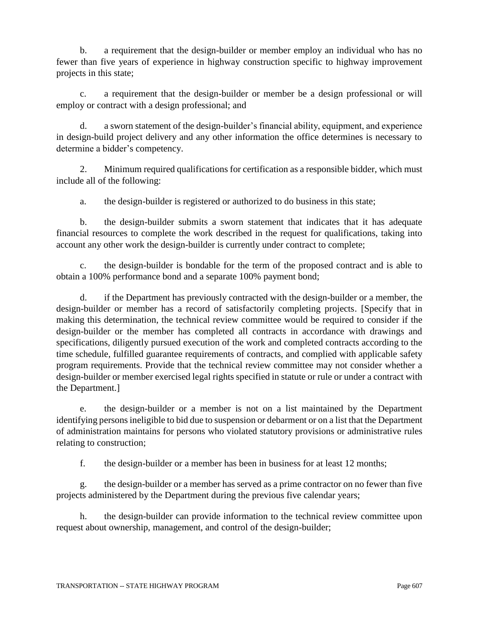b. a requirement that the design-builder or member employ an individual who has no fewer than five years of experience in highway construction specific to highway improvement projects in this state;

c. a requirement that the design-builder or member be a design professional or will employ or contract with a design professional; and

d. a sworn statement of the design-builder's financial ability, equipment, and experience in design-build project delivery and any other information the office determines is necessary to determine a bidder's competency.

2. Minimum required qualifications for certification as a responsible bidder, which must include all of the following:

a. the design-builder is registered or authorized to do business in this state;

b. the design-builder submits a sworn statement that indicates that it has adequate financial resources to complete the work described in the request for qualifications, taking into account any other work the design-builder is currently under contract to complete;

c. the design-builder is bondable for the term of the proposed contract and is able to obtain a 100% performance bond and a separate 100% payment bond;

d. if the Department has previously contracted with the design-builder or a member, the design-builder or member has a record of satisfactorily completing projects. [Specify that in making this determination, the technical review committee would be required to consider if the design-builder or the member has completed all contracts in accordance with drawings and specifications, diligently pursued execution of the work and completed contracts according to the time schedule, fulfilled guarantee requirements of contracts, and complied with applicable safety program requirements. Provide that the technical review committee may not consider whether a design-builder or member exercised legal rights specified in statute or rule or under a contract with the Department.]

e. the design-builder or a member is not on a list maintained by the Department identifying persons ineligible to bid due to suspension or debarment or on a list that the Department of administration maintains for persons who violated statutory provisions or administrative rules relating to construction;

f. the design-builder or a member has been in business for at least 12 months;

g. the design-builder or a member has served as a prime contractor on no fewer than five projects administered by the Department during the previous five calendar years;

h. the design-builder can provide information to the technical review committee upon request about ownership, management, and control of the design-builder;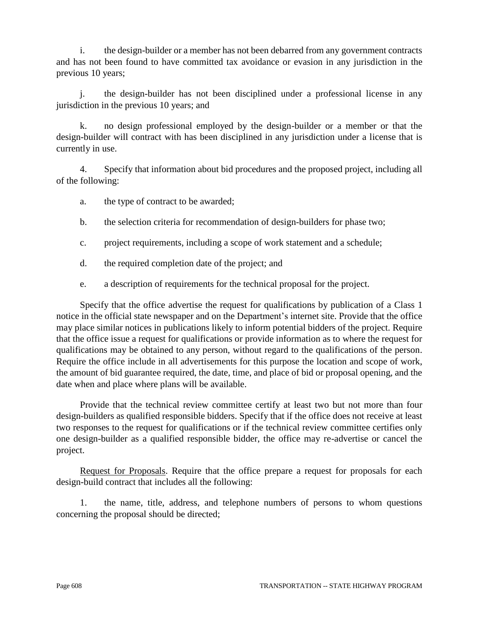i. the design-builder or a member has not been debarred from any government contracts and has not been found to have committed tax avoidance or evasion in any jurisdiction in the previous 10 years;

j. the design-builder has not been disciplined under a professional license in any jurisdiction in the previous 10 years; and

k. no design professional employed by the design-builder or a member or that the design-builder will contract with has been disciplined in any jurisdiction under a license that is currently in use.

4. Specify that information about bid procedures and the proposed project, including all of the following:

a. the type of contract to be awarded;

- b. the selection criteria for recommendation of design-builders for phase two;
- c. project requirements, including a scope of work statement and a schedule;
- d. the required completion date of the project; and
- e. a description of requirements for the technical proposal for the project.

Specify that the office advertise the request for qualifications by publication of a Class 1 notice in the official state newspaper and on the Department's internet site. Provide that the office may place similar notices in publications likely to inform potential bidders of the project. Require that the office issue a request for qualifications or provide information as to where the request for qualifications may be obtained to any person, without regard to the qualifications of the person. Require the office include in all advertisements for this purpose the location and scope of work, the amount of bid guarantee required, the date, time, and place of bid or proposal opening, and the date when and place where plans will be available.

Provide that the technical review committee certify at least two but not more than four design-builders as qualified responsible bidders. Specify that if the office does not receive at least two responses to the request for qualifications or if the technical review committee certifies only one design-builder as a qualified responsible bidder, the office may re-advertise or cancel the project.

Request for Proposals. Require that the office prepare a request for proposals for each design-build contract that includes all the following:

1. the name, title, address, and telephone numbers of persons to whom questions concerning the proposal should be directed;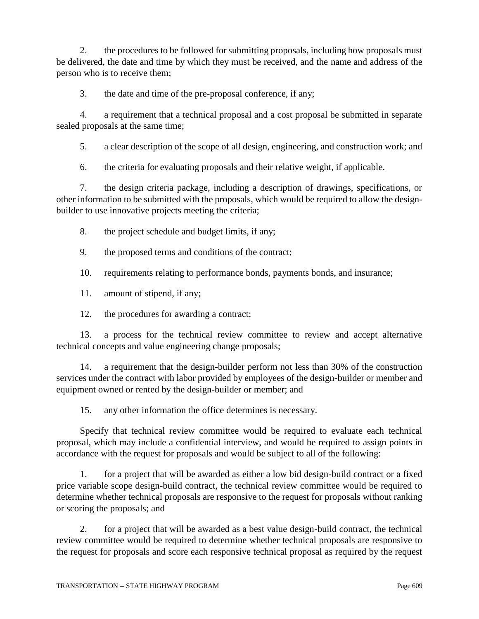2. the procedures to be followed for submitting proposals, including how proposals must be delivered, the date and time by which they must be received, and the name and address of the person who is to receive them;

3. the date and time of the pre-proposal conference, if any;

4. a requirement that a technical proposal and a cost proposal be submitted in separate sealed proposals at the same time;

5. a clear description of the scope of all design, engineering, and construction work; and

6. the criteria for evaluating proposals and their relative weight, if applicable.

7. the design criteria package, including a description of drawings, specifications, or other information to be submitted with the proposals, which would be required to allow the designbuilder to use innovative projects meeting the criteria;

- 8. the project schedule and budget limits, if any;
- 9. the proposed terms and conditions of the contract;

10. requirements relating to performance bonds, payments bonds, and insurance;

- 11. amount of stipend, if any;
- 12. the procedures for awarding a contract;

13. a process for the technical review committee to review and accept alternative technical concepts and value engineering change proposals;

14. a requirement that the design-builder perform not less than 30% of the construction services under the contract with labor provided by employees of the design-builder or member and equipment owned or rented by the design-builder or member; and

15. any other information the office determines is necessary.

Specify that technical review committee would be required to evaluate each technical proposal, which may include a confidential interview, and would be required to assign points in accordance with the request for proposals and would be subject to all of the following:

1. for a project that will be awarded as either a low bid design-build contract or a fixed price variable scope design-build contract, the technical review committee would be required to determine whether technical proposals are responsive to the request for proposals without ranking or scoring the proposals; and

2. for a project that will be awarded as a best value design-build contract, the technical review committee would be required to determine whether technical proposals are responsive to the request for proposals and score each responsive technical proposal as required by the request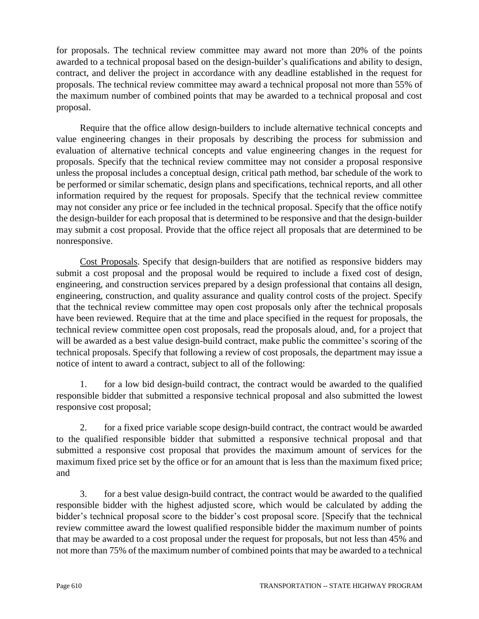for proposals. The technical review committee may award not more than 20% of the points awarded to a technical proposal based on the design-builder's qualifications and ability to design, contract, and deliver the project in accordance with any deadline established in the request for proposals. The technical review committee may award a technical proposal not more than 55% of the maximum number of combined points that may be awarded to a technical proposal and cost proposal.

Require that the office allow design-builders to include alternative technical concepts and value engineering changes in their proposals by describing the process for submission and evaluation of alternative technical concepts and value engineering changes in the request for proposals. Specify that the technical review committee may not consider a proposal responsive unless the proposal includes a conceptual design, critical path method, bar schedule of the work to be performed or similar schematic, design plans and specifications, technical reports, and all other information required by the request for proposals. Specify that the technical review committee may not consider any price or fee included in the technical proposal. Specify that the office notify the design-builder for each proposal that is determined to be responsive and that the design-builder may submit a cost proposal. Provide that the office reject all proposals that are determined to be nonresponsive.

Cost Proposals. Specify that design-builders that are notified as responsive bidders may submit a cost proposal and the proposal would be required to include a fixed cost of design, engineering, and construction services prepared by a design professional that contains all design, engineering, construction, and quality assurance and quality control costs of the project. Specify that the technical review committee may open cost proposals only after the technical proposals have been reviewed. Require that at the time and place specified in the request for proposals, the technical review committee open cost proposals, read the proposals aloud, and, for a project that will be awarded as a best value design-build contract, make public the committee's scoring of the technical proposals. Specify that following a review of cost proposals, the department may issue a notice of intent to award a contract, subject to all of the following:

1. for a low bid design-build contract, the contract would be awarded to the qualified responsible bidder that submitted a responsive technical proposal and also submitted the lowest responsive cost proposal;

2. for a fixed price variable scope design-build contract, the contract would be awarded to the qualified responsible bidder that submitted a responsive technical proposal and that submitted a responsive cost proposal that provides the maximum amount of services for the maximum fixed price set by the office or for an amount that is less than the maximum fixed price; and

3. for a best value design-build contract, the contract would be awarded to the qualified responsible bidder with the highest adjusted score, which would be calculated by adding the bidder's technical proposal score to the bidder's cost proposal score. [Specify that the technical review committee award the lowest qualified responsible bidder the maximum number of points that may be awarded to a cost proposal under the request for proposals, but not less than 45% and not more than 75% of the maximum number of combined points that may be awarded to a technical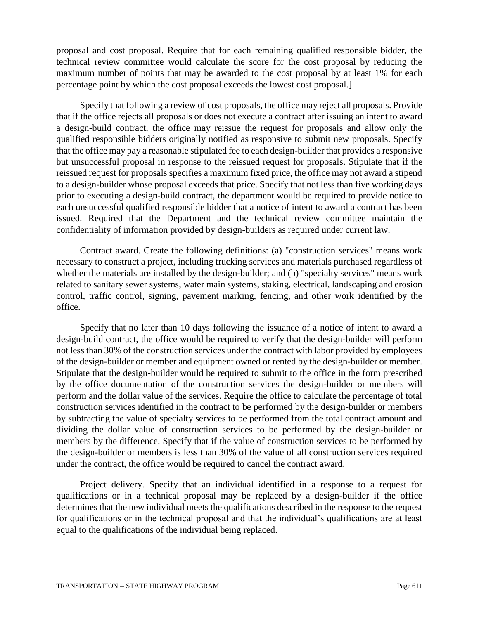proposal and cost proposal. Require that for each remaining qualified responsible bidder, the technical review committee would calculate the score for the cost proposal by reducing the maximum number of points that may be awarded to the cost proposal by at least 1% for each percentage point by which the cost proposal exceeds the lowest cost proposal.]

Specify that following a review of cost proposals, the office may reject all proposals. Provide that if the office rejects all proposals or does not execute a contract after issuing an intent to award a design-build contract, the office may reissue the request for proposals and allow only the qualified responsible bidders originally notified as responsive to submit new proposals. Specify that the office may pay a reasonable stipulated fee to each design-builder that provides a responsive but unsuccessful proposal in response to the reissued request for proposals. Stipulate that if the reissued request for proposals specifies a maximum fixed price, the office may not award a stipend to a design-builder whose proposal exceeds that price. Specify that not less than five working days prior to executing a design-build contract, the department would be required to provide notice to each unsuccessful qualified responsible bidder that a notice of intent to award a contract has been issued. Required that the Department and the technical review committee maintain the confidentiality of information provided by design-builders as required under current law.

Contract award. Create the following definitions: (a) "construction services" means work necessary to construct a project, including trucking services and materials purchased regardless of whether the materials are installed by the design-builder; and (b) "specialty services" means work related to sanitary sewer systems, water main systems, staking, electrical, landscaping and erosion control, traffic control, signing, pavement marking, fencing, and other work identified by the office.

Specify that no later than 10 days following the issuance of a notice of intent to award a design-build contract, the office would be required to verify that the design-builder will perform not less than 30% of the construction services under the contract with labor provided by employees of the design-builder or member and equipment owned or rented by the design-builder or member. Stipulate that the design-builder would be required to submit to the office in the form prescribed by the office documentation of the construction services the design-builder or members will perform and the dollar value of the services. Require the office to calculate the percentage of total construction services identified in the contract to be performed by the design-builder or members by subtracting the value of specialty services to be performed from the total contract amount and dividing the dollar value of construction services to be performed by the design-builder or members by the difference. Specify that if the value of construction services to be performed by the design-builder or members is less than 30% of the value of all construction services required under the contract, the office would be required to cancel the contract award.

Project delivery. Specify that an individual identified in a response to a request for qualifications or in a technical proposal may be replaced by a design-builder if the office determines that the new individual meets the qualifications described in the response to the request for qualifications or in the technical proposal and that the individual's qualifications are at least equal to the qualifications of the individual being replaced.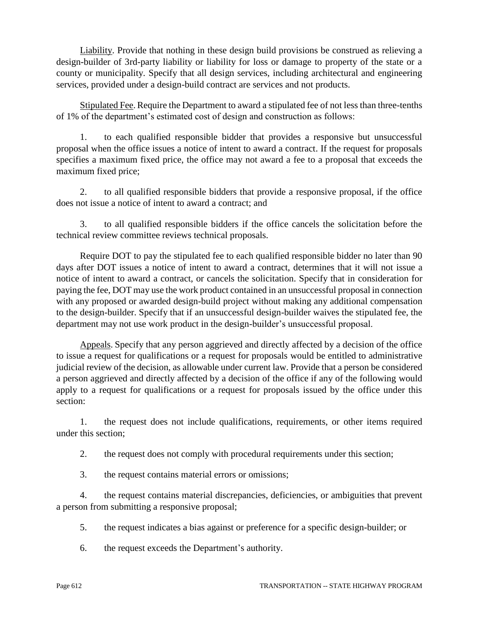Liability. Provide that nothing in these design build provisions be construed as relieving a design-builder of 3rd-party liability or liability for loss or damage to property of the state or a county or municipality. Specify that all design services, including architectural and engineering services, provided under a design-build contract are services and not products.

Stipulated Fee. Require the Department to award a stipulated fee of not less than three-tenths of 1% of the department's estimated cost of design and construction as follows:

1. to each qualified responsible bidder that provides a responsive but unsuccessful proposal when the office issues a notice of intent to award a contract. If the request for proposals specifies a maximum fixed price, the office may not award a fee to a proposal that exceeds the maximum fixed price;

2. to all qualified responsible bidders that provide a responsive proposal, if the office does not issue a notice of intent to award a contract; and

3. to all qualified responsible bidders if the office cancels the solicitation before the technical review committee reviews technical proposals.

Require DOT to pay the stipulated fee to each qualified responsible bidder no later than 90 days after DOT issues a notice of intent to award a contract, determines that it will not issue a notice of intent to award a contract, or cancels the solicitation. Specify that in consideration for paying the fee, DOT may use the work product contained in an unsuccessful proposal in connection with any proposed or awarded design-build project without making any additional compensation to the design-builder. Specify that if an unsuccessful design-builder waives the stipulated fee, the department may not use work product in the design-builder's unsuccessful proposal.

Appeals. Specify that any person aggrieved and directly affected by a decision of the office to issue a request for qualifications or a request for proposals would be entitled to administrative judicial review of the decision, as allowable under current law. Provide that a person be considered a person aggrieved and directly affected by a decision of the office if any of the following would apply to a request for qualifications or a request for proposals issued by the office under this section:

1. the request does not include qualifications, requirements, or other items required under this section;

2. the request does not comply with procedural requirements under this section;

3. the request contains material errors or omissions;

4. the request contains material discrepancies, deficiencies, or ambiguities that prevent a person from submitting a responsive proposal;

- 5. the request indicates a bias against or preference for a specific design-builder; or
- 6. the request exceeds the Department's authority.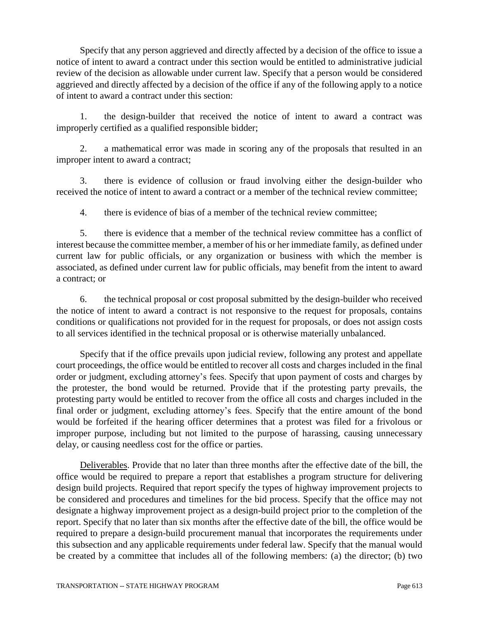Specify that any person aggrieved and directly affected by a decision of the office to issue a notice of intent to award a contract under this section would be entitled to administrative judicial review of the decision as allowable under current law. Specify that a person would be considered aggrieved and directly affected by a decision of the office if any of the following apply to a notice of intent to award a contract under this section:

1. the design-builder that received the notice of intent to award a contract was improperly certified as a qualified responsible bidder;

2. a mathematical error was made in scoring any of the proposals that resulted in an improper intent to award a contract;

3. there is evidence of collusion or fraud involving either the design-builder who received the notice of intent to award a contract or a member of the technical review committee;

4. there is evidence of bias of a member of the technical review committee;

5. there is evidence that a member of the technical review committee has a conflict of interest because the committee member, a member of his or her immediate family, as defined under current law for public officials, or any organization or business with which the member is associated, as defined under current law for public officials, may benefit from the intent to award a contract; or

6. the technical proposal or cost proposal submitted by the design-builder who received the notice of intent to award a contract is not responsive to the request for proposals, contains conditions or qualifications not provided for in the request for proposals, or does not assign costs to all services identified in the technical proposal or is otherwise materially unbalanced.

Specify that if the office prevails upon judicial review, following any protest and appellate court proceedings, the office would be entitled to recover all costs and charges included in the final order or judgment, excluding attorney's fees. Specify that upon payment of costs and charges by the protester, the bond would be returned. Provide that if the protesting party prevails, the protesting party would be entitled to recover from the office all costs and charges included in the final order or judgment, excluding attorney's fees. Specify that the entire amount of the bond would be forfeited if the hearing officer determines that a protest was filed for a frivolous or improper purpose, including but not limited to the purpose of harassing, causing unnecessary delay, or causing needless cost for the office or parties.

Deliverables. Provide that no later than three months after the effective date of the bill, the office would be required to prepare a report that establishes a program structure for delivering design build projects. Required that report specify the types of highway improvement projects to be considered and procedures and timelines for the bid process. Specify that the office may not designate a highway improvement project as a design-build project prior to the completion of the report. Specify that no later than six months after the effective date of the bill, the office would be required to prepare a design-build procurement manual that incorporates the requirements under this subsection and any applicable requirements under federal law. Specify that the manual would be created by a committee that includes all of the following members: (a) the director; (b) two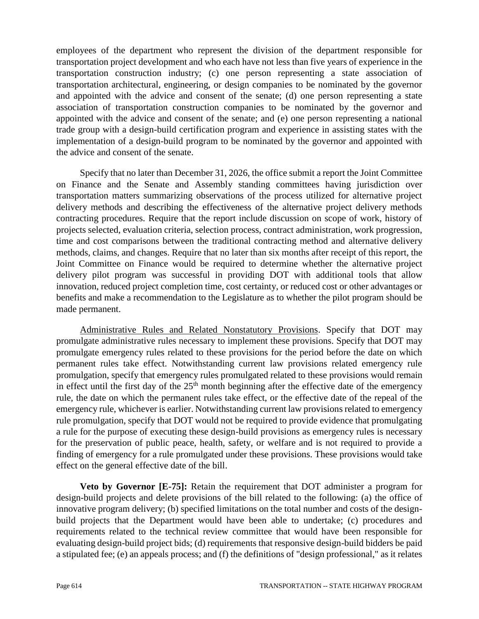employees of the department who represent the division of the department responsible for transportation project development and who each have not less than five years of experience in the transportation construction industry; (c) one person representing a state association of transportation architectural, engineering, or design companies to be nominated by the governor and appointed with the advice and consent of the senate; (d) one person representing a state association of transportation construction companies to be nominated by the governor and appointed with the advice and consent of the senate; and (e) one person representing a national trade group with a design-build certification program and experience in assisting states with the implementation of a design-build program to be nominated by the governor and appointed with the advice and consent of the senate.

Specify that no later than December 31, 2026, the office submit a report the Joint Committee on Finance and the Senate and Assembly standing committees having jurisdiction over transportation matters summarizing observations of the process utilized for alternative project delivery methods and describing the effectiveness of the alternative project delivery methods contracting procedures. Require that the report include discussion on scope of work, history of projects selected, evaluation criteria, selection process, contract administration, work progression, time and cost comparisons between the traditional contracting method and alternative delivery methods, claims, and changes. Require that no later than six months after receipt of this report, the Joint Committee on Finance would be required to determine whether the alternative project delivery pilot program was successful in providing DOT with additional tools that allow innovation, reduced project completion time, cost certainty, or reduced cost or other advantages or benefits and make a recommendation to the Legislature as to whether the pilot program should be made permanent.

Administrative Rules and Related Nonstatutory Provisions. Specify that DOT may promulgate administrative rules necessary to implement these provisions. Specify that DOT may promulgate emergency rules related to these provisions for the period before the date on which permanent rules take effect. Notwithstanding current law provisions related emergency rule promulgation, specify that emergency rules promulgated related to these provisions would remain in effect until the first day of the  $25<sup>th</sup>$  month beginning after the effective date of the emergency rule, the date on which the permanent rules take effect, or the effective date of the repeal of the emergency rule, whichever is earlier. Notwithstanding current law provisions related to emergency rule promulgation, specify that DOT would not be required to provide evidence that promulgating a rule for the purpose of executing these design-build provisions as emergency rules is necessary for the preservation of public peace, health, safety, or welfare and is not required to provide a finding of emergency for a rule promulgated under these provisions. These provisions would take effect on the general effective date of the bill.

**Veto by Governor [E-75]:** Retain the requirement that DOT administer a program for design-build projects and delete provisions of the bill related to the following: (a) the office of innovative program delivery; (b) specified limitations on the total number and costs of the designbuild projects that the Department would have been able to undertake; (c) procedures and requirements related to the technical review committee that would have been responsible for evaluating design-build project bids; (d) requirements that responsive design-build bidders be paid a stipulated fee; (e) an appeals process; and (f) the definitions of "design professional," as it relates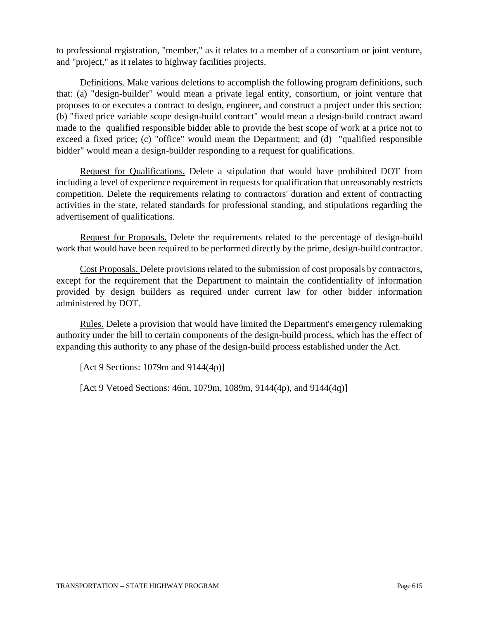to professional registration, "member," as it relates to a member of a consortium or joint venture, and "project," as it relates to highway facilities projects.

Definitions. Make various deletions to accomplish the following program definitions, such that: (a) "design-builder" would mean a private legal entity, consortium, or joint venture that proposes to or executes a contract to design, engineer, and construct a project under this section; (b) "fixed price variable scope design-build contract" would mean a design-build contract award made to the qualified responsible bidder able to provide the best scope of work at a price not to exceed a fixed price; (c) "office" would mean the Department; and (d) "qualified responsible bidder" would mean a design-builder responding to a request for qualifications.

Request for Qualifications. Delete a stipulation that would have prohibited DOT from including a level of experience requirement in requests for qualification that unreasonably restricts competition. Delete the requirements relating to contractors' duration and extent of contracting activities in the state, related standards for professional standing, and stipulations regarding the advertisement of qualifications.

Request for Proposals. Delete the requirements related to the percentage of design-build work that would have been required to be performed directly by the prime, design-build contractor.

Cost Proposals. Delete provisions related to the submission of cost proposals by contractors, except for the requirement that the Department to maintain the confidentiality of information provided by design builders as required under current law for other bidder information administered by DOT.

Rules. Delete a provision that would have limited the Department's emergency rulemaking authority under the bill to certain components of the design-build process, which has the effect of expanding this authority to any phase of the design-build process established under the Act.

[Act 9 Sections: 1079m and 9144(4p)]

[Act 9 Vetoed Sections: 46m, 1079m, 1089m, 9144(4p), and 9144(4q)]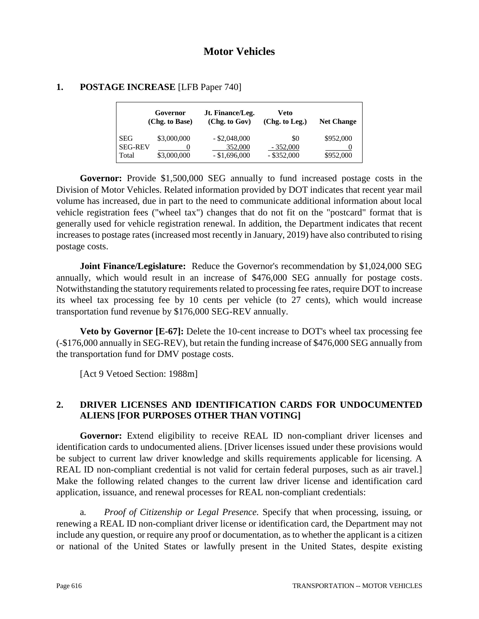|                                       | Governor<br>(Chg. to Base) | Jt. Finance/Leg.<br>(Chg. to Gov)             | Veto<br>(Chg. to Leg.)             | <b>Net Change</b>      |
|---------------------------------------|----------------------------|-----------------------------------------------|------------------------------------|------------------------|
| <b>SEG</b><br><b>SEG-REV</b><br>Total | \$3,000,000<br>\$3,000,000 | $-$ \$2,048,000<br>352,000<br>$-$ \$1,696,000 | \$0<br>$-352,000$<br>$-$ \$352,000 | \$952,000<br>\$952,000 |

### **1. POSTAGE INCREASE** [LFB Paper 740]

**Governor:** Provide \$1,500,000 SEG annually to fund increased postage costs in the Division of Motor Vehicles. Related information provided by DOT indicates that recent year mail volume has increased, due in part to the need to communicate additional information about local vehicle registration fees ("wheel tax") changes that do not fit on the "postcard" format that is generally used for vehicle registration renewal. In addition, the Department indicates that recent increases to postage rates (increased most recently in January, 2019) have also contributed to rising postage costs.

**Joint Finance/Legislature:** Reduce the Governor's recommendation by \$1,024,000 SEG annually, which would result in an increase of \$476,000 SEG annually for postage costs. Notwithstanding the statutory requirements related to processing fee rates, require DOT to increase its wheel tax processing fee by 10 cents per vehicle (to 27 cents), which would increase transportation fund revenue by \$176,000 SEG-REV annually.

**Veto by Governor [E-67]:** Delete the 10-cent increase to DOT's wheel tax processing fee (-\$176,000 annually in SEG-REV), but retain the funding increase of \$476,000 SEG annually from the transportation fund for DMV postage costs.

[Act 9 Vetoed Section: 1988m]

# **2. DRIVER LICENSES AND IDENTIFICATION CARDS FOR UNDOCUMENTED ALIENS [FOR PURPOSES OTHER THAN VOTING]**

**Governor:** Extend eligibility to receive REAL ID non-compliant driver licenses and identification cards to undocumented aliens. [Driver licenses issued under these provisions would be subject to current law driver knowledge and skills requirements applicable for licensing. A REAL ID non-compliant credential is not valid for certain federal purposes, such as air travel. Make the following related changes to the current law driver license and identification card application, issuance, and renewal processes for REAL non-compliant credentials:

a*. Proof of Citizenship or Legal Presence.* Specify that when processing, issuing, or renewing a REAL ID non-compliant driver license or identification card, the Department may not include any question, or require any proof or documentation, as to whether the applicant is a citizen or national of the United States or lawfully present in the United States, despite existing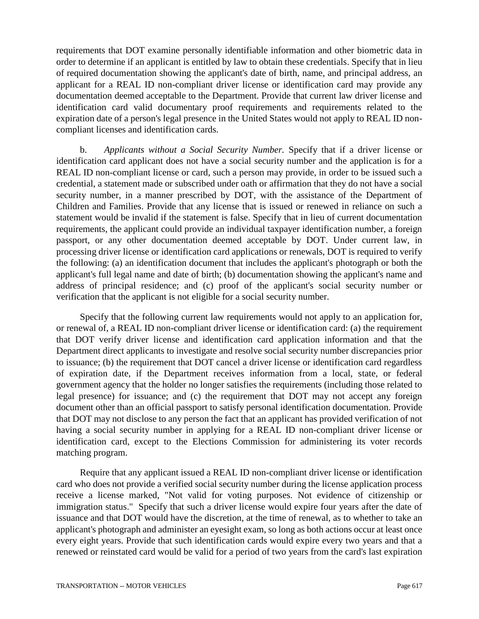requirements that DOT examine personally identifiable information and other biometric data in order to determine if an applicant is entitled by law to obtain these credentials. Specify that in lieu of required documentation showing the applicant's date of birth, name, and principal address, an applicant for a REAL ID non-compliant driver license or identification card may provide any documentation deemed acceptable to the Department. Provide that current law driver license and identification card valid documentary proof requirements and requirements related to the expiration date of a person's legal presence in the United States would not apply to REAL ID noncompliant licenses and identification cards.

b. *Applicants without a Social Security Number.* Specify that if a driver license or identification card applicant does not have a social security number and the application is for a REAL ID non-compliant license or card, such a person may provide, in order to be issued such a credential, a statement made or subscribed under oath or affirmation that they do not have a social security number, in a manner prescribed by DOT, with the assistance of the Department of Children and Families. Provide that any license that is issued or renewed in reliance on such a statement would be invalid if the statement is false. Specify that in lieu of current documentation requirements, the applicant could provide an individual taxpayer identification number, a foreign passport, or any other documentation deemed acceptable by DOT. Under current law, in processing driver license or identification card applications or renewals, DOT is required to verify the following: (a) an identification document that includes the applicant's photograph or both the applicant's full legal name and date of birth; (b) documentation showing the applicant's name and address of principal residence; and (c) proof of the applicant's social security number or verification that the applicant is not eligible for a social security number.

Specify that the following current law requirements would not apply to an application for, or renewal of, a REAL ID non-compliant driver license or identification card: (a) the requirement that DOT verify driver license and identification card application information and that the Department direct applicants to investigate and resolve social security number discrepancies prior to issuance; (b) the requirement that DOT cancel a driver license or identification card regardless of expiration date, if the Department receives information from a local, state, or federal government agency that the holder no longer satisfies the requirements (including those related to legal presence) for issuance; and (c) the requirement that DOT may not accept any foreign document other than an official passport to satisfy personal identification documentation. Provide that DOT may not disclose to any person the fact that an applicant has provided verification of not having a social security number in applying for a REAL ID non-compliant driver license or identification card, except to the Elections Commission for administering its voter records matching program.

Require that any applicant issued a REAL ID non-compliant driver license or identification card who does not provide a verified social security number during the license application process receive a license marked, "Not valid for voting purposes. Not evidence of citizenship or immigration status." Specify that such a driver license would expire four years after the date of issuance and that DOT would have the discretion, at the time of renewal, as to whether to take an applicant's photograph and administer an eyesight exam, so long as both actions occur at least once every eight years. Provide that such identification cards would expire every two years and that a renewed or reinstated card would be valid for a period of two years from the card's last expiration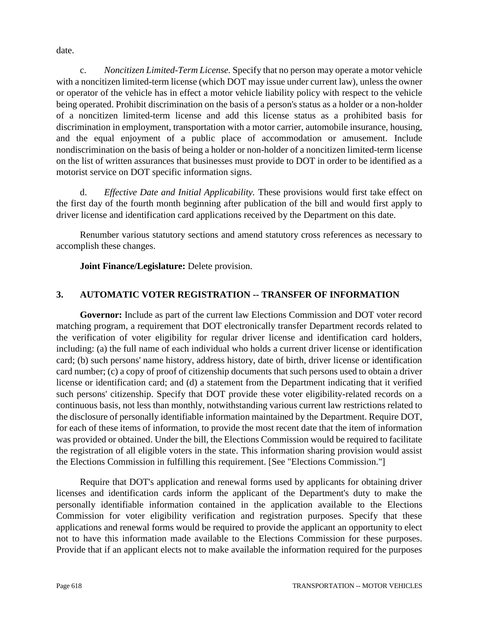date.

c. *Noncitizen Limited-Term License.* Specify that no person may operate a motor vehicle with a noncitizen limited-term license (which DOT may issue under current law), unless the owner or operator of the vehicle has in effect a motor vehicle liability policy with respect to the vehicle being operated. Prohibit discrimination on the basis of a person's status as a holder or a non-holder of a noncitizen limited-term license and add this license status as a prohibited basis for discrimination in employment, transportation with a motor carrier, automobile insurance, housing, and the equal enjoyment of a public place of accommodation or amusement. Include nondiscrimination on the basis of being a holder or non-holder of a noncitizen limited-term license on the list of written assurances that businesses must provide to DOT in order to be identified as a motorist service on DOT specific information signs.

d. *Effective Date and Initial Applicability.* These provisions would first take effect on the first day of the fourth month beginning after publication of the bill and would first apply to driver license and identification card applications received by the Department on this date.

Renumber various statutory sections and amend statutory cross references as necessary to accomplish these changes.

**Joint Finance/Legislature:** Delete provision.

# **3. AUTOMATIC VOTER REGISTRATION -- TRANSFER OF INFORMATION**

**Governor:** Include as part of the current law Elections Commission and DOT voter record matching program, a requirement that DOT electronically transfer Department records related to the verification of voter eligibility for regular driver license and identification card holders, including: (a) the full name of each individual who holds a current driver license or identification card; (b) such persons' name history, address history, date of birth, driver license or identification card number; (c) a copy of proof of citizenship documents that such persons used to obtain a driver license or identification card; and (d) a statement from the Department indicating that it verified such persons' citizenship. Specify that DOT provide these voter eligibility-related records on a continuous basis, not less than monthly, notwithstanding various current law restrictions related to the disclosure of personally identifiable information maintained by the Department. Require DOT, for each of these items of information, to provide the most recent date that the item of information was provided or obtained. Under the bill, the Elections Commission would be required to facilitate the registration of all eligible voters in the state. This information sharing provision would assist the Elections Commission in fulfilling this requirement. [See "Elections Commission."]

Require that DOT's application and renewal forms used by applicants for obtaining driver licenses and identification cards inform the applicant of the Department's duty to make the personally identifiable information contained in the application available to the Elections Commission for voter eligibility verification and registration purposes. Specify that these applications and renewal forms would be required to provide the applicant an opportunity to elect not to have this information made available to the Elections Commission for these purposes. Provide that if an applicant elects not to make available the information required for the purposes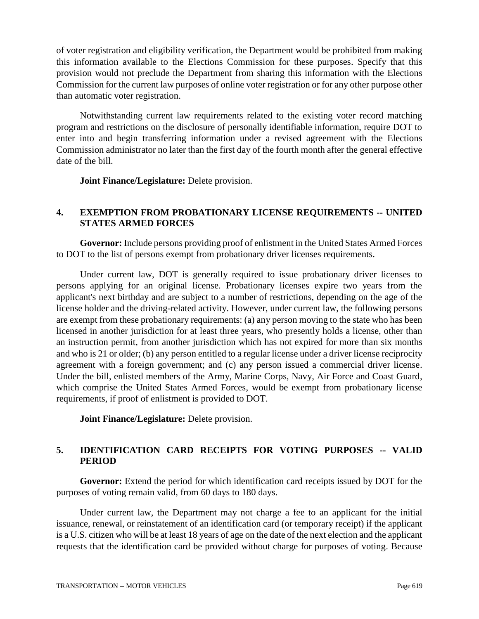of voter registration and eligibility verification, the Department would be prohibited from making this information available to the Elections Commission for these purposes. Specify that this provision would not preclude the Department from sharing this information with the Elections Commission for the current law purposes of online voter registration or for any other purpose other than automatic voter registration.

Notwithstanding current law requirements related to the existing voter record matching program and restrictions on the disclosure of personally identifiable information, require DOT to enter into and begin transferring information under a revised agreement with the Elections Commission administrator no later than the first day of the fourth month after the general effective date of the bill.

**Joint Finance/Legislature:** Delete provision.

# **4. EXEMPTION FROM PROBATIONARY LICENSE REQUIREMENTS -- UNITED STATES ARMED FORCES**

**Governor:** Include persons providing proof of enlistment in the United States Armed Forces to DOT to the list of persons exempt from probationary driver licenses requirements.

Under current law, DOT is generally required to issue probationary driver licenses to persons applying for an original license. Probationary licenses expire two years from the applicant's next birthday and are subject to a number of restrictions, depending on the age of the license holder and the driving-related activity. However, under current law, the following persons are exempt from these probationary requirements: (a) any person moving to the state who has been licensed in another jurisdiction for at least three years, who presently holds a license, other than an instruction permit, from another jurisdiction which has not expired for more than six months and who is 21 or older; (b) any person entitled to a regular license under a driver license reciprocity agreement with a foreign government; and (c) any person issued a commercial driver license. Under the bill, enlisted members of the Army, Marine Corps, Navy, Air Force and Coast Guard, which comprise the United States Armed Forces, would be exempt from probationary license requirements, if proof of enlistment is provided to DOT.

**Joint Finance/Legislature:** Delete provision.

# **5. IDENTIFICATION CARD RECEIPTS FOR VOTING PURPOSES -- VALID PERIOD**

**Governor:** Extend the period for which identification card receipts issued by DOT for the purposes of voting remain valid, from 60 days to 180 days.

Under current law, the Department may not charge a fee to an applicant for the initial issuance, renewal, or reinstatement of an identification card (or temporary receipt) if the applicant is a U.S. citizen who will be at least 18 years of age on the date of the next election and the applicant requests that the identification card be provided without charge for purposes of voting. Because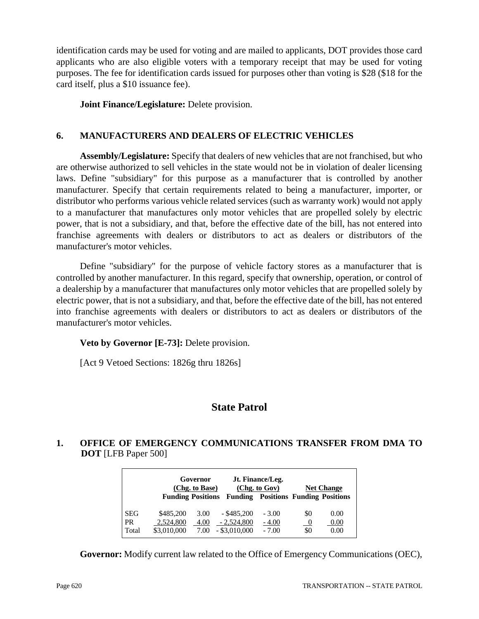identification cards may be used for voting and are mailed to applicants, DOT provides those card applicants who are also eligible voters with a temporary receipt that may be used for voting purposes. The fee for identification cards issued for purposes other than voting is \$28 (\$18 for the card itself, plus a \$10 issuance fee).

**Joint Finance/Legislature:** Delete provision.

# **6. MANUFACTURERS AND DEALERS OF ELECTRIC VEHICLES**

**Assembly/Legislature:** Specify that dealers of new vehicles that are not franchised, but who are otherwise authorized to sell vehicles in the state would not be in violation of dealer licensing laws. Define "subsidiary" for this purpose as a manufacturer that is controlled by another manufacturer. Specify that certain requirements related to being a manufacturer, importer, or distributor who performs various vehicle related services (such as warranty work) would not apply to a manufacturer that manufactures only motor vehicles that are propelled solely by electric power, that is not a subsidiary, and that, before the effective date of the bill, has not entered into franchise agreements with dealers or distributors to act as dealers or distributors of the manufacturer's motor vehicles.

Define "subsidiary" for the purpose of vehicle factory stores as a manufacturer that is controlled by another manufacturer. In this regard, specify that ownership, operation, or control of a dealership by a manufacturer that manufactures only motor vehicles that are propelled solely by electric power, that is not a subsidiary, and that, before the effective date of the bill, has not entered into franchise agreements with dealers or distributors to act as dealers or distributors of the manufacturer's motor vehicles.

**Veto by Governor [E-73]:** Delete provision.

[Act 9 Vetoed Sections: 1826g thru 1826s]

# **State Patrol**

# **1. OFFICE OF EMERGENCY COMMUNICATIONS TRANSFER FROM DMA TO DOT** [LFB Paper 500]

|                                  |                                       | Governor<br>(Chg. to Base) |                                                  | Jt. Finance/Leg.<br>(Chg. to Gov)          |                             | <b>Net Change</b>    |
|----------------------------------|---------------------------------------|----------------------------|--------------------------------------------------|--------------------------------------------|-----------------------------|----------------------|
|                                  |                                       | <b>Funding Positions</b>   |                                                  | <b>Funding Positions Funding Positions</b> |                             |                      |
| <b>SEG</b><br><b>PR</b><br>Total | \$485,200<br>2,524,800<br>\$3,010,000 | 3.00<br>4.00<br>7.00       | $-$ \$485,200<br>$-2,524,800$<br>$-$ \$3,010,000 | $-3.00$<br>$-4.00$<br>$-7.00$              | \$0<br>$\frac{0}{2}$<br>\$0 | 0.00<br>0.00<br>0.00 |

**Governor:** Modify current law related to the Office of Emergency Communications (OEC),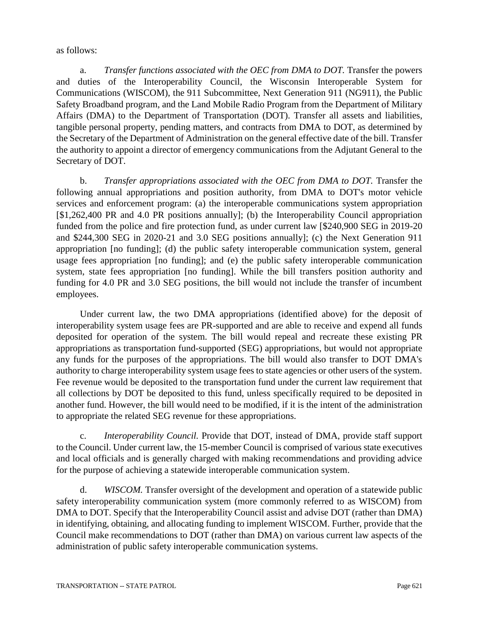#### as follows:

a. *Transfer functions associated with the OEC from DMA to DOT.* Transfer the powers and duties of the Interoperability Council, the Wisconsin Interoperable System for Communications (WISCOM), the 911 Subcommittee, Next Generation 911 (NG911), the Public Safety Broadband program, and the Land Mobile Radio Program from the Department of Military Affairs (DMA) to the Department of Transportation (DOT). Transfer all assets and liabilities, tangible personal property, pending matters, and contracts from DMA to DOT, as determined by the Secretary of the Department of Administration on the general effective date of the bill. Transfer the authority to appoint a director of emergency communications from the Adjutant General to the Secretary of DOT.

b. *Transfer appropriations associated with the OEC from DMA to DOT.* Transfer the following annual appropriations and position authority, from DMA to DOT's motor vehicle services and enforcement program: (a) the interoperable communications system appropriation [\$1,262,400 PR and 4.0 PR positions annually]; (b) the Interoperability Council appropriation funded from the police and fire protection fund, as under current law [\$240,900 SEG in 2019-20 and \$244,300 SEG in 2020-21 and 3.0 SEG positions annually]; (c) the Next Generation 911 appropriation [no funding]; (d) the public safety interoperable communication system, general usage fees appropriation [no funding]; and (e) the public safety interoperable communication system, state fees appropriation [no funding]. While the bill transfers position authority and funding for 4.0 PR and 3.0 SEG positions, the bill would not include the transfer of incumbent employees.

Under current law, the two DMA appropriations (identified above) for the deposit of interoperability system usage fees are PR-supported and are able to receive and expend all funds deposited for operation of the system. The bill would repeal and recreate these existing PR appropriations as transportation fund-supported (SEG) appropriations, but would not appropriate any funds for the purposes of the appropriations. The bill would also transfer to DOT DMA's authority to charge interoperability system usage fees to state agencies or other users of the system. Fee revenue would be deposited to the transportation fund under the current law requirement that all collections by DOT be deposited to this fund, unless specifically required to be deposited in another fund. However, the bill would need to be modified, if it is the intent of the administration to appropriate the related SEG revenue for these appropriations.

c. *Interoperability Council.* Provide that DOT, instead of DMA, provide staff support to the Council. Under current law, the 15-member Council is comprised of various state executives and local officials and is generally charged with making recommendations and providing advice for the purpose of achieving a statewide interoperable communication system.

d. *WISCOM.* Transfer oversight of the development and operation of a statewide public safety interoperability communication system (more commonly referred to as WISCOM) from DMA to DOT. Specify that the Interoperability Council assist and advise DOT (rather than DMA) in identifying, obtaining, and allocating funding to implement WISCOM. Further, provide that the Council make recommendations to DOT (rather than DMA) on various current law aspects of the administration of public safety interoperable communication systems.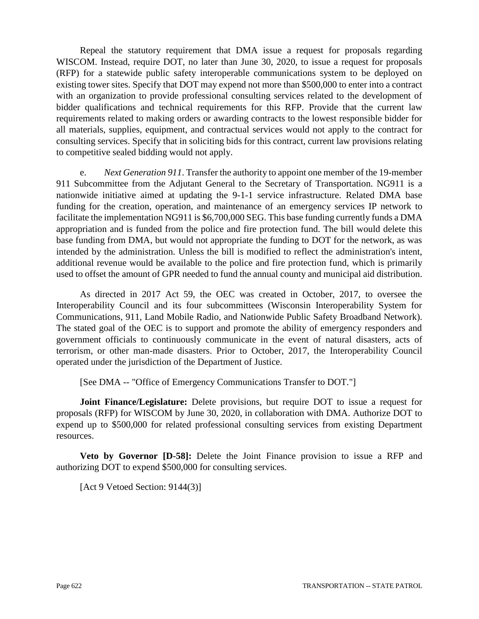Repeal the statutory requirement that DMA issue a request for proposals regarding WISCOM. Instead, require DOT, no later than June 30, 2020, to issue a request for proposals (RFP) for a statewide public safety interoperable communications system to be deployed on existing tower sites. Specify that DOT may expend not more than \$500,000 to enter into a contract with an organization to provide professional consulting services related to the development of bidder qualifications and technical requirements for this RFP. Provide that the current law requirements related to making orders or awarding contracts to the lowest responsible bidder for all materials, supplies, equipment, and contractual services would not apply to the contract for consulting services. Specify that in soliciting bids for this contract, current law provisions relating to competitive sealed bidding would not apply.

e. *Next Generation 911*. Transfer the authority to appoint one member of the 19-member 911 Subcommittee from the Adjutant General to the Secretary of Transportation. NG911 is a nationwide initiative aimed at updating the 9-1-1 service infrastructure. Related DMA base funding for the creation, operation, and maintenance of an emergency services IP network to facilitate the implementation NG911 is \$6,700,000 SEG. This base funding currently funds a DMA appropriation and is funded from the police and fire protection fund. The bill would delete this base funding from DMA, but would not appropriate the funding to DOT for the network, as was intended by the administration. Unless the bill is modified to reflect the administration's intent, additional revenue would be available to the police and fire protection fund, which is primarily used to offset the amount of GPR needed to fund the annual county and municipal aid distribution.

As directed in 2017 Act 59, the OEC was created in October, 2017, to oversee the Interoperability Council and its four subcommittees (Wisconsin Interoperability System for Communications, 911, Land Mobile Radio, and Nationwide Public Safety Broadband Network). The stated goal of the OEC is to support and promote the ability of emergency responders and government officials to continuously communicate in the event of natural disasters, acts of terrorism, or other man-made disasters. Prior to October, 2017, the Interoperability Council operated under the jurisdiction of the Department of Justice.

[See DMA -- "Office of Emergency Communications Transfer to DOT."]

**Joint Finance/Legislature:** Delete provisions, but require DOT to issue a request for proposals (RFP) for WISCOM by June 30, 2020, in collaboration with DMA. Authorize DOT to expend up to \$500,000 for related professional consulting services from existing Department resources.

**Veto by Governor [D-58]:** Delete the Joint Finance provision to issue a RFP and authorizing DOT to expend \$500,000 for consulting services.

[Act 9 Vetoed Section: 9144(3)]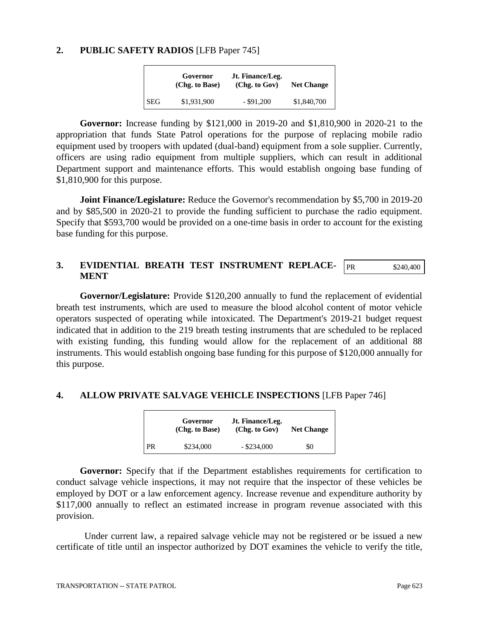#### **2. PUBLIC SAFETY RADIOS** [LFB Paper 745]

|            | Governor<br>(Chg. to Base) | Jt. Finance/Leg.<br>(Chg. to Gov) | <b>Net Change</b> |
|------------|----------------------------|-----------------------------------|-------------------|
| <b>SEG</b> | \$1,931,900                | $-$ \$91,200                      | \$1,840,700       |

**Governor:** Increase funding by \$121,000 in 2019-20 and \$1,810,900 in 2020-21 to the appropriation that funds State Patrol operations for the purpose of replacing mobile radio equipment used by troopers with updated (dual-band) equipment from a sole supplier. Currently, officers are using radio equipment from multiple suppliers, which can result in additional Department support and maintenance efforts. This would establish ongoing base funding of \$1,810,900 for this purpose.

**Joint Finance/Legislature:** Reduce the Governor's recommendation by \$5,700 in 2019-20 and by \$85,500 in 2020-21 to provide the funding sufficient to purchase the radio equipment. Specify that \$593,700 would be provided on a one-time basis in order to account for the existing base funding for this purpose.

#### **3. EVIDENTIAL BREATH TEST INSTRUMENT REPLACE-MENT** PR \$240,400

**Governor/Legislature:** Provide \$120,200 annually to fund the replacement of evidential breath test instruments, which are used to measure the blood alcohol content of motor vehicle operators suspected of operating while intoxicated. The Department's 2019-21 budget request indicated that in addition to the 219 breath testing instruments that are scheduled to be replaced with existing funding, this funding would allow for the replacement of an additional 88 instruments. This would establish ongoing base funding for this purpose of \$120,000 annually for this purpose.

### **4. ALLOW PRIVATE SALVAGE VEHICLE INSPECTIONS** [LFB Paper 746]

|    | Governor<br>(Chg. to Base) | Jt. Finance/Leg.<br>(Chg. to Gov) | <b>Net Change</b> |
|----|----------------------------|-----------------------------------|-------------------|
| PR | \$234,000                  | $-$ \$234,000                     | \$0               |

**Governor:** Specify that if the Department establishes requirements for certification to conduct salvage vehicle inspections, it may not require that the inspector of these vehicles be employed by DOT or a law enforcement agency. Increase revenue and expenditure authority by \$117,000 annually to reflect an estimated increase in program revenue associated with this provision.

Under current law, a repaired salvage vehicle may not be registered or be issued a new certificate of title until an inspector authorized by DOT examines the vehicle to verify the title,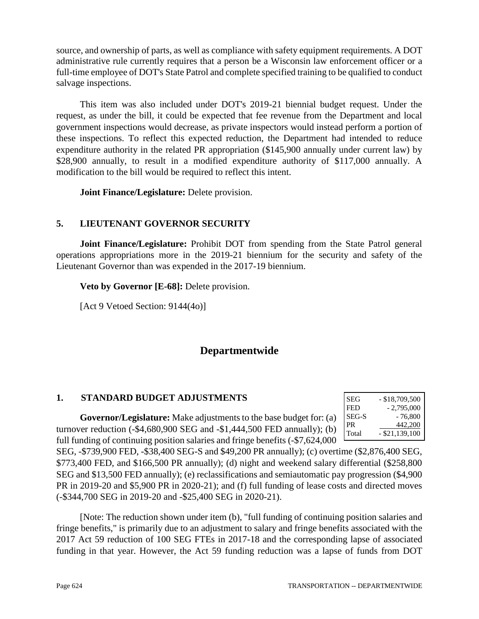source, and ownership of parts, as well as compliance with safety equipment requirements. A DOT administrative rule currently requires that a person be a Wisconsin law enforcement officer or a full-time employee of DOT's State Patrol and complete specified training to be qualified to conduct salvage inspections.

This item was also included under DOT's 2019-21 biennial budget request. Under the request, as under the bill, it could be expected that fee revenue from the Department and local government inspections would decrease, as private inspectors would instead perform a portion of these inspections. To reflect this expected reduction, the Department had intended to reduce expenditure authority in the related PR appropriation (\$145,900 annually under current law) by \$28,900 annually, to result in a modified expenditure authority of \$117,000 annually. A modification to the bill would be required to reflect this intent.

**Joint Finance/Legislature:** Delete provision.

# **5. LIEUTENANT GOVERNOR SECURITY**

**Joint Finance/Legislature:** Prohibit DOT from spending from the State Patrol general operations appropriations more in the 2019-21 biennium for the security and safety of the Lieutenant Governor than was expended in the 2017-19 biennium.

**Veto by Governor [E-68]:** Delete provision.

[Act 9 Vetoed Section: 9144(4o)]

# **Departmentwide**

# **1. STANDARD BUDGET ADJUSTMENTS**

**Governor/Legislature:** Make adjustments to the base budget for: (a) turnover reduction (-\$4,680,900 SEG and -\$1,444,500 FED annually); (b) full funding of continuing position salaries and fringe benefits (-\$7,624,000

| SEG   | $-$ \$18,709,500 |
|-------|------------------|
| FED   | $-2,795,000$     |
| SEG-S | - 76,800         |
| PR.   | 442,200          |
| Total | $-$ \$21,139,100 |

SEG, -\$739,900 FED, -\$38,400 SEG-S and \$49,200 PR annually); (c) overtime (\$2,876,400 SEG, \$773,400 FED, and \$166,500 PR annually); (d) night and weekend salary differential (\$258,800 SEG and \$13,500 FED annually); (e) reclassifications and semiautomatic pay progression (\$4,900 PR in 2019-20 and \$5,900 PR in 2020-21); and (f) full funding of lease costs and directed moves (-\$344,700 SEG in 2019-20 and -\$25,400 SEG in 2020-21).

[Note: The reduction shown under item (b), "full funding of continuing position salaries and fringe benefits," is primarily due to an adjustment to salary and fringe benefits associated with the 2017 Act 59 reduction of 100 SEG FTEs in 2017-18 and the corresponding lapse of associated funding in that year. However, the Act 59 funding reduction was a lapse of funds from DOT